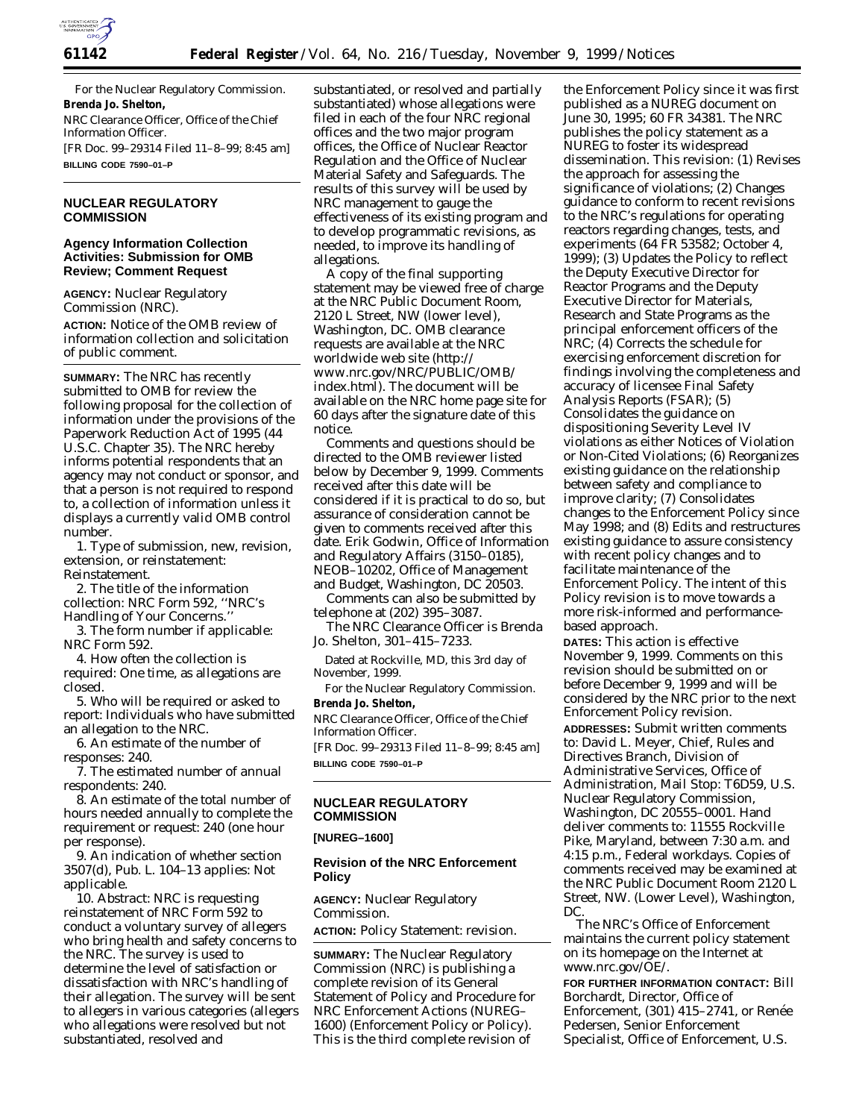

For the Nuclear Regulatory Commission. **Brenda Jo. Shelton,** *NRC Clearance Officer, Office of the Chief Information Officer.* [FR Doc. 99–29314 Filed 11–8–99; 8:45 am] **BILLING CODE 7590–01–P**

## **NUCLEAR REGULATORY COMMISSION**

## **Agency Information Collection Activities: Submission for OMB Review; Comment Request**

**AGENCY:** Nuclear Regulatory Commission (NRC).

**ACTION:** Notice of the OMB review of information collection and solicitation of public comment.

**SUMMARY:** The NRC has recently submitted to OMB for review the following proposal for the collection of information under the provisions of the Paperwork Reduction Act of 1995 (44 U.S.C. Chapter 35). The NRC hereby informs potential respondents that an agency may not conduct or sponsor, and that a person is not required to respond to, a collection of information unless it displays a currently valid OMB control number.

1. *Type of submission, new, revision, extension, or reinstatement:* Reinstatement.

2. *The title of the information collection:* NRC Form 592, ''NRC's Handling of Your Concerns.''

3. *The form number if applicable:* NRC Form 592.

4. *How often the collection is required:* One time, as allegations are closed.

5. *Who will be required or asked to report:* Individuals who have submitted an allegation to the NRC.

6. *An estimate of the number of responses:* 240.

7. *The estimated number of annual respondents:* 240.

8. *An estimate of the total number of hours needed annually to complete the requirement or request:* 240 (one hour per response).

9. *An indication of whether section 3507(d), Pub. L. 104–13 applies:* Not applicable.

10. *Abstract:* NRC is requesting reinstatement of NRC Form 592 to conduct a voluntary survey of allegers who bring health and safety concerns to the NRC. The survey is used to determine the level of satisfaction or dissatisfaction with NRC's handling of their allegation. The survey will be sent to allegers in various categories (allegers who allegations were resolved but not substantiated, resolved and

substantiated, or resolved and partially substantiated) whose allegations were filed in each of the four NRC regional offices and the two major program offices, the Office of Nuclear Reactor Regulation and the Office of Nuclear Material Safety and Safeguards. The results of this survey will be used by NRC management to gauge the effectiveness of its existing program and to develop programmatic revisions, as needed, to improve its handling of allegations.

A copy of the final supporting statement may be viewed free of charge at the NRC Public Document Room, 2120 L Street, NW (lower level), Washington, DC. OMB clearance requests are available at the NRC worldwide web site (http:// www.nrc.gov/NRC/PUBLIC/OMB/ index.html). The document will be available on the NRC home page site for 60 days after the signature date of this notice.

Comments and questions should be directed to the OMB reviewer listed below by December 9, 1999. Comments received after this date will be considered if it is practical to do so, but assurance of consideration cannot be given to comments received after this date. Erik Godwin, Office of Information and Regulatory Affairs (3150–0185), NEOB–10202, Office of Management and Budget, Washington, DC 20503.

Comments can also be submitted by telephone at (202) 395–3087.

The NRC Clearance Officer is Brenda Jo. Shelton, 301–415–7233.

Dated at Rockville, MD, this 3rd day of November, 1999.

For the Nuclear Regulatory Commission. **Brenda Jo. Shelton,**

*NRC Clearance Officer, Office of the Chief Information Officer.*

[FR Doc. 99–29313 Filed 11–8–99; 8:45 am] **BILLING CODE 7590–01–P**

## **NUCLEAR REGULATORY COMMISSION**

## **[NUREG–1600]**

## **Revision of the NRC Enforcement Policy**

**AGENCY:** Nuclear Regulatory Commission.

**ACTION:** Policy Statement: revision.

**SUMMARY:** The Nuclear Regulatory Commission (NRC) is publishing a complete revision of its General Statement of Policy and Procedure for NRC Enforcement Actions (NUREG– 1600) (Enforcement Policy or Policy). This is the third complete revision of

the Enforcement Policy since it was first published as a NUREG document on June 30, 1995; 60 FR 34381. The NRC publishes the policy statement as a NUREG to foster its widespread dissemination. This revision: (1) Revises the approach for assessing the significance of violations; (2) Changes guidance to conform to recent revisions to the NRC's regulations for operating reactors regarding changes, tests, and experiments (64 FR 53582; October 4, 1999); (3) Updates the Policy to reflect the Deputy Executive Director for Reactor Programs and the Deputy Executive Director for Materials, Research and State Programs as the principal enforcement officers of the NRC; (4) Corrects the schedule for exercising enforcement discretion for findings involving the completeness and accuracy of licensee Final Safety Analysis Reports (FSAR); (5) Consolidates the guidance on dispositioning Severity Level IV violations as either Notices of Violation or Non-Cited Violations; (6) Reorganizes existing guidance on the relationship between safety and compliance to improve clarity; (7) Consolidates changes to the Enforcement Policy since May 1998; and (8) Edits and restructures existing guidance to assure consistency with recent policy changes and to facilitate maintenance of the Enforcement Policy. The intent of this Policy revision is to move towards a more risk-informed and performancebased approach.

**DATES:** This action is effective November 9, 1999. Comments on this revision should be submitted on or before December 9, 1999 and will be considered by the NRC prior to the next Enforcement Policy revision. **ADDRESSES:** Submit written comments to: David L. Meyer, Chief, Rules and Directives Branch, Division of Administrative Services, Office of Administration, Mail Stop: T6D59, U.S. Nuclear Regulatory Commission, Washington, DC 20555–0001. Hand deliver comments to: 11555 Rockville Pike, Maryland, between 7:30 a.m. and 4:15 p.m., Federal workdays. Copies of comments received may be examined at the NRC Public Document Room 2120 L Street, NW. (Lower Level), Washington, DC.

The NRC's Office of Enforcement maintains the current policy statement on its homepage on the Internet at *www.nrc.gov/OE/.*

**FOR FURTHER INFORMATION CONTACT:** Bill Borchardt, Director, Office of Enforcement, (301) 415-2741, or Renée Pedersen, Senior Enforcement Specialist, Office of Enforcement, U.S.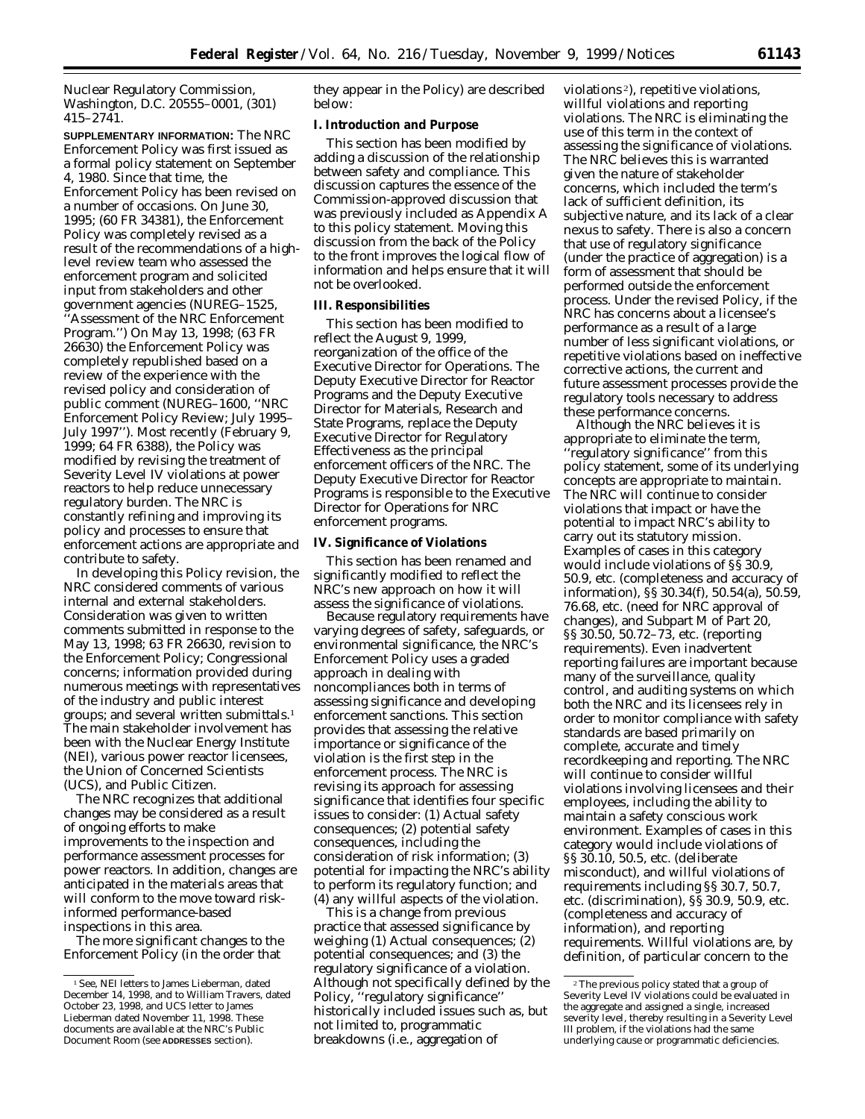Nuclear Regulatory Commission, Washington, D.C. 20555–0001, (301) 415–2741.

**SUPPLEMENTARY INFORMATION:** The NRC Enforcement Policy was first issued as a formal policy statement on September 4, 1980. Since that time, the Enforcement Policy has been revised on a number of occasions. On June 30, 1995; (60 FR 34381), the Enforcement Policy was completely revised as a result of the recommendations of a highlevel review team who assessed the enforcement program and solicited input from stakeholders and other government agencies (NUREG–1525

'Assessment of the NRC Enforcement Program.'') On May 13, 1998; (63 FR 26630) the Enforcement Policy was completely republished based on a review of the experience with the revised policy and consideration of public comment (NUREG–1600, ''NRC Enforcement Policy Review; July 1995– July 1997''). Most recently (February 9, 1999; 64 FR 6388), the Policy was modified by revising the treatment of Severity Level IV violations at power reactors to help reduce unnecessary regulatory burden. The NRC is constantly refining and improving its policy and processes to ensure that enforcement actions are appropriate and contribute to safety.

In developing this Policy revision, the NRC considered comments of various internal and external stakeholders. Consideration was given to written comments submitted in response to the May 13, 1998; 63 FR 26630, revision to the Enforcement Policy; Congressional concerns; information provided during numerous meetings with representatives of the industry and public interest groups; and several written submittals.1 The main stakeholder involvement has been with the Nuclear Energy Institute (NEI), various power reactor licensees, the Union of Concerned Scientists (UCS), and Public Citizen.

The NRC recognizes that additional changes may be considered as a result of ongoing efforts to make improvements to the inspection and performance assessment processes for power reactors. In addition, changes are anticipated in the materials areas that will conform to the move toward riskinformed performance-based inspections in this area.

The more significant changes to the Enforcement Policy (in the order that

they appear in the Policy) are described below:

#### **I. Introduction and Purpose**

This section has been modified by adding a discussion of the relationship between safety and compliance. This discussion captures the essence of the Commission-approved discussion that was previously included as Appendix A to this policy statement. Moving this discussion from the back of the Policy to the front improves the logical flow of information and helps ensure that it will not be overlooked.

### **III. Responsibilities**

This section has been modified to reflect the August 9, 1999, reorganization of the office of the Executive Director for Operations. The Deputy Executive Director for Reactor Programs and the Deputy Executive Director for Materials, Research and State Programs, replace the Deputy Executive Director for Regulatory Effectiveness as the principal enforcement officers of the NRC. The Deputy Executive Director for Reactor Programs is responsible to the Executive Director for Operations for NRC enforcement programs.

#### **IV. Significance of Violations**

This section has been renamed and significantly modified to reflect the NRC's new approach on how it will assess the significance of violations.

Because regulatory requirements have varying degrees of safety, safeguards, or environmental significance, the NRC's Enforcement Policy uses a graded approach in dealing with noncompliances both in terms of assessing significance and developing enforcement sanctions. This section provides that assessing the relative importance or significance of the violation is the first step in the enforcement process. The NRC is revising its approach for assessing significance that identifies four specific issues to consider: (1) Actual safety consequences; (2) potential safety consequences, including the consideration of risk information; (3) potential for impacting the NRC's ability to perform its regulatory function; and (4) any willful aspects of the violation.

This is a change from previous practice that assessed significance by weighing (1) Actual consequences; (2) potential consequences; and (3) the regulatory significance of a violation. Although not specifically defined by the Policy, ''regulatory significance'' historically included issues such as, but not limited to, programmatic breakdowns (*i.e.,* aggregation of

violations 2), repetitive violations, willful violations and reporting violations. The NRC is eliminating the use of this term in the context of assessing the significance of violations. The NRC believes this is warranted given the nature of stakeholder concerns, which included the term's lack of sufficient definition, its subjective nature, and its lack of a clear nexus to safety. There is also a concern that use of regulatory significance (under the practice of aggregation) is a form of assessment that should be performed outside the enforcement process. Under the revised Policy, if the NRC has concerns about a licensee's performance as a result of a large number of less significant violations, or repetitive violations based on ineffective corrective actions, the current and future assessment processes provide the regulatory tools necessary to address these performance concerns.

Although the NRC believes it is appropriate to eliminate the term, ''regulatory significance'' from this policy statement, some of its underlying concepts are appropriate to maintain. The NRC will continue to consider violations that impact or have the potential to impact NRC's ability to carry out its statutory mission. Examples of cases in this category would include violations of §§ 30.9, 50.9, *etc.* (completeness and accuracy of information),  $\hat{S}$ § 30.34(f), 50.54(a), 50.59, 76.68, *etc.* (need for NRC approval of changes), and Subpart M of Part 20, §§ 30.50, 50.72–73, *etc.* (reporting requirements). Even inadvertent reporting failures are important because many of the surveillance, quality control, and auditing systems on which both the NRC and its licensees rely in order to monitor compliance with safety standards are based primarily on complete, accurate and timely recordkeeping and reporting. The NRC will continue to consider willful violations involving licensees and their employees, including the ability to maintain a safety conscious work environment. Examples of cases in this category would include violations of §§ 30.10, 50.5, *etc.* (deliberate misconduct), and willful violations of requirements including §§ 30.7, 50.7, *etc.* (discrimination), §§ 30.9, 50.9, *etc.* (completeness and accuracy of information), and reporting requirements. Willful violations are, by definition, of particular concern to the

<sup>&</sup>lt;sup>1</sup> See, NEI letters to James Lieberman, dated December 14, 1998, and to William Travers, dated October 23, 1998, and UCS letter to James Lieberman dated November 11, 1998. These documents are available at the NRC's Public Document Room (see **ADDRESSES** section).

<sup>2</sup>The previous policy stated that a group of Severity Level IV violations could be evaluated in the aggregate and assigned a single, increased severity level, thereby resulting in a Severity Level III problem, if the violations had the same underlying cause or programmatic deficiencies.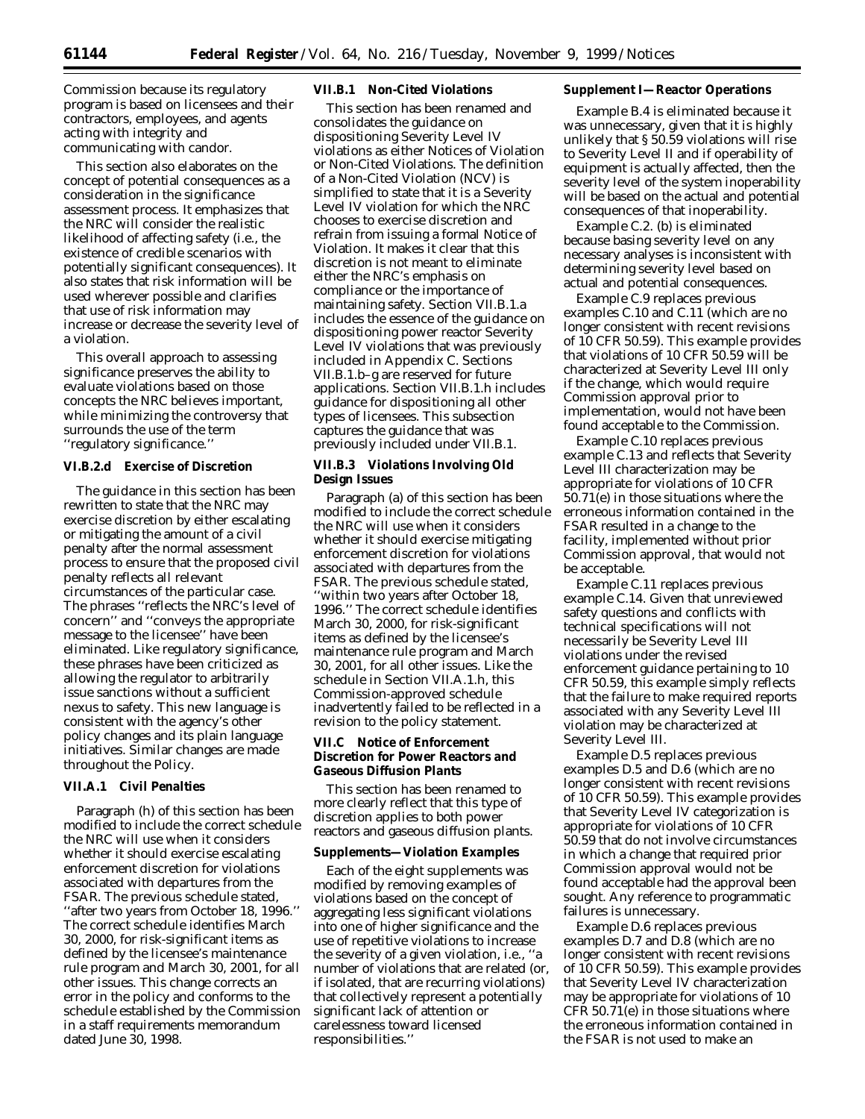Commission because its regulatory program is based on licensees and their contractors, employees, and agents acting with integrity and communicating with candor.

This section also elaborates on the concept of potential consequences as a consideration in the significance assessment process. It emphasizes that the NRC will consider the realistic likelihood of affecting safety (*i.e.,* the existence of credible scenarios with potentially significant consequences). It also states that risk information will be used wherever possible and clarifies that use of risk information may increase or decrease the severity level of a violation.

This overall approach to assessing significance preserves the ability to evaluate violations based on those concepts the NRC believes important, while minimizing the controversy that surrounds the use of the term ''regulatory significance.''

## **VI.B.2.d Exercise of Discretion**

The guidance in this section has been rewritten to state that the NRC may exercise discretion by either escalating or mitigating the amount of a civil penalty after the normal assessment process to ensure that the proposed civil penalty reflects all relevant circumstances of the particular case. The phrases ''reflects the NRC's level of concern'' and ''conveys the appropriate message to the licensee'' have been eliminated. Like regulatory significance, these phrases have been criticized as allowing the regulator to arbitrarily issue sanctions without a sufficient nexus to safety. This new language is consistent with the agency's other policy changes and its plain language initiatives. Similar changes are made throughout the Policy.

## **VII.A.1 Civil Penalties**

Paragraph (h) of this section has been modified to include the correct schedule the NRC will use when it considers whether it should exercise escalating enforcement discretion for violations associated with departures from the FSAR. The previous schedule stated, ''after two years from October 18, 1996.'' The correct schedule identifies March 30, 2000, for risk-significant items as defined by the licensee's maintenance rule program and March 30, 2001, for all other issues. This change corrects an error in the policy and conforms to the schedule established by the Commission in a staff requirements memorandum dated June 30, 1998.

### **VII.B.1 Non-Cited Violations**

This section has been renamed and consolidates the guidance on dispositioning Severity Level IV violations as either Notices of Violation or Non-Cited Violations. The definition of a Non-Cited Violation (NCV) is simplified to state that it is a Severity Level IV violation for which the NRC chooses to exercise discretion and refrain from issuing a formal Notice of Violation. It makes it clear that this discretion is not meant to eliminate either the NRC's emphasis on compliance or the importance of maintaining safety. Section VII.B.1.a includes the essence of the guidance on dispositioning power reactor Severity Level IV violations that was previously included in Appendix C. Sections VII.B.1.b–g are reserved for future applications. Section VII.B.1.h includes guidance for dispositioning all other types of licensees. This subsection captures the guidance that was previously included under VII.B.1.

## **VII.B.3 Violations Involving Old Design Issues**

Paragraph (a) of this section has been modified to include the correct schedule the NRC will use when it considers whether it should exercise mitigating enforcement discretion for violations associated with departures from the FSAR. The previous schedule stated, ''within two years after October 18, 1996.'' The correct schedule identifies March 30, 2000, for risk-significant items as defined by the licensee's maintenance rule program and March 30, 2001, for all other issues. Like the schedule in Section VII.A.1.h, this Commission-approved schedule inadvertently failed to be reflected in a revision to the policy statement.

## **VII.C Notice of Enforcement Discretion for Power Reactors and Gaseous Diffusion Plants**

This section has been renamed to more clearly reflect that this type of discretion applies to both power reactors and gaseous diffusion plants.

#### **Supplements—Violation Examples**

Each of the eight supplements was modified by removing examples of violations based on the concept of aggregating less significant violations into one of higher significance and the use of repetitive violations to increase the severity of a given violation, *i.e.,* ''a number of violations that are related (or, if isolated, that are recurring violations) that collectively represent a potentially significant lack of attention or carelessness toward licensed responsibilities.''

### **Supplement I—Reactor Operations**

Example B.4 is eliminated because it was unnecessary, given that it is highly unlikely that § 50.59 violations will rise to Severity Level II and if operability of equipment is actually affected, then the severity level of the system inoperability will be based on the actual and potential consequences of that inoperability.

Example C.2. (b) is eliminated because basing severity level on any necessary analyses is inconsistent with determining severity level based on actual and potential consequences.

Example C.9 replaces previous examples C.10 and C.11 (which are no longer consistent with recent revisions of 10 CFR 50.59). This example provides that violations of 10 CFR 50.59 will be characterized at Severity Level III only if the change, which would require Commission approval prior to implementation, would not have been found acceptable to the Commission.

Example C.10 replaces previous example C.13 and reflects that Severity Level III characterization may be appropriate for violations of 10 CFR 50.71(e) in those situations where the erroneous information contained in the FSAR resulted in a change to the facility, implemented without prior Commission approval, that would not be acceptable.

Example C.11 replaces previous example C.14. Given that unreviewed safety questions and conflicts with technical specifications will not necessarily be Severity Level III violations under the revised enforcement guidance pertaining to 10 CFR 50.59, this example simply reflects that the failure to make required reports associated with any Severity Level III violation may be characterized at Severity Level III.

Example D.5 replaces previous examples D.5 and D.6 (which are no longer consistent with recent revisions of 10 CFR 50.59). This example provides that Severity Level IV categorization is appropriate for violations of 10 CFR 50.59 that do not involve circumstances in which a change that required prior Commission approval would not be found acceptable had the approval been sought. Any reference to programmatic failures is unnecessary.

Example D.6 replaces previous examples D.7 and D.8 (which are no longer consistent with recent revisions of 10 CFR 50.59). This example provides that Severity Level IV characterization may be appropriate for violations of 10 CFR 50.71(e) in those situations where the erroneous information contained in the FSAR is not used to make an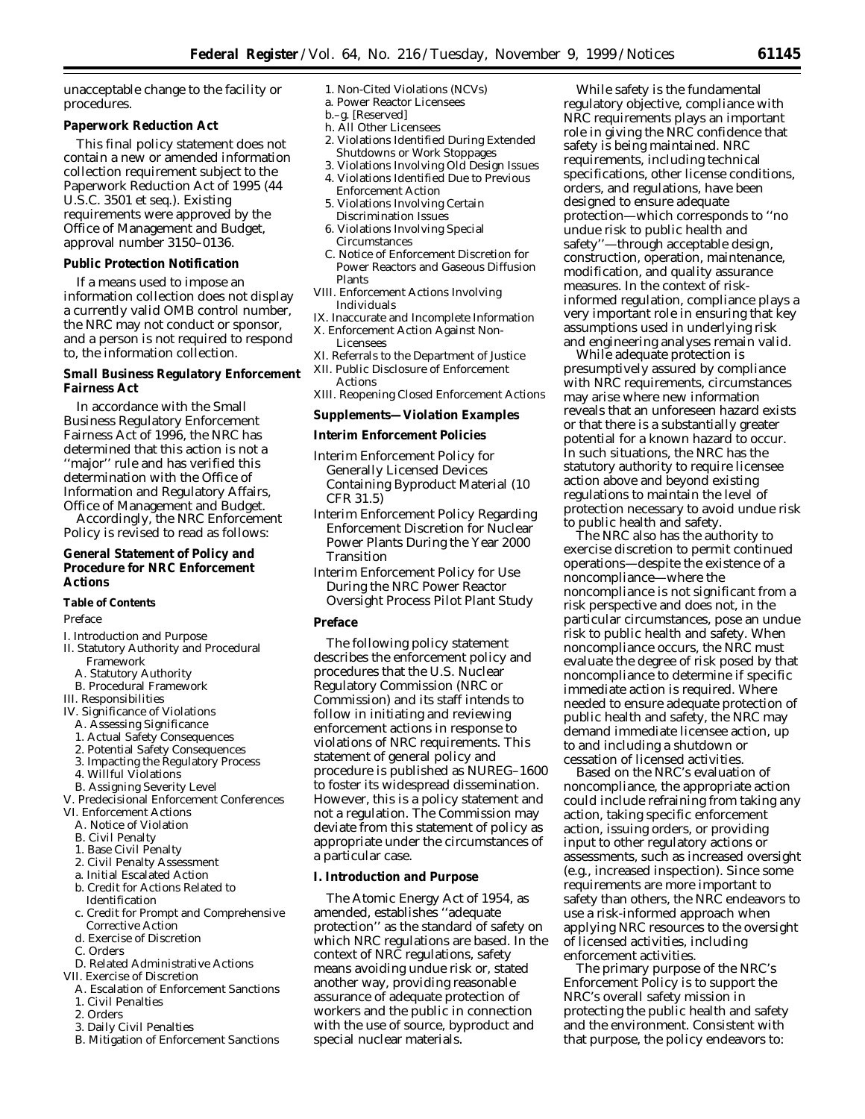unacceptable change to the facility or procedures.

## **Paperwork Reduction Act**

This final policy statement does not contain a new or amended information collection requirement subject to the Paperwork Reduction Act of 1995 (44 U.S.C. 3501 *et seq.*). Existing requirements were approved by the Office of Management and Budget, approval number 3150–0136.

#### **Public Protection Notification**

If a means used to impose an information collection does not display a currently valid OMB control number, the NRC may not conduct or sponsor, and a person is not required to respond to, the information collection.

## **Small Business Regulatory Enforcement Fairness Act**

In accordance with the Small Business Regulatory Enforcement Fairness Act of 1996, the NRC has determined that this action is not a ''major'' rule and has verified this determination with the Office of Information and Regulatory Affairs, Office of Management and Budget.

Accordingly, the NRC Enforcement Policy is revised to read as follows:

## **General Statement of Policy and Procedure for NRC Enforcement Actions**

#### **Table of Contents**

#### Preface

- I. Introduction and Purpose
- II. Statutory Authority and Procedural
	- Framework
	- A. Statutory Authority B. Procedural Framework

# III. Responsibilities

- IV. Significance of Violations
- A. Assessing Significance
- 
- 1. Actual Safety Consequences 2. Potential Safety Consequences
- 3. Impacting the Regulatory Process
- 
- 4. Willful Violations
- B. Assigning Severity Level
- V. Predecisional Enforcement Conferences
- VI. Enforcement Actions
- A. Notice of Violation
- B. Civil Penalty
- 1. Base Civil Penalty
- 2. Civil Penalty Assessment
- a. Initial Escalated Action
- b. Credit for Actions Related to Identification
- c. Credit for Prompt and Comprehensive Corrective Action
- d. Exercise of Discretion
- C. Orders
- D. Related Administrative Actions
- VII. Exercise of Discretion
	- A. Escalation of Enforcement Sanctions 1. Civil Penalties
	- 2. Orders
	- 3. Daily Civil Penalties
	- B. Mitigation of Enforcement Sanctions
- 1. Non-Cited Violations (NCVs)
- a. Power Reactor Licensees b.–g. [Reserved]
- h. All Other Licensees
- 2. Violations Identified During Extended Shutdowns or Work Stoppages
- 3. Violations Involving Old Design Issues
- 4. Violations Identified Due to Previous Enforcement Action
- 5. Violations Involving Certain Discrimination Issues
- 6. Violations Involving Special Circumstances
- C. Notice of Enforcement Discretion for Power Reactors and Gaseous Diffusion Plants
- VIII. Enforcement Actions Involving Individuals
- IX. Inaccurate and Incomplete Information X. Enforcement Action Against Non-
	- Licensees
- XI. Referrals to the Department of Justice
- XII. Public Disclosure of Enforcement Actions
- XIII. Reopening Closed Enforcement Actions

#### **Supplements—Violation Examples**

## **Interim Enforcement Policies**

- Interim Enforcement Policy for Generally Licensed Devices Containing Byproduct Material (10 CFR 31.5)
- Interim Enforcement Policy Regarding Enforcement Discretion for Nuclear Power Plants During the Year 2000 Transition
- Interim Enforcement Policy for Use During the NRC Power Reactor Oversight Process Pilot Plant Study

#### **Preface**

The following policy statement describes the enforcement policy and procedures that the U.S. Nuclear Regulatory Commission (NRC or Commission) and its staff intends to follow in initiating and reviewing enforcement actions in response to violations of NRC requirements. This statement of general policy and procedure is published as NUREG–1600 to foster its widespread dissemination. However, this is a policy statement and not a regulation. The Commission may deviate from this statement of policy as appropriate under the circumstances of a particular case.

## **I. Introduction and Purpose**

The Atomic Energy Act of 1954, as amended, establishes ''adequate protection'' as the standard of safety on which NRC regulations are based. In the context of NRC regulations, safety means avoiding undue risk or, stated another way, providing reasonable assurance of adequate protection of workers and the public in connection with the use of source, byproduct and special nuclear materials.

While safety is the fundamental regulatory objective, compliance with NRC requirements plays an important role in giving the NRC confidence that safety is being maintained. NRC requirements, including technical specifications, other license conditions, orders, and regulations, have been designed to ensure adequate protection—which corresponds to ''no undue risk to public health and safety''—through acceptable design, construction, operation, maintenance, modification, and quality assurance measures. In the context of riskinformed regulation, compliance plays a very important role in ensuring that key assumptions used in underlying risk and engineering analyses remain valid.

While adequate protection is presumptively assured by compliance with NRC requirements, circumstances may arise where new information reveals that an unforeseen hazard exists or that there is a substantially greater potential for a known hazard to occur. In such situations, the NRC has the statutory authority to require licensee action above and beyond existing regulations to maintain the level of protection necessary to avoid undue risk to public health and safety.

The NRC also has the authority to exercise discretion to permit continued operations—despite the existence of a noncompliance—where the noncompliance is not significant from a risk perspective and does not, in the particular circumstances, pose an undue risk to public health and safety. When noncompliance occurs, the NRC must evaluate the degree of risk posed by that noncompliance to determine if specific immediate action is required. Where needed to ensure adequate protection of public health and safety, the NRC may demand immediate licensee action, up to and including a shutdown or cessation of licensed activities.

Based on the NRC's evaluation of noncompliance, the appropriate action could include refraining from taking any action, taking specific enforcement action, issuing orders, or providing input to other regulatory actions or assessments, such as increased oversight (*e.g.,* increased inspection). Since some requirements are more important to safety than others, the NRC endeavors to use a risk-informed approach when applying NRC resources to the oversight of licensed activities, including enforcement activities.

The primary purpose of the NRC's Enforcement Policy is to support the NRC's overall safety mission in protecting the public health and safety and the environment. Consistent with that purpose, the policy endeavors to: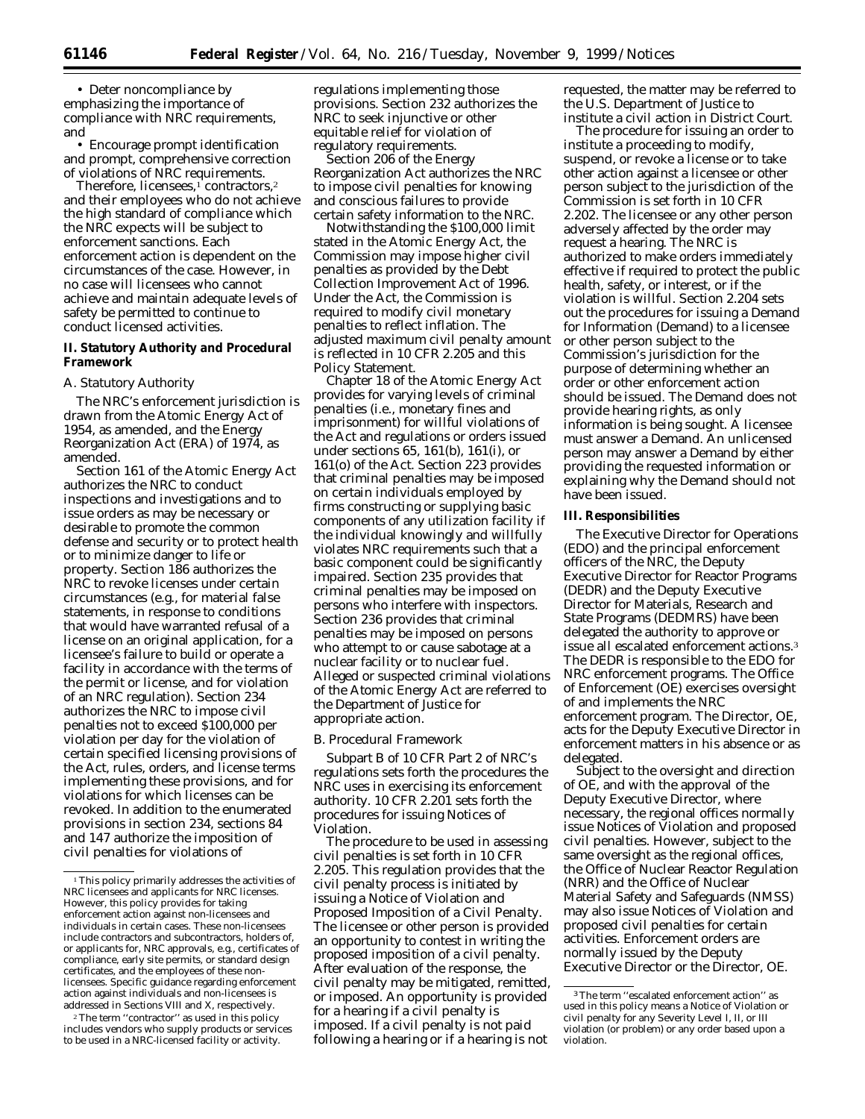• Deter noncompliance by emphasizing the importance of compliance with NRC requirements, and

• Encourage prompt identification and prompt, comprehensive correction of violations of NRC requirements.

Therefore, licensees,<sup>1</sup> contractors,<sup>2</sup> and their employees who do not achieve the high standard of compliance which the NRC expects will be subject to enforcement sanctions. Each enforcement action is dependent on the circumstances of the case. However, in no case will licensees who cannot achieve and maintain adequate levels of safety be permitted to continue to conduct licensed activities.

## **II. Statutory Authority and Procedural Framework**

#### *A. Statutory Authority*

The NRC's enforcement jurisdiction is drawn from the Atomic Energy Act of 1954, as amended, and the Energy Reorganization Act (ERA) of 1974, as amended.

Section 161 of the Atomic Energy Act authorizes the NRC to conduct inspections and investigations and to issue orders as may be necessary or desirable to promote the common defense and security or to protect health or to minimize danger to life or property. Section 186 authorizes the NRC to revoke licenses under certain circumstances (*e.g.,* for material false statements, in response to conditions that would have warranted refusal of a license on an original application, for a licensee's failure to build or operate a facility in accordance with the terms of the permit or license, and for violation of an NRC regulation). Section 234 authorizes the NRC to impose civil penalties not to exceed \$100,000 per violation per day for the violation of certain specified licensing provisions of the Act, rules, orders, and license terms implementing these provisions, and for violations for which licenses can be revoked. In addition to the enumerated provisions in section 234, sections 84 and 147 authorize the imposition of civil penalties for violations of

2The term ''contractor'' as used in this policy includes vendors who supply products or services to be used in a NRC-licensed facility or activity.

regulations implementing those provisions. Section 232 authorizes the NRC to seek injunctive or other equitable relief for violation of regulatory requirements.

Section 206 of the Energy Reorganization Act authorizes the NRC to impose civil penalties for knowing and conscious failures to provide certain safety information to the NRC.

Notwithstanding the \$100,000 limit stated in the Atomic Energy Act, the Commission may impose higher civil penalties as provided by the Debt Collection Improvement Act of 1996. Under the Act, the Commission is required to modify civil monetary penalties to reflect inflation. The adjusted maximum civil penalty amount is reflected in 10 CFR 2.205 and this Policy Statement.

Chapter 18 of the Atomic Energy Act provides for varying levels of criminal penalties (*i.e.,* monetary fines and imprisonment) for willful violations of the Act and regulations or orders issued under sections 65, 161(b), 161(i), or 161(o) of the Act. Section 223 provides that criminal penalties may be imposed on certain individuals employed by firms constructing or supplying basic components of any utilization facility if the individual knowingly and willfully violates NRC requirements such that a basic component could be significantly impaired. Section 235 provides that criminal penalties may be imposed on persons who interfere with inspectors. Section 236 provides that criminal penalties may be imposed on persons who attempt to or cause sabotage at a nuclear facility or to nuclear fuel. Alleged or suspected criminal violations of the Atomic Energy Act are referred to the Department of Justice for appropriate action.

#### *B. Procedural Framework*

Subpart B of 10 CFR Part 2 of NRC's regulations sets forth the procedures the NRC uses in exercising its enforcement authority. 10 CFR 2.201 sets forth the procedures for issuing Notices of Violation.

The procedure to be used in assessing civil penalties is set forth in 10 CFR 2.205. This regulation provides that the civil penalty process is initiated by issuing a Notice of Violation and Proposed Imposition of a Civil Penalty. The licensee or other person is provided an opportunity to contest in writing the proposed imposition of a civil penalty. After evaluation of the response, the civil penalty may be mitigated, remitted, or imposed. An opportunity is provided for a hearing if a civil penalty is imposed. If a civil penalty is not paid following a hearing or if a hearing is not

requested, the matter may be referred to the U.S. Department of Justice to institute a civil action in District Court.

The procedure for issuing an order to institute a proceeding to modify, suspend, or revoke a license or to take other action against a licensee or other person subject to the jurisdiction of the Commission is set forth in 10 CFR 2.202. The licensee or any other person adversely affected by the order may request a hearing. The NRC is authorized to make orders immediately effective if required to protect the public health, safety, or interest, or if the violation is willful. Section 2.204 sets out the procedures for issuing a Demand for Information (Demand) to a licensee or other person subject to the Commission's jurisdiction for the purpose of determining whether an order or other enforcement action should be issued. The Demand does not provide hearing rights, as only information is being sought. A licensee must answer a Demand. An unlicensed person may answer a Demand by either providing the requested information or explaining why the Demand should not have been issued.

#### **III. Responsibilities**

The Executive Director for Operations (EDO) and the principal enforcement officers of the NRC, the Deputy Executive Director for Reactor Programs (DEDR) and the Deputy Executive Director for Materials, Research and State Programs (DEDMRS) have been delegated the authority to approve or issue all escalated enforcement actions.3 The DEDR is responsible to the EDO for NRC enforcement programs. The Office of Enforcement (OE) exercises oversight of and implements the NRC enforcement program. The Director, OE, acts for the Deputy Executive Director in enforcement matters in his absence or as delegated.

Subject to the oversight and direction of OE, and with the approval of the Deputy Executive Director, where necessary, the regional offices normally issue Notices of Violation and proposed civil penalties. However, subject to the same oversight as the regional offices, the Office of Nuclear Reactor Regulation (NRR) and the Office of Nuclear Material Safety and Safeguards (NMSS) may also issue Notices of Violation and proposed civil penalties for certain activities. Enforcement orders are normally issued by the Deputy Executive Director or the Director, OE.

<sup>1</sup>This policy primarily addresses the activities of NRC licensees and applicants for NRC licenses. However, this policy provides for taking enforcement action against non-licensees and individuals in certain cases. These non-licensees include contractors and subcontractors, holders of or applicants for, NRC approvals, e.g., certificates of compliance, early site permits, or standard design certificates, and the employees of these nonlicensees. Specific guidance regarding enforcement action against individuals and non-licensees is addressed in Sections VIII and X, respectively.

<sup>3</sup>The term ''escalated enforcement action'' as used in this policy means a Notice of Violation or civil penalty for any Severity Level I, II, or III violation (or problem) or any order based upon a violation.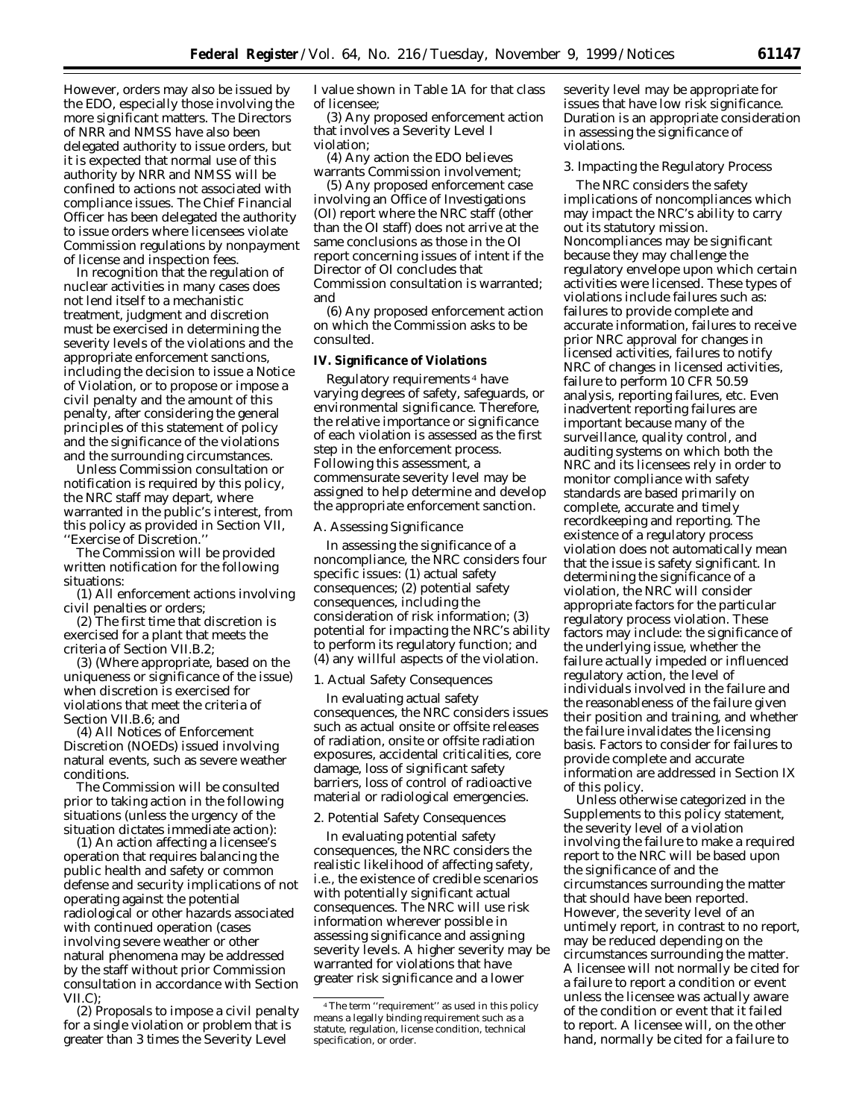However, orders may also be issued by the EDO, especially those involving the more significant matters. The Directors of NRR and NMSS have also been delegated authority to issue orders, but it is expected that normal use of this authority by NRR and NMSS will be confined to actions not associated with compliance issues. The Chief Financial Officer has been delegated the authority to issue orders where licensees violate Commission regulations by nonpayment of license and inspection fees.

In recognition that the regulation of nuclear activities in many cases does not lend itself to a mechanistic treatment, judgment and discretion must be exercised in determining the severity levels of the violations and the appropriate enforcement sanctions, including the decision to issue a Notice of Violation, or to propose or impose a civil penalty and the amount of this penalty, after considering the general principles of this statement of policy and the significance of the violations and the surrounding circumstances.

Unless Commission consultation or notification is required by this policy, the NRC staff may depart, where warranted in the public's interest, from this policy as provided in Section VII, ''Exercise of Discretion.''

The Commission will be provided written notification for the following situations:

(1) All enforcement actions involving civil penalties or orders;

(2) The first time that discretion is exercised for a plant that meets the criteria of Section VII.B.2;

(3) (Where appropriate, based on the uniqueness or significance of the issue) when discretion is exercised for violations that meet the criteria of Section VII.B.6; and

(4) All Notices of Enforcement Discretion (NOEDs) issued involving natural events, such as severe weather conditions.

The Commission will be consulted prior to taking action in the following situations (unless the urgency of the situation dictates immediate action):

(1) An action affecting a licensee's operation that requires balancing the public health and safety or common defense and security implications of not operating against the potential radiological or other hazards associated with continued operation (cases involving severe weather or other natural phenomena may be addressed by the staff without prior Commission consultation in accordance with Section VII.C);

(2) Proposals to impose a civil penalty for a single violation or problem that is greater than 3 times the Severity Level

I value shown in Table 1A for that class of licensee;

(3) Any proposed enforcement action that involves a Severity Level I violation;

(4) Any action the EDO believes warrants Commission involvement;

(5) Any proposed enforcement case involving an Office of Investigations (OI) report where the NRC staff (other than the OI staff) does not arrive at the same conclusions as those in the OI report concerning issues of intent if the Director of OI concludes that Commission consultation is warranted; and

(6) Any proposed enforcement action on which the Commission asks to be consulted.

#### **IV. Significance of Violations**

Regulatory requirements 4 have varying degrees of safety, safeguards, or environmental significance. Therefore, the relative importance or significance of each violation is assessed as the first step in the enforcement process. Following this assessment, a commensurate severity level may be assigned to help determine and develop the appropriate enforcement sanction.

#### *A. Assessing Significance*

In assessing the significance of a noncompliance, the NRC considers four specific issues: (1) actual safety consequences; (2) potential safety consequences, including the consideration of risk information; (3) potential for impacting the NRC's ability to perform its regulatory function; and (4) any willful aspects of the violation.

#### 1. Actual Safety Consequences

In evaluating actual safety consequences, the NRC considers issues such as actual onsite or offsite releases of radiation, onsite or offsite radiation exposures, accidental criticalities, core damage, loss of significant safety barriers, loss of control of radioactive material or radiological emergencies.

## 2. Potential Safety Consequences

In evaluating potential safety consequences, the NRC considers the realistic likelihood of affecting safety, *i.e.,* the existence of credible scenarios with potentially significant actual consequences. The NRC will use risk information wherever possible in assessing significance and assigning severity levels. A higher severity may be warranted for violations that have greater risk significance and a lower

severity level may be appropriate for issues that have low risk significance. Duration is an appropriate consideration in assessing the significance of violations.

#### 3. Impacting the Regulatory Process

The NRC considers the safety implications of noncompliances which may impact the NRC's ability to carry out its statutory mission. Noncompliances may be significant because they may challenge the regulatory envelope upon which certain activities were licensed. These types of violations include failures such as: failures to provide complete and accurate information, failures to receive prior NRC approval for changes in licensed activities, failures to notify NRC of changes in licensed activities, failure to perform 10 CFR 50.59 analysis, reporting failures, *etc.* Even inadvertent reporting failures are important because many of the surveillance, quality control, and auditing systems on which both the NRC and its licensees rely in order to monitor compliance with safety standards are based primarily on complete, accurate and timely recordkeeping and reporting. The existence of a regulatory process violation does not automatically mean that the issue is safety significant. In determining the significance of a violation, the NRC will consider appropriate factors for the particular regulatory process violation. These factors may include: the significance of the underlying issue, whether the failure actually impeded or influenced regulatory action, the level of individuals involved in the failure and the reasonableness of the failure given their position and training, and whether the failure invalidates the licensing basis. Factors to consider for failures to provide complete and accurate information are addressed in Section IX of this policy.

Unless otherwise categorized in the Supplements to this policy statement, the severity level of a violation involving the failure to make a required report to the NRC will be based upon the significance of and the circumstances surrounding the matter that should have been reported. However, the severity level of an untimely report, in contrast to no report, may be reduced depending on the circumstances surrounding the matter. A licensee will not normally be cited for a failure to report a condition or event unless the licensee was actually aware of the condition or event that it failed to report. A licensee will, on the other hand, normally be cited for a failure to

<sup>4</sup>The term ''requirement'' as used in this policy means a legally binding requirement such as a statute, regulation, license condition, technical specification, or order.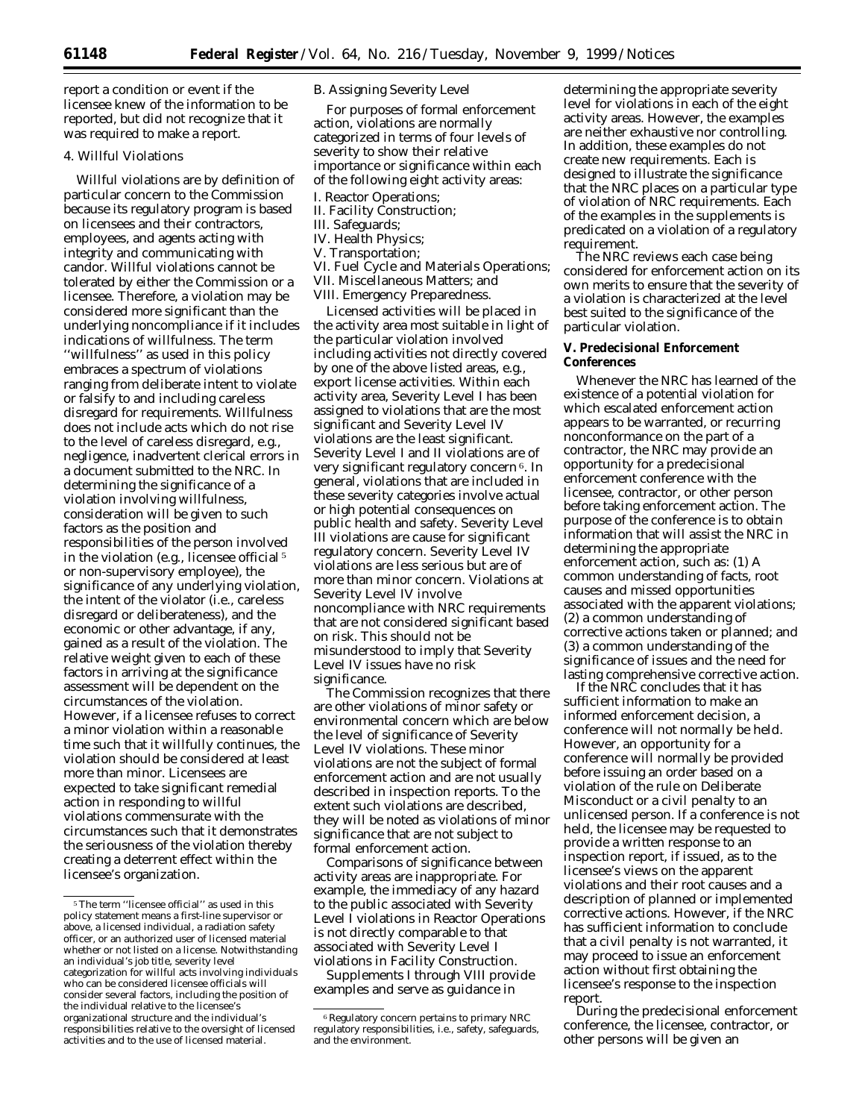report a condition or event if the licensee knew of the information to be reported, but did not recognize that it was required to make a report.

### 4. Willful Violations

Willful violations are by definition of particular concern to the Commission because its regulatory program is based on licensees and their contractors, employees, and agents acting with integrity and communicating with candor. Willful violations cannot be tolerated by either the Commission or a licensee. Therefore, a violation may be considered more significant than the underlying noncompliance if it includes indications of willfulness. The term ''willfulness'' as used in this policy embraces a spectrum of violations ranging from deliberate intent to violate or falsify to and including careless disregard for requirements. Willfulness does not include acts which do not rise to the level of careless disregard, *e.g.,* negligence, inadvertent clerical errors in a document submitted to the NRC. In determining the significance of a violation involving willfulness, consideration will be given to such factors as the position and responsibilities of the person involved in the violation (*e.g.,* licensee official 5 or non-supervisory employee), the significance of any underlying violation, the intent of the violator (*i.e.,* careless disregard or deliberateness), and the economic or other advantage, if any, gained as a result of the violation. The relative weight given to each of these factors in arriving at the significance assessment will be dependent on the circumstances of the violation. However, if a licensee refuses to correct a minor violation within a reasonable time such that it willfully continues, the violation should be considered at least more than minor. Licensees are expected to take significant remedial action in responding to willful violations commensurate with the circumstances such that it demonstrates the seriousness of the violation thereby creating a deterrent effect within the licensee's organization.

#### *B. Assigning Severity Level*

For purposes of formal enforcement action, violations are normally categorized in terms of four levels of severity to show their relative importance or significance within each of the following eight activity areas: I. Reactor Operations;

- II. Facility Construction;
- III. Safeguards;
- IV. Health Physics;
- V. Transportation;
- VI. Fuel Cycle and Materials Operations;
- VII. Miscellaneous Matters; and
- VIII. Emergency Preparedness.

Licensed activities will be placed in the activity area most suitable in light of the particular violation involved including activities not directly covered by one of the above listed areas, *e.g.,* export license activities. Within each activity area, Severity Level I has been assigned to violations that are the most significant and Severity Level IV violations are the least significant. Severity Level I and II violations are of very significant regulatory concern<sup>6</sup>. In general, violations that are included in these severity categories involve actual or high potential consequences on public health and safety. Severity Level III violations are cause for significant regulatory concern. Severity Level IV violations are less serious but are of more than minor concern. Violations at Severity Level IV involve noncompliance with NRC requirements that are not considered significant based on risk. This should not be misunderstood to imply that Severity Level IV issues have no risk significance.

The Commission recognizes that there are other violations of minor safety or environmental concern which are below the level of significance of Severity Level IV violations. These minor violations are not the subject of formal enforcement action and are not usually described in inspection reports. To the extent such violations are described, they will be noted as violations of minor significance that are not subject to formal enforcement action.

Comparisons of significance between activity areas are inappropriate. For example, the immediacy of any hazard to the public associated with Severity Level I violations in Reactor Operations is not directly comparable to that associated with Severity Level I violations in Facility Construction.

Supplements I through VIII provide examples and serve as guidance in

determining the appropriate severity level for violations in each of the eight activity areas. However, the examples are neither exhaustive nor controlling. In addition, these examples do not create new requirements. Each is designed to illustrate the significance that the NRC places on a particular type of violation of NRC requirements. Each of the examples in the supplements is predicated on a violation of a regulatory requirement.

The NRC reviews each case being considered for enforcement action on its own merits to ensure that the severity of a violation is characterized at the level best suited to the significance of the particular violation.

## **V. Predecisional Enforcement Conferences**

Whenever the NRC has learned of the existence of a potential violation for which escalated enforcement action appears to be warranted, or recurring nonconformance on the part of a contractor, the NRC may provide an opportunity for a predecisional enforcement conference with the licensee, contractor, or other person before taking enforcement action. The purpose of the conference is to obtain information that will assist the NRC in determining the appropriate enforcement action, such as: (1) A common understanding of facts, root causes and missed opportunities associated with the apparent violations; (2) a common understanding of corrective actions taken or planned; and (3) a common understanding of the significance of issues and the need for lasting comprehensive corrective action.

If the NRC concludes that it has sufficient information to make an informed enforcement decision, a conference will not normally be held. However, an opportunity for a conference will normally be provided before issuing an order based on a violation of the rule on Deliberate Misconduct or a civil penalty to an unlicensed person. If a conference is not held, the licensee may be requested to provide a written response to an inspection report, if issued, as to the licensee's views on the apparent violations and their root causes and a description of planned or implemented corrective actions. However, if the NRC has sufficient information to conclude that a civil penalty is not warranted, it may proceed to issue an enforcement action without first obtaining the licensee's response to the inspection report.

During the predecisional enforcement conference, the licensee, contractor, or other persons will be given an

 $^{\mathrm{5}}$  The term ''licensee official'' as used in this policy statement means a first-line supervisor or above, a licensed individual, a radiation safety officer, or an authorized user of licensed material whether or not listed on a license. Notwithstanding an individual's job title, severity level categorization for willful acts involving individuals who can be considered licensee officials will consider several factors, including the position of the individual relative to the licensee's organizational structure and the individual's responsibilities relative to the oversight of licensed activities and to the use of licensed material.

<sup>6</sup>Regulatory concern pertains to primary NRC regulatory responsibilities, *i.e.,* safety, safeguards, and the environment.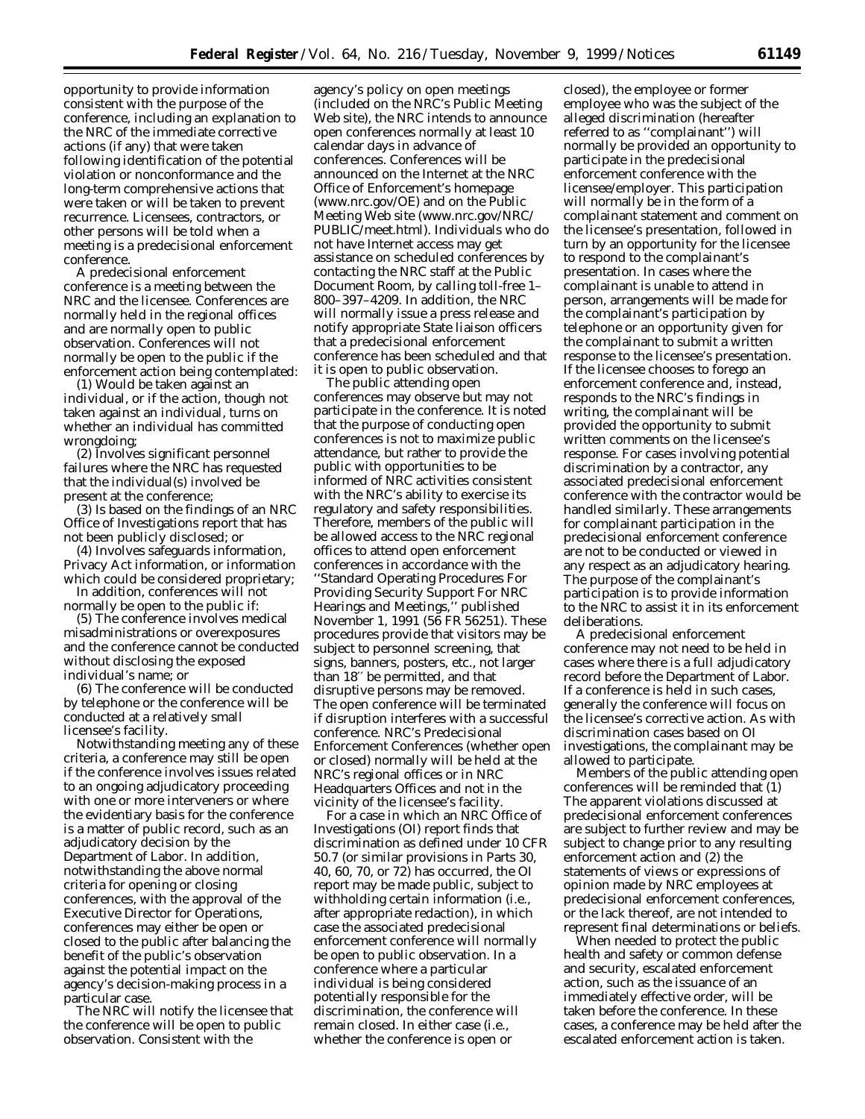opportunity to provide information consistent with the purpose of the conference, including an explanation to the NRC of the immediate corrective actions (if any) that were taken following identification of the potential violation or nonconformance and the long-term comprehensive actions that were taken or will be taken to prevent recurrence. Licensees, contractors, or other persons will be told when a meeting is a predecisional enforcement conference.

A predecisional enforcement conference is a meeting between the NRC and the licensee. Conferences are normally held in the regional offices and are normally open to public observation. Conferences will not normally be open to the public if the enforcement action being contemplated:

(1) Would be taken against an individual, or if the action, though not taken against an individual, turns on whether an individual has committed wrongdoing;

(2) Involves significant personnel failures where the NRC has requested that the individual(s) involved be present at the conference;

(3) Is based on the findings of an NRC Office of Investigations report that has not been publicly disclosed; or

(4) Involves safeguards information, Privacy Act information, or information which could be considered proprietary;

In addition, conferences will not normally be open to the public if:

(5) The conference involves medical misadministrations or overexposures and the conference cannot be conducted without disclosing the exposed individual's name; or

(6) The conference will be conducted by telephone or the conference will be conducted at a relatively small licensee's facility.

Notwithstanding meeting any of these criteria, a conference may still be open if the conference involves issues related to an ongoing adjudicatory proceeding with one or more interveners or where the evidentiary basis for the conference is a matter of public record, such as an adjudicatory decision by the Department of Labor. In addition, notwithstanding the above normal criteria for opening or closing conferences, with the approval of the Executive Director for Operations, conferences may either be open or closed to the public after balancing the benefit of the public's observation against the potential impact on the agency's decision-making process in a particular case.

The NRC will notify the licensee that the conference will be open to public observation. Consistent with the

agency's policy on open meetings (included on the NRC's Public Meeting Web site), the NRC intends to announce open conferences normally at least 10 calendar days in advance of conferences. Conferences will be announced on the Internet at the NRC Office of Enforcement's homepage (*www.nrc.gov/OE*) and on the Public Meeting Web site (*www.nrc.gov/NRC/ PUBLIC/meet.html*). Individuals who do not have Internet access may get assistance on scheduled conferences by contacting the NRC staff at the Public Document Room, by calling toll-free 1– 800–397–4209. In addition, the NRC will normally issue a press release and notify appropriate State liaison officers that a predecisional enforcement conference has been scheduled and that it is open to public observation.

The public attending open conferences may observe but may not participate in the conference. It is noted that the purpose of conducting open conferences is not to maximize public attendance, but rather to provide the public with opportunities to be informed of NRC activities consistent with the NRC's ability to exercise its regulatory and safety responsibilities. Therefore, members of the public will be allowed access to the NRC regional offices to attend open enforcement conferences in accordance with the ''Standard Operating Procedures For Providing Security Support For NRC Hearings and Meetings,'' published November 1, 1991 (56 FR 56251). These procedures provide that visitors may be subject to personnel screening, that signs, banners, posters, etc., not larger than 18′′ be permitted, and that disruptive persons may be removed. The open conference will be terminated if disruption interferes with a successful conference. NRC's Predecisional Enforcement Conferences (whether open or closed) normally will be held at the NRC's regional offices or in NRC Headquarters Offices and not in the vicinity of the licensee's facility.

For a case in which an NRC Office of Investigations (OI) report finds that discrimination as defined under 10 CFR 50.7 (or similar provisions in Parts 30, 40, 60, 70, or 72) has occurred, the OI report may be made public, subject to withholding certain information (*i.e.,* after appropriate redaction), in which case the associated predecisional enforcement conference will normally be open to public observation. In a conference where a particular individual is being considered potentially responsible for the discrimination, the conference will remain closed. In either case (i.e., whether the conference is open or

closed), the employee or former employee who was the subject of the alleged discrimination (hereafter referred to as ''complainant'') will normally be provided an opportunity to participate in the predecisional enforcement conference with the licensee/employer. This participation will normally be in the form of a complainant statement and comment on the licensee's presentation, followed in turn by an opportunity for the licensee to respond to the complainant's presentation. In cases where the complainant is unable to attend in person, arrangements will be made for the complainant's participation by telephone or an opportunity given for the complainant to submit a written response to the licensee's presentation. If the licensee chooses to forego an enforcement conference and, instead, responds to the NRC's findings in writing, the complainant will be provided the opportunity to submit written comments on the licensee's response. For cases involving potential discrimination by a contractor, any associated predecisional enforcement conference with the contractor would be handled similarly. These arrangements for complainant participation in the predecisional enforcement conference are not to be conducted or viewed in any respect as an adjudicatory hearing. The purpose of the complainant's participation is to provide information to the NRC to assist it in its enforcement deliberations.

A predecisional enforcement conference may not need to be held in cases where there is a full adjudicatory record before the Department of Labor. If a conference is held in such cases, generally the conference will focus on the licensee's corrective action. As with discrimination cases based on OI investigations, the complainant may be allowed to participate.

Members of the public attending open conferences will be reminded that (1) The apparent violations discussed at predecisional enforcement conferences are subject to further review and may be subject to change prior to any resulting enforcement action and (2) the statements of views or expressions of opinion made by NRC employees at predecisional enforcement conferences, or the lack thereof, are not intended to represent final determinations or beliefs.

When needed to protect the public health and safety or common defense and security, escalated enforcement action, such as the issuance of an immediately effective order, will be taken before the conference. In these cases, a conference may be held after the escalated enforcement action is taken.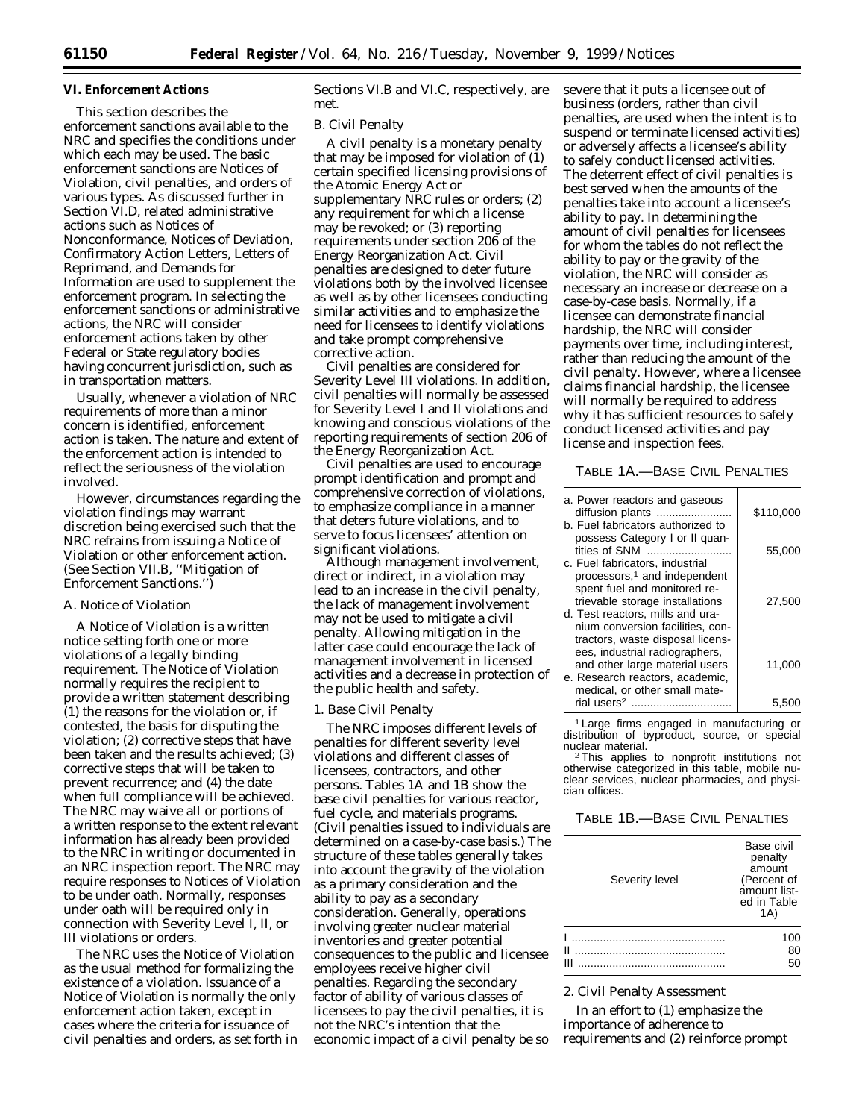#### **VI. Enforcement Actions**

This section describes the enforcement sanctions available to the NRC and specifies the conditions under which each may be used. The basic enforcement sanctions are Notices of Violation, civil penalties, and orders of various types. As discussed further in Section VI.D, related administrative actions such as Notices of Nonconformance, Notices of Deviation, Confirmatory Action Letters, Letters of Reprimand, and Demands for Information are used to supplement the enforcement program. In selecting the enforcement sanctions or administrative actions, the NRC will consider enforcement actions taken by other Federal or State regulatory bodies having concurrent jurisdiction, such as in transportation matters.

Usually, whenever a violation of NRC requirements of more than a minor concern is identified, enforcement action is taken. The nature and extent of the enforcement action is intended to reflect the seriousness of the violation involved.

However, circumstances regarding the violation findings may warrant discretion being exercised such that the NRC refrains from issuing a Notice of Violation or other enforcement action. (See Section VII.B, ''Mitigation of Enforcement Sanctions.'')

## *A. Notice of Violation*

A Notice of Violation is a written notice setting forth one or more violations of a legally binding requirement. The Notice of Violation normally requires the recipient to provide a written statement describing (1) the reasons for the violation or, if contested, the basis for disputing the violation; (2) corrective steps that have been taken and the results achieved; (3) corrective steps that will be taken to prevent recurrence; and (4) the date when full compliance will be achieved. The NRC may waive all or portions of a written response to the extent relevant information has already been provided to the NRC in writing or documented in an NRC inspection report. The NRC may require responses to Notices of Violation to be under oath. Normally, responses under oath will be required only in connection with Severity Level I, II, or III violations or orders.

The NRC uses the Notice of Violation as the usual method for formalizing the existence of a violation. Issuance of a Notice of Violation is normally the only enforcement action taken, except in cases where the criteria for issuance of civil penalties and orders, as set forth in Sections VI.B and VI.C, respectively, are met.

#### *B. Civil Penalty*

A civil penalty is a monetary penalty that may be imposed for violation of (1) certain specified licensing provisions of the Atomic Energy Act or supplementary NRC rules or orders; (2) any requirement for which a license may be revoked; or (3) reporting requirements under section 206 of the Energy Reorganization Act. Civil penalties are designed to deter future violations both by the involved licensee as well as by other licensees conducting similar activities and to emphasize the need for licensees to identify violations and take prompt comprehensive corrective action.

Civil penalties are considered for Severity Level III violations. In addition, civil penalties will normally be assessed for Severity Level I and II violations and knowing and conscious violations of the reporting requirements of section 206 of the Energy Reorganization Act.

Civil penalties are used to encourage prompt identification and prompt and comprehensive correction of violations, to emphasize compliance in a manner that deters future violations, and to serve to focus licensees' attention on significant violations.

Although management involvement, direct or indirect, in a violation may lead to an increase in the civil penalty, the lack of management involvement may not be used to mitigate a civil penalty. Allowing mitigation in the latter case could encourage the lack of management involvement in licensed activities and a decrease in protection of the public health and safety.

#### 1. Base Civil Penalty

The NRC imposes different levels of penalties for different severity level violations and different classes of licensees, contractors, and other persons. Tables 1A and 1B show the base civil penalties for various reactor, fuel cycle, and materials programs. (Civil penalties issued to individuals are determined on a case-by-case basis.) The structure of these tables generally takes into account the gravity of the violation as a primary consideration and the ability to pay as a secondary consideration. Generally, operations involving greater nuclear material inventories and greater potential consequences to the public and licensee employees receive higher civil penalties. Regarding the secondary factor of ability of various classes of licensees to pay the civil penalties, it is not the NRC's intention that the economic impact of a civil penalty be so

severe that it puts a licensee out of business (orders, rather than civil penalties, are used when the intent is to suspend or terminate licensed activities) or adversely affects a licensee's ability to safely conduct licensed activities. The deterrent effect of civil penalties is best served when the amounts of the penalties take into account a licensee's ability to pay. In determining the amount of civil penalties for licensees for whom the tables do not reflect the ability to pay or the gravity of the violation, the NRC will consider as necessary an increase or decrease on a case-by-case basis. Normally, if a licensee can demonstrate financial hardship, the NRC will consider payments over time, including interest, rather than reducing the amount of the civil penalty. However, where a licensee claims financial hardship, the licensee will normally be required to address why it has sufficient resources to safely conduct licensed activities and pay license and inspection fees.

# TABLE 1A.—BASE CIVIL PENALTIES

| a. Power reactors and gaseous<br>diffusion plants                   | \$110,000 |
|---------------------------------------------------------------------|-----------|
| b. Fuel fabricators authorized to                                   |           |
| possess Category I or II quan-<br>tities of SNM                     | 55,000    |
| c. Fuel fabricators, industrial                                     |           |
| processors, <sup>1</sup> and independent                            |           |
| spent fuel and monitored re-                                        |           |
| trievable storage installations<br>d. Test reactors, mills and ura- | 27.500    |
| nium conversion facilities, con-                                    |           |
| tractors, waste disposal licens-                                    |           |
| ees, industrial radiographers,                                      |           |
| and other large material users                                      | 11,000    |
| e. Research reactors, academic,                                     |           |
| medical, or other small mate-<br>rial users <sup>2</sup>            |           |
|                                                                     | 5.5       |

1 Large firms engaged in manufacturing or distribution of byproduct, source, or special nuclear material.

<sup>2</sup>This applies to nonprofit institutions not otherwise categorized in this table, mobile nuclear services, nuclear pharmacies, and physician offices.

## TABLE 1B.—BASE CIVIL PENALTIES

| Severity level | Base civil<br>penalty<br>amount<br>(Percent of<br>amount list-<br>ed in Table<br>(A) |
|----------------|--------------------------------------------------------------------------------------|
| Н              | 100<br>80<br>50                                                                      |

#### 2. Civil Penalty Assessment

In an effort to (1) emphasize the importance of adherence to requirements and (2) reinforce prompt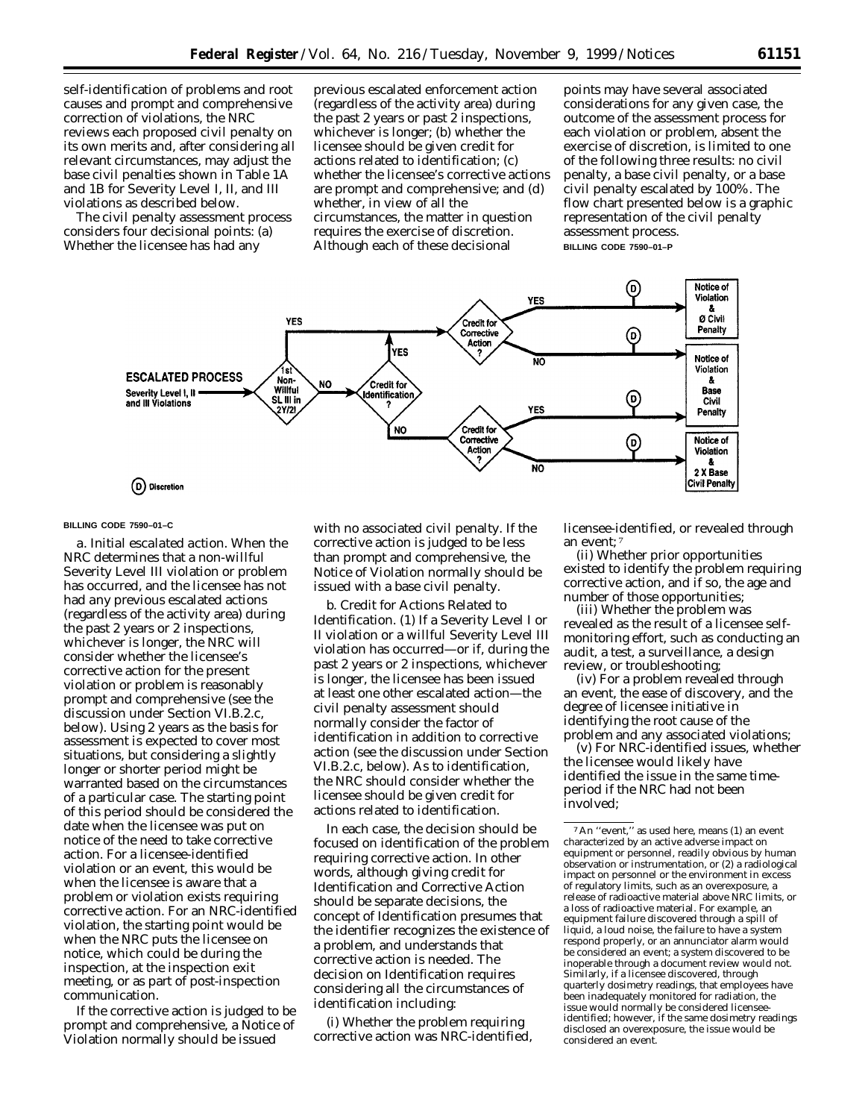self-identification of problems and root causes and prompt and comprehensive correction of violations, the NRC reviews each proposed civil penalty on its own merits and, after considering all relevant circumstances, may adjust the base civil penalties shown in Table 1A and 1B for Severity Level I, II, and III violations as described below.

The civil penalty assessment process considers four decisional points: (a) Whether the licensee has had any

previous escalated enforcement action (regardless of the activity area) during the past 2 years or past 2 inspections, whichever is longer; (b) whether the licensee should be given credit for actions related to identification; (c) whether the licensee's corrective actions are prompt and comprehensive; and (d) whether, in view of all the circumstances, the matter in question requires the exercise of discretion. Although each of these decisional

points may have several associated considerations for any given case, the outcome of the assessment process for each violation or problem, absent the exercise of discretion, is limited to one of the following three results: no civil penalty, a base civil penalty, or a base civil penalty escalated by 100%. The flow chart presented below is a graphic representation of the civil penalty assessment process. **BILLING CODE 7590–01–P**



#### **BILLING CODE 7590–01–C**

*a. Initial escalated action.* When the NRC determines that a non-willful Severity Level III violation or problem has occurred, and the licensee has not had *any* previous escalated actions (regardless of the activity area) during the past 2 years or 2 inspections, whichever is longer, the NRC will consider whether the licensee's corrective action for the present violation or problem is reasonably prompt and comprehensive (see the discussion under Section VI.B.2.c, below). Using 2 years as the basis for assessment is expected to cover most situations, but considering a slightly longer or shorter period might be warranted based on the circumstances of a particular case. The starting point of this period should be considered the date when the licensee was put on notice of the need to take corrective action. For a licensee-identified violation or an event, this would be when the licensee is aware that a problem or violation exists requiring corrective action. For an NRC-identified violation, the starting point would be when the NRC puts the licensee on notice, which could be during the inspection, at the inspection exit meeting, or as part of post-inspection communication.

If the corrective action is judged to be prompt and comprehensive, a Notice of Violation normally should be issued

with no associated civil penalty. If the corrective action is judged to be less than prompt and comprehensive, the Notice of Violation normally should be issued with a base civil penalty.

*b. Credit for Actions Related to Identification.* (1) If a Severity Level I or II violation or a willful Severity Level III violation has occurred—or if, during the past 2 years or 2 inspections, whichever is longer, the licensee has been issued at least one other escalated action—the civil penalty assessment should normally consider the factor of identification in addition to corrective action (see the discussion under Section VI.B.2.c, below). As to identification, the NRC should consider whether the licensee should be given credit for actions related to identification.

In each case, the decision should be focused on identification of the problem requiring corrective action. In other words, although giving credit for Identification and Corrective Action should be separate decisions, the concept of Identification presumes that the identifier recognizes the existence of a problem, and understands that corrective action is needed. The decision on Identification requires considering all the circumstances of identification including:

(i) Whether the problem requiring corrective action was NRC-identified, licensee-identified, or revealed through an event; 7

(ii) Whether prior opportunities existed to identify the problem requiring corrective action, and if so, the age and number of those opportunities;

(iii) Whether the problem was revealed as the result of a licensee selfmonitoring effort, such as conducting an audit, a test, a surveillance, a design review, or troubleshooting;

(iv) For a problem revealed through an event, the ease of discovery, and the degree of licensee initiative in identifying the root cause of the problem and any associated violations;

(v) For NRC-identified issues, whether the licensee would likely have identified the issue in the same timeperiod if the NRC had not been involved;

<sup>7</sup>An ''event,'' as used here, means (1) an event characterized by an active adverse impact on equipment or personnel, readily obvious by human observation or instrumentation, or (2) a radiological impact on personnel or the environment in excess of regulatory limits, such as an overexposure, a release of radioactive material above NRC limits, or a loss of radioactive material. For example, an equipment failure discovered through a spill of liquid, a loud noise, the failure to have a system respond properly, or an annunciator alarm would be considered an event; a system discovered to be inoperable through a document review would not. Similarly, if a licensee discovered, through quarterly dosimetry readings, that employees have been inadequately monitored for radiation, the issue would normally be considered licenseeidentified; however, if the same dosimetry readings disclosed an overexposure, the issue would be considered an event.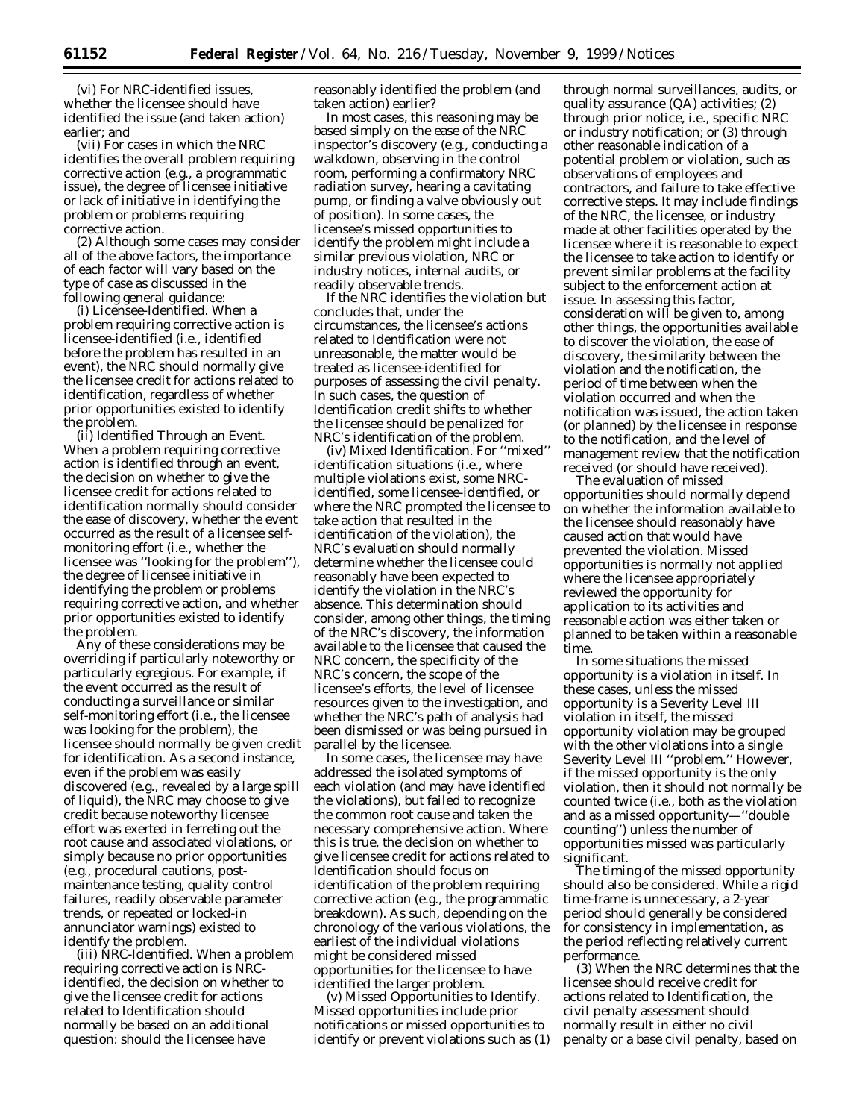(vi) For NRC-identified issues, whether the licensee should have identified the issue (and taken action) earlier; and

(vii) For cases in which the NRC identifies the overall problem requiring corrective action (*e.g.,* a programmatic issue), the degree of licensee initiative or lack of initiative in identifying the problem or problems requiring corrective action.

(2) Although some cases may consider all of the above factors, the importance of each factor will vary based on the type of case as discussed in the following general guidance:

(i) Licensee-Identified. When a problem requiring corrective action is licensee-identified (*i.e.,* identified before the problem has resulted in an event), the NRC should normally give the licensee credit for actions related to identification, regardless of whether prior opportunities existed to identify the problem.

(ii) Identified Through an Event. When a problem requiring corrective action is identified through an event, the decision on whether to give the licensee credit for actions related to identification normally should consider the ease of discovery, whether the event occurred as the result of a licensee selfmonitoring effort (*i.e.,* whether the licensee was ''looking for the problem''), the degree of licensee initiative in identifying the problem or problems requiring corrective action, and whether prior opportunities existed to identify the problem.

Any of these considerations may be overriding if particularly noteworthy or particularly egregious. For example, if the event occurred as the result of conducting a surveillance or similar self-monitoring effort (*i.e.,* the licensee was looking for the problem), the licensee should normally be given credit for identification. As a second instance, even if the problem was easily discovered (*e.g.,* revealed by a large spill of liquid), the NRC may choose to give credit because noteworthy licensee effort was exerted in ferreting out the root cause and associated violations, or simply because no prior opportunities (*e.g.,* procedural cautions, postmaintenance testing, quality control failures, readily observable parameter trends, or repeated or locked-in annunciator warnings) existed to identify the problem.

(iii) NRC-Identified. When a problem requiring corrective action is NRCidentified, the decision on whether to give the licensee credit for actions related to Identification should normally be based on an additional question: should the licensee have

reasonably identified the problem (and taken action) earlier?

In most cases, this reasoning may be based simply on the ease of the NRC inspector's discovery (*e.g.,* conducting a walkdown, observing in the control room, performing a confirmatory NRC radiation survey, hearing a cavitating pump, or finding a valve obviously out of position). In some cases, the licensee's missed opportunities to identify the problem might include a similar previous violation, NRC or industry notices, internal audits, or readily observable trends.

If the NRC identifies the violation but concludes that, under the circumstances, the licensee's actions related to Identification were not unreasonable, the matter would be treated as licensee-identified for purposes of assessing the civil penalty. In such cases, the question of Identification credit shifts to whether the licensee should be penalized for NRC's identification of the problem.

(iv) Mixed Identification. For ''mixed'' identification situations (*i.e.,* where multiple violations exist, some NRCidentified, some licensee-identified, or where the NRC prompted the licensee to take action that resulted in the identification of the violation), the NRC's evaluation should normally determine whether the licensee could reasonably have been expected to identify the violation in the NRC's absence. This determination should consider, among other things, the timing of the NRC's discovery, the information available to the licensee that caused the NRC concern, the specificity of the NRC's concern, the scope of the licensee's efforts, the level of licensee resources given to the investigation, and whether the NRC's path of analysis had been dismissed or was being pursued in parallel by the licensee.

In some cases, the licensee may have addressed the isolated symptoms of each violation (and may have identified the violations), but failed to recognize the common root cause and taken the necessary comprehensive action. Where this is true, the decision on whether to give licensee credit for actions related to Identification should focus on identification of the problem requiring corrective action (*e.g.,* the programmatic breakdown). As such, depending on the chronology of the various violations, the earliest of the individual violations might be considered missed opportunities for the licensee to have identified the larger problem.

(v) Missed Opportunities to Identify. Missed opportunities include prior notifications or missed opportunities to identify or prevent violations such as (1)

through normal surveillances, audits, or quality assurance (QA) activities; (2) through prior notice, *i.e.,* specific NRC or industry notification; or (3) through other reasonable indication of a potential problem or violation, such as observations of employees and contractors, and failure to take effective corrective steps. It may include findings of the NRC, the licensee, or industry made at other facilities operated by the licensee where it is reasonable to expect the licensee to take action to identify or prevent similar problems at the facility subject to the enforcement action at issue. In assessing this factor, consideration will be given to, among other things, the opportunities available to discover the violation, the ease of discovery, the similarity between the violation and the notification, the period of time between when the violation occurred and when the notification was issued, the action taken (or planned) by the licensee in response to the notification, and the level of management review that the notification received (or should have received).

The evaluation of missed opportunities should normally depend on whether the information available to the licensee should reasonably have caused action that would have prevented the violation. Missed opportunities is normally not applied where the licensee appropriately reviewed the opportunity for application to its activities and reasonable action was either taken or planned to be taken within a reasonable time.

In some situations the missed opportunity is a violation in itself. In these cases, unless the missed opportunity is a Severity Level III violation in itself, the missed opportunity violation may be grouped with the other violations into a single Severity Level III ''problem.'' However, if the missed opportunity is the only violation, then it should not normally be counted twice (*i.e.,* both as the violation and as a missed opportunity—''double counting'') unless the number of opportunities missed was particularly significant.

The timing of the missed opportunity should also be considered. While a rigid time-frame is unnecessary, a 2-year period should generally be considered for consistency in implementation, as the period reflecting relatively current performance.

(3) When the NRC determines that the licensee should receive credit for actions related to Identification, the civil penalty assessment should normally result in either no civil penalty or a base civil penalty, based on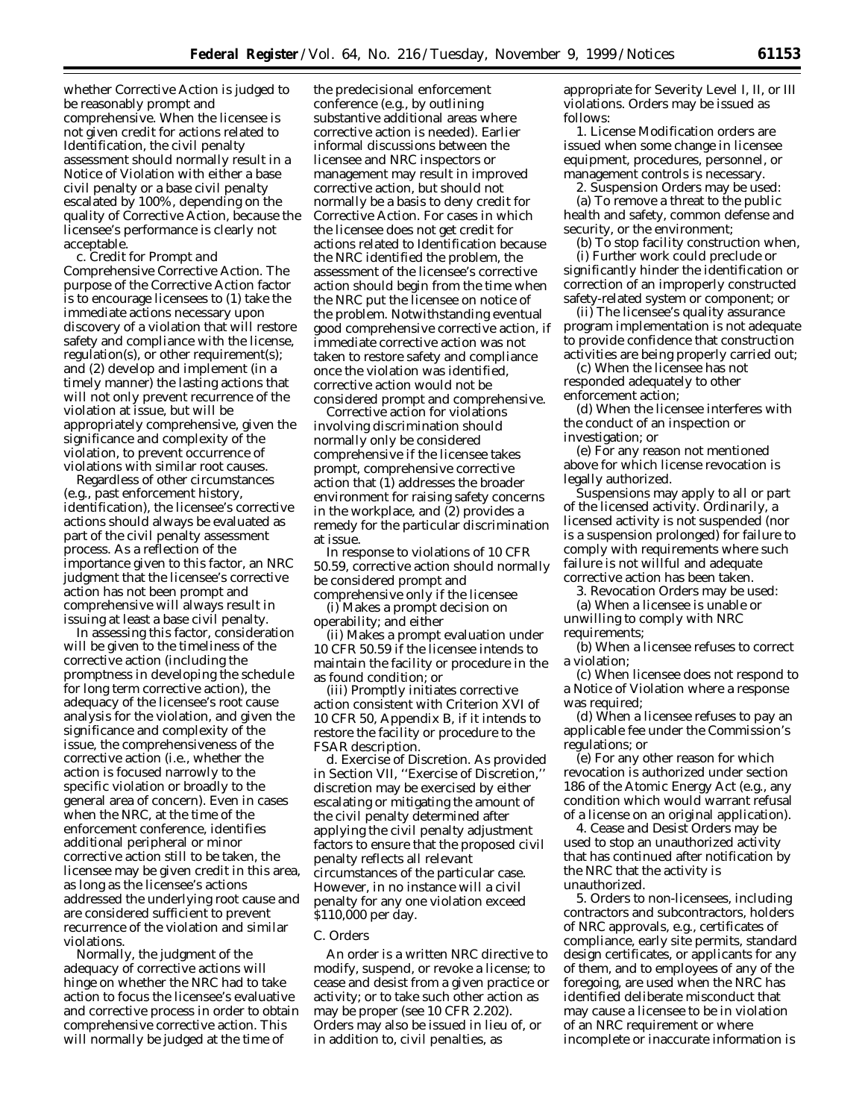whether Corrective Action is judged to be reasonably prompt and comprehensive. When the licensee is not given credit for actions related to Identification, the civil penalty assessment should normally result in a Notice of Violation with either a base civil penalty or a base civil penalty escalated by 100%, depending on the quality of Corrective Action, because the licensee's performance is clearly not acceptable.

*c. Credit for Prompt and Comprehensive Corrective Action.* The purpose of the Corrective Action factor is to encourage licensees to (1) take the immediate actions necessary upon discovery of a violation that will restore safety and compliance with the license, regulation(s), or other requirement(s); and (2) develop and implement (in a timely manner) the lasting actions that will not only prevent recurrence of the violation at issue, but will be appropriately comprehensive, given the significance and complexity of the violation, to prevent occurrence of violations with similar root causes.

Regardless of other circumstances (*e.g.,* past enforcement history, identification), the licensee's corrective actions should always be evaluated as part of the civil penalty assessment process. As a reflection of the importance given to this factor, an NRC judgment that the licensee's corrective action has not been prompt and comprehensive will always result in issuing at least a base civil penalty.

In assessing this factor, consideration will be given to the timeliness of the corrective action (including the promptness in developing the schedule for long term corrective action), the adequacy of the licensee's root cause analysis for the violation, and given the significance and complexity of the issue, the comprehensiveness of the corrective action (*i.e.,* whether the action is focused narrowly to the specific violation or broadly to the general area of concern). Even in cases when the NRC, at the time of the enforcement conference, identifies additional peripheral or minor corrective action still to be taken, the licensee may be given credit in this area, as long as the licensee's actions addressed the underlying root cause and are considered sufficient to prevent recurrence of the violation and similar violations.

Normally, the judgment of the adequacy of corrective actions will hinge on whether the NRC had to take action to focus the licensee's evaluative and corrective process in order to obtain comprehensive corrective action. This will normally be judged at the time of

the predecisional enforcement conference (*e.g.,* by outlining substantive additional areas where corrective action is needed). Earlier informal discussions between the licensee and NRC inspectors or management may result in improved corrective action, but should not normally be a basis to deny credit for Corrective Action. For cases in which the licensee does not get credit for actions related to Identification because the NRC identified the problem, the assessment of the licensee's corrective action should begin from the time when the NRC put the licensee on notice of the problem. Notwithstanding eventual good comprehensive corrective action, if immediate corrective action was not taken to restore safety and compliance once the violation was identified, corrective action would not be considered prompt and comprehensive.

Corrective action for violations involving discrimination should normally only be considered comprehensive if the licensee takes prompt, comprehensive corrective action that (1) addresses the broader environment for raising safety concerns in the workplace, and  $(2)$  provides a remedy for the particular discrimination at issue.

In response to violations of 10 CFR 50.59, corrective action should normally be considered prompt and comprehensive only if the licensee

(i) Makes a prompt decision on operability; and either

(ii) Makes a prompt evaluation under 10 CFR 50.59 if the licensee intends to maintain the facility or procedure in the as found condition; or

(iii) Promptly initiates corrective action consistent with Criterion XVI of 10 CFR 50, Appendix B, if it intends to restore the facility or procedure to the FSAR description.

*d. Exercise of Discretion.* As provided in Section VII, ''Exercise of Discretion,'' discretion may be exercised by either escalating or mitigating the amount of the civil penalty determined after applying the civil penalty adjustment factors to ensure that the proposed civil penalty reflects all relevant circumstances of the particular case. However, in no instance will a civil penalty for any one violation exceed \$110,000 per day.

#### *C. Orders*

An order is a written NRC directive to modify, suspend, or revoke a license; to cease and desist from a given practice or activity; or to take such other action as may be proper (see 10 CFR 2.202). Orders may also be issued in lieu of, or in addition to, civil penalties, as

appropriate for Severity Level I, II, or III violations. Orders may be issued as follows:

1. License Modification orders are issued when some change in licensee equipment, procedures, personnel, or management controls is necessary.

2. Suspension Orders may be used: (a) To remove a threat to the public health and safety, common defense and security, or the environment;

(b) To stop facility construction when, (i) Further work could preclude or significantly hinder the identification or correction of an improperly constructed safety-related system or component; or

(ii) The licensee's quality assurance program implementation is not adequate to provide confidence that construction activities are being properly carried out;

(c) When the licensee has not responded adequately to other enforcement action;

(d) When the licensee interferes with the conduct of an inspection or investigation; or

(e) For any reason not mentioned above for which license revocation is legally authorized.

Suspensions may apply to all or part of the licensed activity. Ordinarily, a licensed activity is not suspended (nor is a suspension prolonged) for failure to comply with requirements where such failure is not willful and adequate corrective action has been taken.

3. Revocation Orders may be used:

(a) When a licensee is unable or unwilling to comply with NRC requirements;

(b) When a licensee refuses to correct a violation;

(c) When licensee does not respond to a Notice of Violation where a response was required;

(d) When a licensee refuses to pay an applicable fee under the Commission's regulations; or

(e) For any other reason for which revocation is authorized under section 186 of the Atomic Energy Act (*e.g.,* any condition which would warrant refusal of a license on an original application).

4. Cease and Desist Orders may be used to stop an unauthorized activity that has continued after notification by the NRC that the activity is unauthorized.

5. Orders to non-licensees, including contractors and subcontractors, holders of NRC approvals, *e.g.,* certificates of compliance, early site permits, standard design certificates, or applicants for any of them, and to employees of any of the foregoing, are used when the NRC has identified deliberate misconduct that may cause a licensee to be in violation of an NRC requirement or where incomplete or inaccurate information is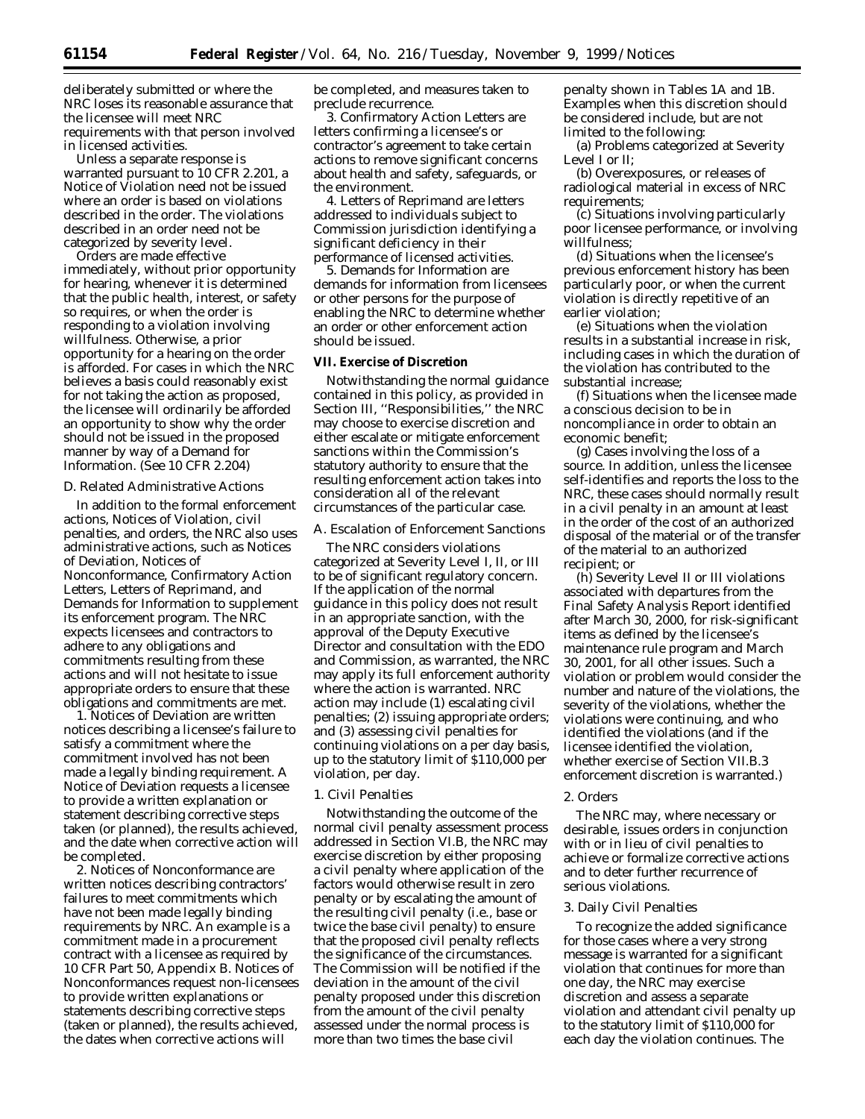deliberately submitted or where the NRC loses its reasonable assurance that the licensee will meet NRC requirements with that person involved in licensed activities.

Unless a separate response is warranted pursuant to 10 CFR 2.201, a Notice of Violation need not be issued where an order is based on violations described in the order. The violations described in an order need not be categorized by severity level.

Orders are made effective immediately, without prior opportunity for hearing, whenever it is determined that the public health, interest, or safety so requires, or when the order is responding to a violation involving willfulness. Otherwise, a prior opportunity for a hearing on the order is afforded. For cases in which the NRC believes a basis could reasonably exist for not taking the action as proposed, the licensee will ordinarily be afforded an opportunity to show why the order should not be issued in the proposed manner by way of a Demand for Information. (See 10 CFR 2.204)

## *D. Related Administrative Actions*

In addition to the formal enforcement actions, Notices of Violation, civil penalties, and orders, the NRC also uses administrative actions, such as Notices of Deviation, Notices of Nonconformance, Confirmatory Action Letters, Letters of Reprimand, and Demands for Information to supplement its enforcement program. The NRC expects licensees and contractors to adhere to any obligations and commitments resulting from these actions and will not hesitate to issue appropriate orders to ensure that these obligations and commitments are met.

1. Notices of Deviation are written notices describing a licensee's failure to satisfy a commitment where the commitment involved has not been made a legally binding requirement. A Notice of Deviation requests a licensee to provide a written explanation or statement describing corrective steps taken (or planned), the results achieved, and the date when corrective action will be completed.

2. Notices of Nonconformance are written notices describing contractors' failures to meet commitments which have not been made legally binding requirements by NRC. An example is a commitment made in a procurement contract with a licensee as required by 10 CFR Part 50, Appendix B. Notices of Nonconformances request non-licensees to provide written explanations or statements describing corrective steps (taken or planned), the results achieved, the dates when corrective actions will

be completed, and measures taken to preclude recurrence.

3. Confirmatory Action Letters are letters confirming a licensee's or contractor's agreement to take certain actions to remove significant concerns about health and safety, safeguards, or the environment.

4. Letters of Reprimand are letters addressed to individuals subject to Commission jurisdiction identifying a significant deficiency in their performance of licensed activities.

5. Demands for Information are demands for information from licensees or other persons for the purpose of enabling the NRC to determine whether an order or other enforcement action should be issued.

### **VII. Exercise of Discretion**

Notwithstanding the normal guidance contained in this policy, as provided in Section III, ''Responsibilities,'' the NRC may choose to exercise discretion and either escalate or mitigate enforcement sanctions within the Commission's statutory authority to ensure that the resulting enforcement action takes into consideration all of the relevant circumstances of the particular case.

#### *A. Escalation of Enforcement Sanctions*

The NRC considers violations categorized at Severity Level I, II, or III to be of significant regulatory concern. If the application of the normal guidance in this policy does not result in an appropriate sanction, with the approval of the Deputy Executive Director and consultation with the EDO and Commission, as warranted, the NRC may apply its full enforcement authority where the action is warranted. NRC action may include (1) escalating civil penalties; (2) issuing appropriate orders; and (3) assessing civil penalties for continuing violations on a per day basis, up to the statutory limit of \$110,000 per violation, per day.

#### 1. Civil Penalties

Notwithstanding the outcome of the normal civil penalty assessment process addressed in Section VI.B, the NRC may exercise discretion by either proposing a civil penalty where application of the factors would otherwise result in zero penalty or by escalating the amount of the resulting civil penalty (*i.e.,* base or twice the base civil penalty) to ensure that the proposed civil penalty reflects the significance of the circumstances. The Commission will be notified if the deviation in the amount of the civil penalty proposed under this discretion from the amount of the civil penalty assessed under the normal process is more than two times the base civil

penalty shown in Tables 1A and 1B. Examples when this discretion should be considered include, but are not limited to the following:

(a) Problems categorized at Severity Level I or II;

(b) Overexposures, or releases of radiological material in excess of NRC requirements;

(c) Situations involving particularly poor licensee performance, or involving willfulness;

(d) Situations when the licensee's previous enforcement history has been particularly poor, or when the current violation is directly repetitive of an earlier violation;

(e) Situations when the violation results in a substantial increase in risk, including cases in which the duration of the violation has contributed to the substantial increase;

(f) Situations when the licensee made a conscious decision to be in noncompliance in order to obtain an economic benefit;

(g) Cases involving the loss of a source. In addition, unless the licensee self-identifies and reports the loss to the NRC, these cases should normally result in a civil penalty in an amount at least in the order of the cost of an authorized disposal of the material or of the transfer of the material to an authorized recipient; or

(h) Severity Level II or III violations associated with departures from the Final Safety Analysis Report identified after March 30, 2000, for risk-significant items as defined by the licensee's maintenance rule program and March 30, 2001, for all other issues. Such a violation or problem would consider the number and nature of the violations, the severity of the violations, whether the violations were continuing, and who identified the violations (and if the licensee identified the violation, whether exercise of Section VII.B.3 enforcement discretion is warranted.)

### 2. Orders

The NRC may, where necessary or desirable, issues orders in conjunction with or in lieu of civil penalties to achieve or formalize corrective actions and to deter further recurrence of serious violations.

#### 3. Daily Civil Penalties

To recognize the added significance for those cases where a very strong message is warranted for a significant violation that continues for more than one day, the NRC may exercise discretion and assess a separate violation and attendant civil penalty up to the statutory limit of \$110,000 for each day the violation continues. The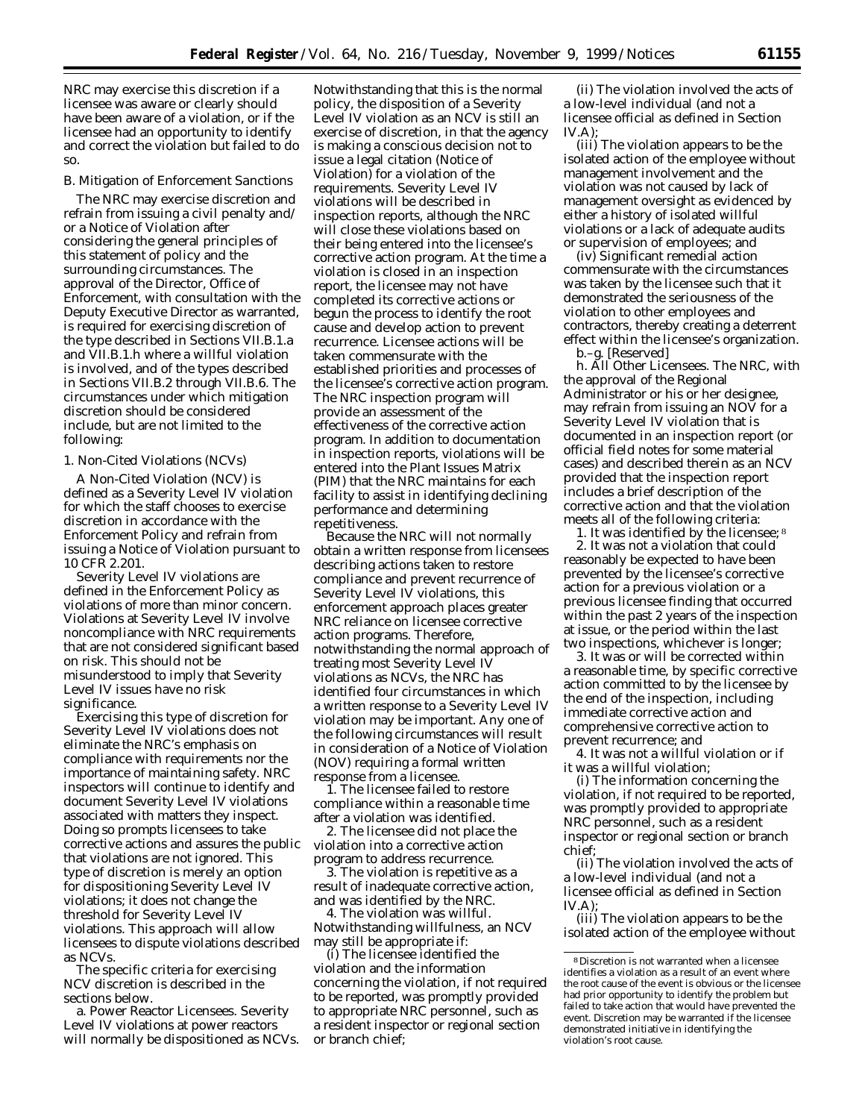NRC may exercise this discretion if a licensee was aware or clearly should have been aware of a violation, or if the licensee had an opportunity to identify and correct the violation but failed to do so.

#### *B. Mitigation of Enforcement Sanctions*

The NRC may exercise discretion and refrain from issuing a civil penalty and/ or a Notice of Violation after considering the general principles of this statement of policy and the surrounding circumstances. The approval of the Director, Office of Enforcement, with consultation with the Deputy Executive Director as warranted, is required for exercising discretion of the type described in Sections VII.B.1.a and VII.B.1.h where a willful violation is involved, and of the types described in Sections VII.B.2 through VII.B.6. The circumstances under which mitigation discretion should be considered include, but are not limited to the following:

### 1. Non-Cited Violations (NCVs)

A Non-Cited Violation (NCV) is defined as a Severity Level IV violation for which the staff chooses to exercise discretion in accordance with the Enforcement Policy and refrain from issuing a Notice of Violation pursuant to 10 CFR 2.201.

Severity Level IV violations are defined in the Enforcement Policy as violations of more than minor concern. Violations at Severity Level IV involve noncompliance with NRC requirements that are not considered significant based on risk. This should not be misunderstood to imply that Severity Level IV issues have no risk significance.

Exercising this type of discretion for Severity Level IV violations does not eliminate the NRC's emphasis on compliance with requirements nor the importance of maintaining safety. NRC inspectors will continue to identify and document Severity Level IV violations associated with matters they inspect. Doing so prompts licensees to take corrective actions and assures the public that violations are not ignored. This type of discretion is merely an option for dispositioning Severity Level IV violations; it does not change the threshold for Severity Level IV violations. This approach will allow licensees to dispute violations described as NCVs.

The specific criteria for exercising NCV discretion is described in the sections below.

a. Power Reactor Licensees. Severity Level IV violations at power reactors will normally be dispositioned as NCVs.

Notwithstanding that this is the normal policy, the disposition of a Severity Level IV violation as an NCV is still an exercise of discretion, in that the agency is making a conscious decision not to issue a legal citation (Notice of Violation) for a violation of the requirements. Severity Level IV violations will be described in inspection reports, although the NRC will close these violations based on their being entered into the licensee's corrective action program. At the time a violation is closed in an inspection report, the licensee may not have completed its corrective actions or begun the process to identify the root cause and develop action to prevent recurrence. Licensee actions will be taken commensurate with the established priorities and processes of the licensee's corrective action program. The NRC inspection program will provide an assessment of the effectiveness of the corrective action program. In addition to documentation in inspection reports, violations will be entered into the Plant Issues Matrix (PIM) that the NRC maintains for each facility to assist in identifying declining performance and determining repetitiveness.

Because the NRC will not normally obtain a written response from licensees describing actions taken to restore compliance and prevent recurrence of Severity Level IV violations, this enforcement approach places greater NRC reliance on licensee corrective action programs. Therefore, notwithstanding the normal approach of treating most Severity Level IV violations as NCVs, the NRC has identified four circumstances in which a written response to a Severity Level IV violation may be important. Any one of the following circumstances will result in consideration of a Notice of Violation (NOV) requiring a formal written response from a licensee.

1. The licensee failed to restore compliance within a reasonable time after a violation was identified.

2. The licensee did not place the violation into a corrective action program to address recurrence.

3. The violation is repetitive as a result of inadequate corrective action, and was identified by the NRC.

4. The violation was willful. Notwithstanding willfulness, an NCV may still be appropriate if:

(i) The licensee identified the violation and the information concerning the violation, if not required to be reported, was promptly provided to appropriate NRC personnel, such as a resident inspector or regional section or branch chief;

(ii) The violation involved the acts of a low-level individual (and not a licensee official as defined in Section  $IV.A);$ 

(iii) The violation appears to be the isolated action of the employee without management involvement and the violation was not caused by lack of management oversight as evidenced by either a history of isolated willful violations or a lack of adequate audits or supervision of employees; and

(iv) Significant remedial action commensurate with the circumstances was taken by the licensee such that it demonstrated the seriousness of the violation to other employees and contractors, thereby creating a deterrent effect within the licensee's organization. b.–g. [Reserved]

h. All Other Licensees. The NRC, with the approval of the Regional Administrator or his or her designee, may refrain from issuing an NOV for a Severity Level IV violation that is documented in an inspection report (or official field notes for some material cases) and described therein as an NCV provided that the inspection report includes a brief description of the corrective action and that the violation meets all of the following criteria:

1. It was identified by the licensee; 8 2. It was not a violation that could reasonably be expected to have been prevented by the licensee's corrective action for a previous violation or a previous licensee finding that occurred within the past 2 years of the inspection at issue, or the period within the last two inspections, whichever is longer;

3. It was or will be corrected within a reasonable time, by specific corrective action committed to by the licensee by the end of the inspection, including immediate corrective action and comprehensive corrective action to prevent recurrence; and

4. It was not a willful violation or if it was a willful violation;

(i) The information concerning the violation, if not required to be reported, was promptly provided to appropriate NRC personnel, such as a resident inspector or regional section or branch chief;

(ii) The violation involved the acts of a low-level individual (and not a licensee official as defined in Section  $IV.A$ ):

(iii) The violation appears to be the isolated action of the employee without

<sup>8</sup> Discretion is not warranted when a licensee identifies a violation as a result of an event where the root cause of the event is obvious or the licensee had prior opportunity to identify the problem but failed to take action that would have prevented the event. Discretion may be warranted if the licensee demonstrated initiative in identifying the violation's root cause.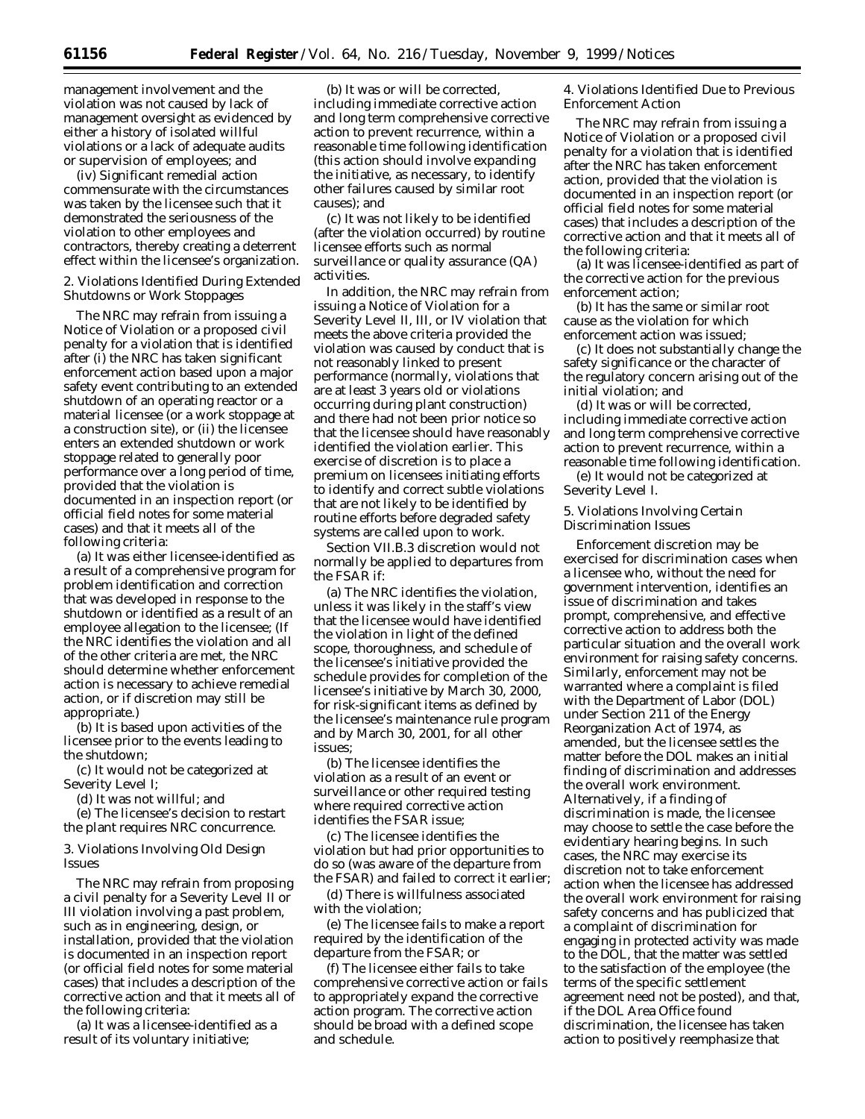management involvement and the violation was not caused by lack of management oversight as evidenced by either a history of isolated willful violations or a lack of adequate audits or supervision of employees; and

(iv) Significant remedial action commensurate with the circumstances was taken by the licensee such that it demonstrated the seriousness of the violation to other employees and contractors, thereby creating a deterrent effect within the licensee's organization.

2. Violations Identified During Extended Shutdowns or Work Stoppages

The NRC may refrain from issuing a Notice of Violation or a proposed civil penalty for a violation that is identified after (i) the NRC has taken significant enforcement action based upon a major safety event contributing to an extended shutdown of an operating reactor or a material licensee (or a work stoppage at a construction site), or (ii) the licensee enters an extended shutdown or work stoppage related to generally poor performance over a long period of time, provided that the violation is documented in an inspection report (or official field notes for some material cases) and that it meets all of the following criteria:

(a) It was either licensee-identified as a result of a comprehensive program for problem identification and correction that was developed in response to the shutdown or identified as a result of an employee allegation to the licensee; (If the NRC identifies the violation and all of the other criteria are met, the NRC should determine whether enforcement action is necessary to achieve remedial action, or if discretion may still be appropriate.)

(b) It is based upon activities of the licensee prior to the events leading to the shutdown;

(c) It would not be categorized at Severity Level I;

(d) It was not willful; and

(e) The licensee's decision to restart the plant requires NRC concurrence.

3. Violations Involving Old Design Issues

The NRC may refrain from proposing a civil penalty for a Severity Level II or III violation involving a past problem, such as in engineering, design, or installation, provided that the violation is documented in an inspection report (or official field notes for some material cases) that includes a description of the corrective action and that it meets all of the following criteria:

(a) It was a licensee-identified as a result of its voluntary initiative;

(b) It was or will be corrected, including immediate corrective action and long term comprehensive corrective action to prevent recurrence, within a reasonable time following identification (this action should involve expanding the initiative, as necessary, to identify other failures caused by similar root causes); and

(c) It was not likely to be identified (after the violation occurred) by routine licensee efforts such as normal surveillance or quality assurance (QA) activities.

In addition, the NRC may refrain from issuing a Notice of Violation for a Severity Level II, III, or IV violation that meets the above criteria provided the violation was caused by conduct that is not reasonably linked to present performance (normally, violations that are at least 3 years old or violations occurring during plant construction) and there had not been prior notice so that the licensee should have reasonably identified the violation earlier. This exercise of discretion is to place a premium on licensees initiating efforts to identify and correct subtle violations that are not likely to be identified by routine efforts before degraded safety systems are called upon to work.

Section VII.B.3 discretion would not normally be applied to departures from the FSAR if:

(a) The NRC identifies the violation, unless it was likely in the staff's view that the licensee would have identified the violation in light of the defined scope, thoroughness, and schedule of the licensee's initiative provided the schedule provides for completion of the licensee's initiative by March 30, 2000, for risk-significant items as defined by the licensee's maintenance rule program and by March 30, 2001, for all other issues;

(b) The licensee identifies the violation as a result of an event or surveillance or other required testing where required corrective action identifies the FSAR issue;

(c) The licensee identifies the violation but had prior opportunities to do so (was aware of the departure from the FSAR) and failed to correct it earlier;

(d) There is willfulness associated with the violation;

(e) The licensee fails to make a report required by the identification of the departure from the FSAR; or

(f) The licensee either fails to take comprehensive corrective action or fails to appropriately expand the corrective action program. The corrective action should be broad with a defined scope and schedule.

4. Violations Identified Due to Previous Enforcement Action

The NRC may refrain from issuing a Notice of Violation or a proposed civil penalty for a violation that is identified after the NRC has taken enforcement action, provided that the violation is documented in an inspection report (or official field notes for some material cases) that includes a description of the corrective action and that it meets all of the following criteria:

(a) It was licensee-identified as part of the corrective action for the previous enforcement action;

(b) It has the same or similar root cause as the violation for which enforcement action was issued;

(c) It does not substantially change the safety significance or the character of the regulatory concern arising out of the initial violation; and

(d) It was or will be corrected, including immediate corrective action and long term comprehensive corrective action to prevent recurrence, within a reasonable time following identification.

(e) It would not be categorized at Severity Level I.

## 5. Violations Involving Certain Discrimination Issues

Enforcement discretion may be exercised for discrimination cases when a licensee who, without the need for government intervention, identifies an issue of discrimination and takes prompt, comprehensive, and effective corrective action to address both the particular situation and the overall work environment for raising safety concerns. Similarly, enforcement may not be warranted where a complaint is filed with the Department of Labor (DOL) under Section 211 of the Energy Reorganization Act of 1974, as amended, but the licensee settles the matter before the DOL makes an initial finding of discrimination and addresses the overall work environment. Alternatively, if a finding of discrimination is made, the licensee may choose to settle the case before the evidentiary hearing begins. In such cases, the NRC may exercise its discretion not to take enforcement action when the licensee has addressed the overall work environment for raising safety concerns and has publicized that a complaint of discrimination for engaging in protected activity was made to the DOL, that the matter was settled to the satisfaction of the employee (the terms of the specific settlement agreement need not be posted), and that, if the DOL Area Office found discrimination, the licensee has taken action to positively reemphasize that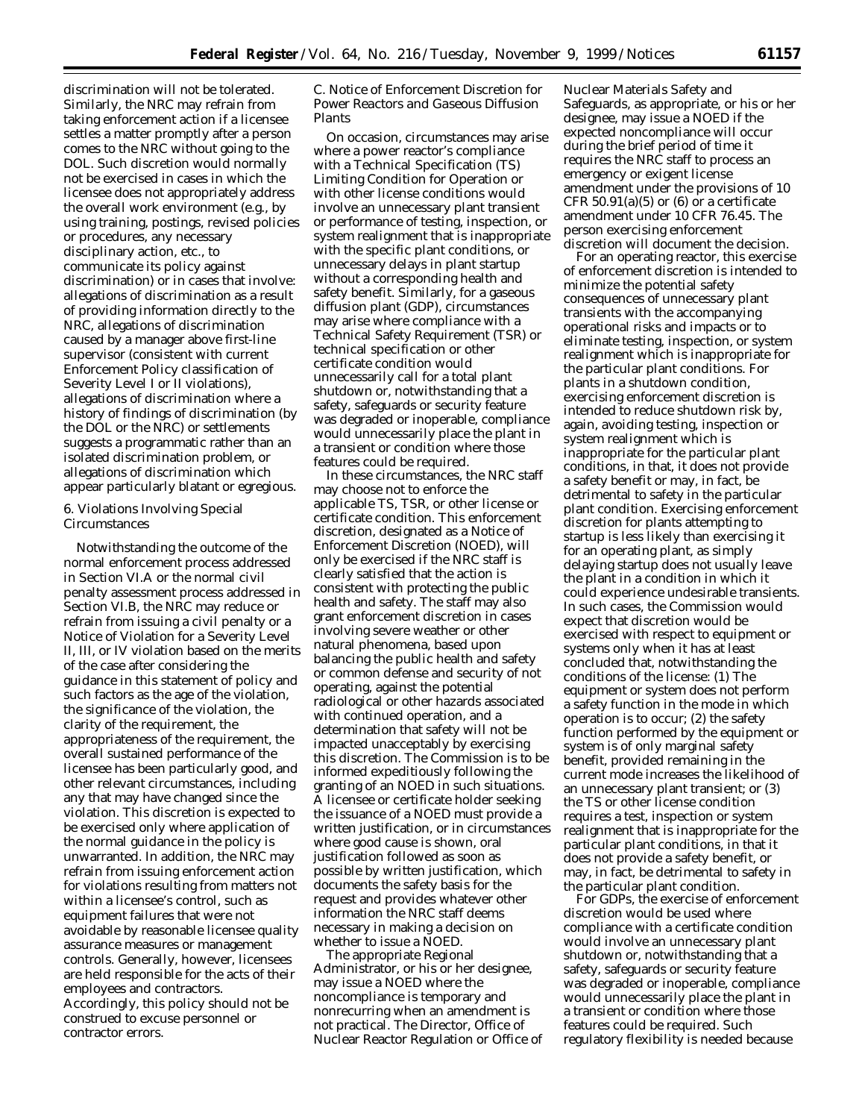discrimination will not be tolerated. Similarly, the NRC may refrain from taking enforcement action if a licensee settles a matter promptly after a person comes to the NRC without going to the DOL. Such discretion would normally not be exercised in cases in which the licensee does not appropriately address the overall work environment (*e.g.*, by using training, postings, revised policies or procedures, any necessary disciplinary action, etc., to communicate its policy against discrimination) or in cases that involve: allegations of discrimination as a result of providing information directly to the NRC, allegations of discrimination caused by a manager above first-line supervisor (consistent with current Enforcement Policy classification of Severity Level I or II violations), allegations of discrimination where a history of findings of discrimination (by the DOL or the NRC) or settlements suggests a programmatic rather than an isolated discrimination problem, or allegations of discrimination which appear particularly blatant or egregious.

## 6. Violations Involving Special Circumstances

Notwithstanding the outcome of the normal enforcement process addressed in Section VI.A or the normal civil penalty assessment process addressed in Section VI.B, the NRC may reduce or refrain from issuing a civil penalty or a Notice of Violation for a Severity Level II, III, or IV violation based on the merits of the case after considering the guidance in this statement of policy and such factors as the age of the violation, the significance of the violation, the clarity of the requirement, the appropriateness of the requirement, the overall sustained performance of the licensee has been particularly good, and other relevant circumstances, including any that may have changed since the violation. This discretion is expected to be exercised only where application of the normal guidance in the policy is unwarranted. In addition, the NRC may refrain from issuing enforcement action for violations resulting from matters not within a licensee's control, such as equipment failures that were not avoidable by reasonable licensee quality assurance measures or management controls. Generally, however, licensees are held responsible for the acts of their employees and contractors. Accordingly, this policy should not be construed to excuse personnel or contractor errors.

## *C. Notice of Enforcement Discretion for Power Reactors and Gaseous Diffusion Plants*

On occasion, circumstances may arise where a power reactor's compliance with a Technical Specification (TS) Limiting Condition for Operation or with other license conditions would involve an unnecessary plant transient or performance of testing, inspection, or system realignment that is inappropriate with the specific plant conditions, or unnecessary delays in plant startup without a corresponding health and safety benefit. Similarly, for a gaseous diffusion plant (GDP), circumstances may arise where compliance with a Technical Safety Requirement (TSR) or technical specification or other certificate condition would unnecessarily call for a total plant shutdown or, notwithstanding that a safety, safeguards or security feature was degraded or inoperable, compliance would unnecessarily place the plant in a transient or condition where those features could be required.

In these circumstances, the NRC staff may choose not to enforce the applicable TS, TSR, or other license or certificate condition. This enforcement discretion, designated as a Notice of Enforcement Discretion (NOED), will only be exercised if the NRC staff is clearly satisfied that the action is consistent with protecting the public health and safety. The staff may also grant enforcement discretion in cases involving severe weather or other natural phenomena, based upon balancing the public health and safety or common defense and security of not operating, against the potential radiological or other hazards associated with continued operation, and a determination that safety will not be impacted unacceptably by exercising this discretion. The Commission is to be informed expeditiously following the granting of an NOED in such situations. A licensee or certificate holder seeking the issuance of a NOED must provide a written justification, or in circumstances where good cause is shown, oral justification followed as soon as possible by written justification, which documents the safety basis for the request and provides whatever other information the NRC staff deems necessary in making a decision on whether to issue a NOED.

The appropriate Regional Administrator, or his or her designee, may issue a NOED where the noncompliance is temporary and nonrecurring when an amendment is not practical. The Director, Office of Nuclear Reactor Regulation or Office of Nuclear Materials Safety and Safeguards, as appropriate, or his or her designee, may issue a NOED if the expected noncompliance will occur during the brief period of time it requires the NRC staff to process an emergency or exigent license amendment under the provisions of 10 CFR  $50.91(a)(5)$  or  $(6)$  or a certificate amendment under 10 CFR 76.45. The person exercising enforcement discretion will document the decision.

For an operating reactor, this exercise of enforcement discretion is intended to minimize the potential safety consequences of unnecessary plant transients with the accompanying operational risks and impacts or to eliminate testing, inspection, or system realignment which is inappropriate for the particular plant conditions. For plants in a shutdown condition, exercising enforcement discretion is intended to reduce shutdown risk by, again, avoiding testing, inspection or system realignment which is inappropriate for the particular plant conditions, in that, it does not provide a safety benefit or may, in fact, be detrimental to safety in the particular plant condition. Exercising enforcement discretion for plants attempting to startup is less likely than exercising it for an operating plant, as simply delaying startup does not usually leave the plant in a condition in which it could experience undesirable transients. In such cases, the Commission would expect that discretion would be exercised with respect to equipment or systems only when it has at least concluded that, notwithstanding the conditions of the license: (1) The equipment or system does not perform a safety function in the mode in which operation is to occur; (2) the safety function performed by the equipment or system is of only marginal safety benefit, provided remaining in the current mode increases the likelihood of an unnecessary plant transient; or (3) the TS or other license condition requires a test, inspection or system realignment that is inappropriate for the particular plant conditions, in that it does not provide a safety benefit, or may, in fact, be detrimental to safety in the particular plant condition.

For GDPs, the exercise of enforcement discretion would be used where compliance with a certificate condition would involve an unnecessary plant shutdown or, notwithstanding that a safety, safeguards or security feature was degraded or inoperable, compliance would unnecessarily place the plant in a transient or condition where those features could be required. Such regulatory flexibility is needed because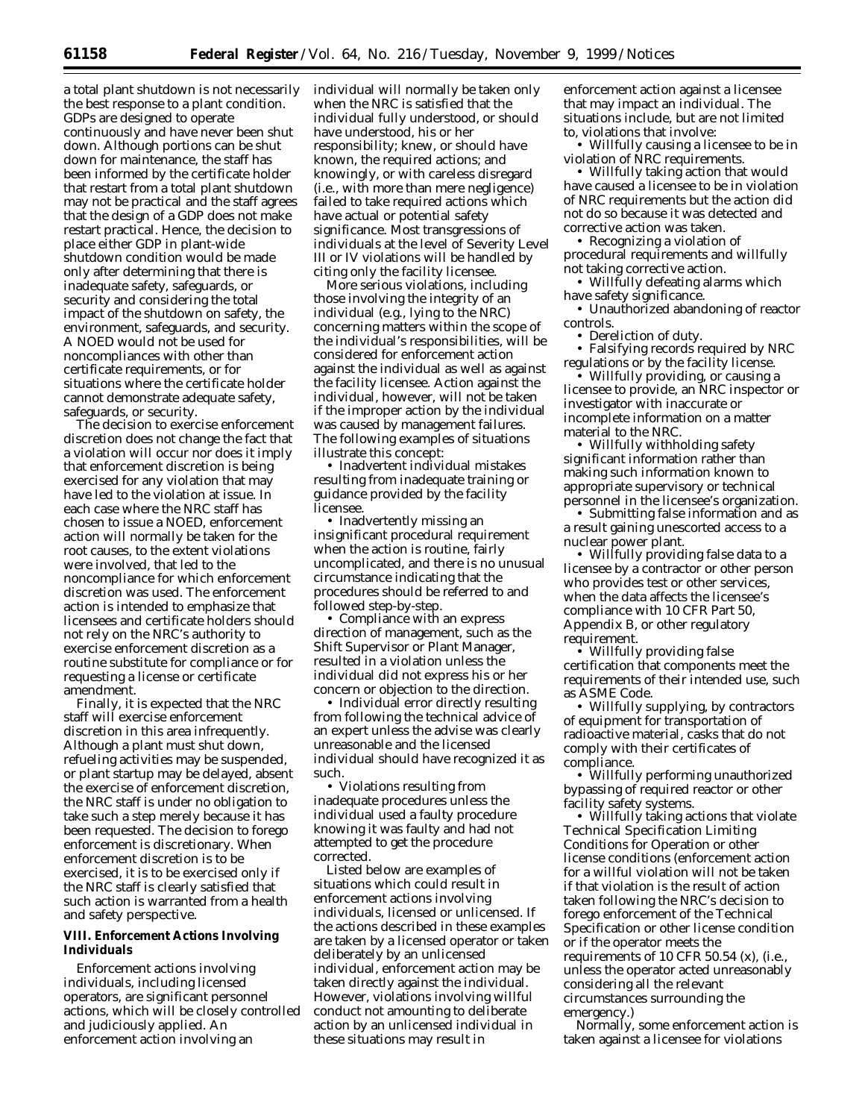a total plant shutdown is not necessarily the best response to a plant condition. GDPs are designed to operate continuously and have never been shut down. Although portions can be shut down for maintenance, the staff has been informed by the certificate holder that restart from a total plant shutdown may not be practical and the staff agrees that the design of a GDP does not make restart practical. Hence, the decision to place either GDP in plant-wide shutdown condition would be made only after determining that there is inadequate safety, safeguards, or security and considering the total impact of the shutdown on safety, the environment, safeguards, and security. A NOED would not be used for noncompliances with other than certificate requirements, or for situations where the certificate holder cannot demonstrate adequate safety, safeguards, or security.

The decision to exercise enforcement discretion does not change the fact that a violation will occur nor does it imply that enforcement discretion is being exercised for any violation that may have led to the violation at issue. In each case where the NRC staff has chosen to issue a NOED, enforcement action will normally be taken for the root causes, to the extent violations were involved, that led to the noncompliance for which enforcement discretion was used. The enforcement action is intended to emphasize that licensees and certificate holders should not rely on the NRC's authority to exercise enforcement discretion as a routine substitute for compliance or for requesting a license or certificate amendment.

Finally, it is expected that the NRC staff will exercise enforcement discretion in this area infrequently. Although a plant must shut down, refueling activities may be suspended, or plant startup may be delayed, absent the exercise of enforcement discretion, the NRC staff is under no obligation to take such a step merely because it has been requested. The decision to forego enforcement is discretionary. When enforcement discretion is to be exercised, it is to be exercised only if the NRC staff is clearly satisfied that such action is warranted from a health and safety perspective.

### **VIII. Enforcement Actions Involving Individuals**

Enforcement actions involving individuals, including licensed operators, are significant personnel actions, which will be closely controlled and judiciously applied. An enforcement action involving an

individual will normally be taken only when the NRC is satisfied that the individual fully understood, or should have understood, his or her responsibility; knew, or should have known, the required actions; and knowingly, or with careless disregard (*i.e.,* with more than mere negligence) failed to take required actions which have actual or potential safety significance. Most transgressions of individuals at the level of Severity Level III or IV violations will be handled by citing only the facility licensee.

More serious violations, including those involving the integrity of an individual (*e.g.,* lying to the NRC) concerning matters within the scope of the individual's responsibilities, will be considered for enforcement action against the individual as well as against the facility licensee. Action against the individual, however, will not be taken if the improper action by the individual was caused by management failures. The following examples of situations illustrate this concept:

• Inadvertent individual mistakes resulting from inadequate training or guidance provided by the facility licensee.

• Inadvertently missing an insignificant procedural requirement when the action is routine, fairly uncomplicated, and there is no unusual circumstance indicating that the procedures should be referred to and followed step-by-step.

• Compliance with an express direction of management, such as the Shift Supervisor or Plant Manager, resulted in a violation unless the individual did not express his or her concern or objection to the direction.

• Individual error directly resulting from following the technical advice of an expert unless the advise was clearly unreasonable and the licensed individual should have recognized it as such.

• Violations resulting from inadequate procedures unless the individual used a faulty procedure knowing it was faulty and had not attempted to get the procedure corrected.

Listed below are examples of situations which could result in enforcement actions involving individuals, licensed or unlicensed. If the actions described in these examples are taken by a licensed operator or taken deliberately by an unlicensed individual, enforcement action may be taken directly against the individual. However, violations involving willful conduct not amounting to deliberate action by an unlicensed individual in these situations may result in

enforcement action against a licensee that may impact an individual. The situations include, but are not limited to, violations that involve:

• Willfully causing a licensee to be in violation of NRC requirements.

• Willfully taking action that would have caused a licensee to be in violation of NRC requirements but the action did not do so because it was detected and corrective action was taken.

• Recognizing a violation of procedural requirements and willfully not taking corrective action.

• Willfully defeating alarms which have safety significance.

• Unauthorized abandoning of reactor controls.

• Dereliction of duty.

• Falsifying records required by NRC regulations or by the facility license.

• Willfully providing, or causing a licensee to provide, an NRC inspector or investigator with inaccurate or incomplete information on a matter material to the NRC.

• Willfully withholding safety significant information rather than making such information known to appropriate supervisory or technical personnel in the licensee's organization.

• Submitting false information and as a result gaining unescorted access to a nuclear power plant.

• Willfully providing false data to a licensee by a contractor or other person who provides test or other services, when the data affects the licensee's compliance with 10 CFR Part 50, Appendix B, or other regulatory requirement.

• Willfully providing false certification that components meet the requirements of their intended use, such as ASME Code.

• Willfully supplying, by contractors of equipment for transportation of radioactive material, casks that do not comply with their certificates of compliance.

• Willfully performing unauthorized bypassing of required reactor or other facility safety systems.

• Willfully taking actions that violate Technical Specification Limiting Conditions for Operation or other license conditions (enforcement action for a willful violation will not be taken if that violation is the result of action taken following the NRC's decision to forego enforcement of the Technical Specification or other license condition or if the operator meets the requirements of 10 CFR 50.54 (x), (*i.e.,* unless the operator acted unreasonably considering all the relevant circumstances surrounding the emergency.)

Normally, some enforcement action is taken against a licensee for violations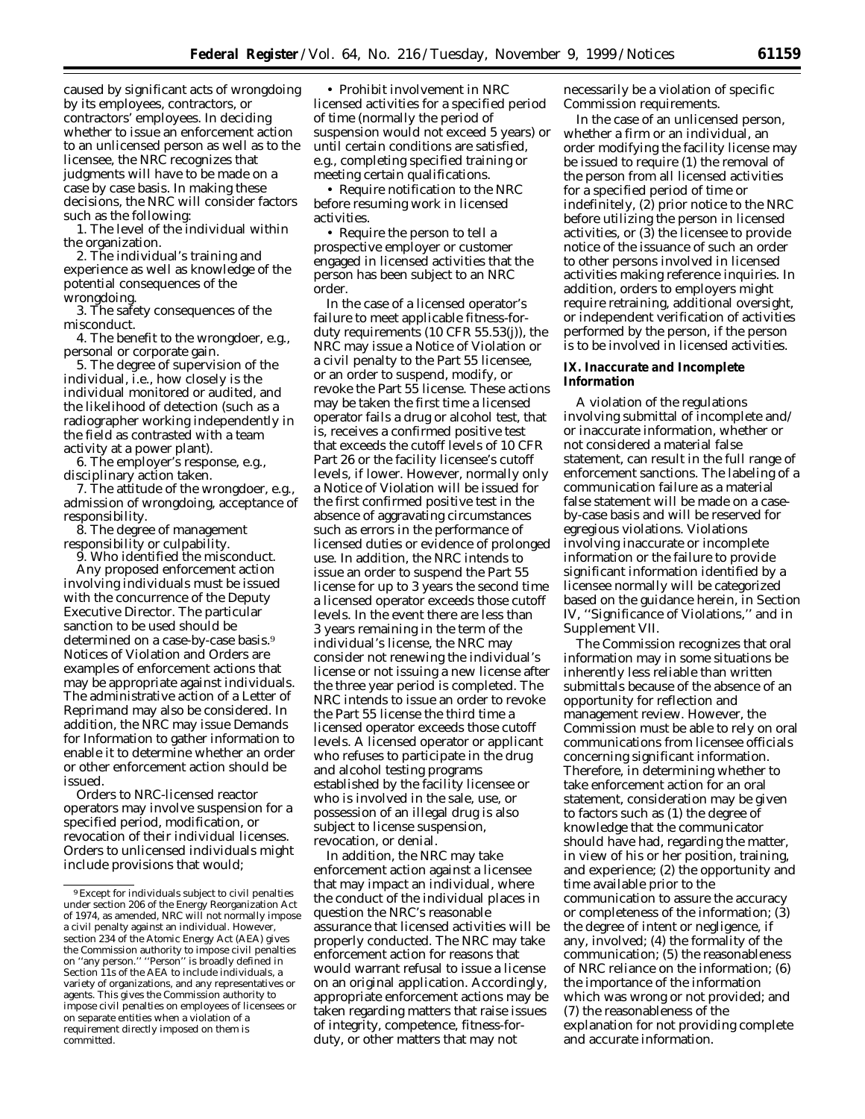caused by significant acts of wrongdoing by its employees, contractors, or contractors' employees. In deciding whether to issue an enforcement action to an unlicensed person as well as to the licensee, the NRC recognizes that judgments will have to be made on a case by case basis. In making these decisions, the NRC will consider factors such as the following:

1. The level of the individual within the organization.

2. The individual's training and experience as well as knowledge of the potential consequences of the wrongdoing.

3. The safety consequences of the misconduct.

4. The benefit to the wrongdoer, *e.g.*, personal or corporate gain.

5. The degree of supervision of the individual, *i.e.*, how closely is the individual monitored or audited, and the likelihood of detection (such as a radiographer working independently in the field as contrasted with a team activity at a power plant).

6. The employer's response, *e.g.*, disciplinary action taken.

7. The attitude of the wrongdoer, *e.g.*, admission of wrongdoing, acceptance of responsibility.

8. The degree of management responsibility or culpability.

9. Who identified the misconduct. Any proposed enforcement action involving individuals must be issued with the concurrence of the Deputy Executive Director. The particular sanction to be used should be determined on a case-by-case basis.<sup>9</sup> Notices of Violation and Orders are examples of enforcement actions that may be appropriate against individuals. The administrative action of a Letter of Reprimand may also be considered. In addition, the NRC may issue Demands for Information to gather information to enable it to determine whether an order or other enforcement action should be issued.

Orders to NRC-licensed reactor operators may involve suspension for a specified period, modification, or revocation of their individual licenses. Orders to unlicensed individuals might include provisions that would;

• Prohibit involvement in NRC licensed activities for a specified period of time (normally the period of suspension would not exceed 5 years) or until certain conditions are satisfied, *e.g.,* completing specified training or meeting certain qualifications.

• Require notification to the NRC before resuming work in licensed activities.

• Require the person to tell a prospective employer or customer engaged in licensed activities that the person has been subject to an NRC order.

In the case of a licensed operator's failure to meet applicable fitness-forduty requirements (10 CFR 55.53(j)), the NRC may issue a Notice of Violation or a civil penalty to the Part 55 licensee, or an order to suspend, modify, or revoke the Part 55 license. These actions may be taken the first time a licensed operator fails a drug or alcohol test, that is, receives a confirmed positive test that exceeds the cutoff levels of 10 CFR Part 26 or the facility licensee's cutoff levels, if lower. However, normally only a Notice of Violation will be issued for the first confirmed positive test in the absence of aggravating circumstances such as errors in the performance of licensed duties or evidence of prolonged use. In addition, the NRC intends to issue an order to suspend the Part 55 license for up to 3 years the second time a licensed operator exceeds those cutoff levels. In the event there are less than 3 years remaining in the term of the individual's license, the NRC may consider not renewing the individual's license or not issuing a new license after the three year period is completed. The NRC intends to issue an order to revoke the Part 55 license the third time a licensed operator exceeds those cutoff levels. A licensed operator or applicant who refuses to participate in the drug and alcohol testing programs established by the facility licensee or who is involved in the sale, use, or possession of an illegal drug is also subject to license suspension, revocation, or denial.

In addition, the NRC may take enforcement action against a licensee that may impact an individual, where the conduct of the individual places in question the NRC's reasonable assurance that licensed activities will be properly conducted. The NRC may take enforcement action for reasons that would warrant refusal to issue a license on an original application. Accordingly, appropriate enforcement actions may be taken regarding matters that raise issues of integrity, competence, fitness-forduty, or other matters that may not

necessarily be a violation of specific Commission requirements.

In the case of an unlicensed person, whether a firm or an individual, an order modifying the facility license may be issued to require (1) the removal of the person from all licensed activities for a specified period of time or indefinitely, (2) prior notice to the NRC before utilizing the person in licensed activities, or (3) the licensee to provide notice of the issuance of such an order to other persons involved in licensed activities making reference inquiries. In addition, orders to employers might require retraining, additional oversight, or independent verification of activities performed by the person, if the person is to be involved in licensed activities.

### **IX. Inaccurate and Incomplete Information**

A violation of the regulations involving submittal of incomplete and/ or inaccurate information, whether or not considered a material false statement, can result in the full range of enforcement sanctions. The labeling of a communication failure as a material false statement will be made on a caseby-case basis and will be reserved for egregious violations. Violations involving inaccurate or incomplete information or the failure to provide significant information identified by a licensee normally will be categorized based on the guidance herein, in Section IV, ''Significance of Violations,'' and in Supplement VII.

The Commission recognizes that oral information may in some situations be inherently less reliable than written submittals because of the absence of an opportunity for reflection and management review. However, the Commission must be able to rely on oral communications from licensee officials concerning significant information. Therefore, in determining whether to take enforcement action for an oral statement, consideration may be given to factors such as (1) the degree of knowledge that the communicator should have had, regarding the matter, in view of his or her position, training, and experience; (2) the opportunity and time available prior to the communication to assure the accuracy or completeness of the information; (3) the degree of intent or negligence, if any, involved; (4) the formality of the communication; (5) the reasonableness of NRC reliance on the information; (6) the importance of the information which was wrong or not provided; and (7) the reasonableness of the explanation for not providing complete and accurate information.

<sup>9</sup>Except for individuals subject to civil penalties under section 206 of the Energy Reorganization Act of 1974, as amended, NRC will not normally impose a civil penalty against an individual. However, section 234 of the Atomic Energy Act (AEA) gives the Commission authority to impose civil penalties on ''any person.'' ''Person'' is broadly defined in Section 11s of the AEA to include individuals, a variety of organizations, and any representatives or agents. This gives the Commission authority to impose civil penalties on employees of licensees or on separate entities when a violation of a requirement directly imposed on them is committed.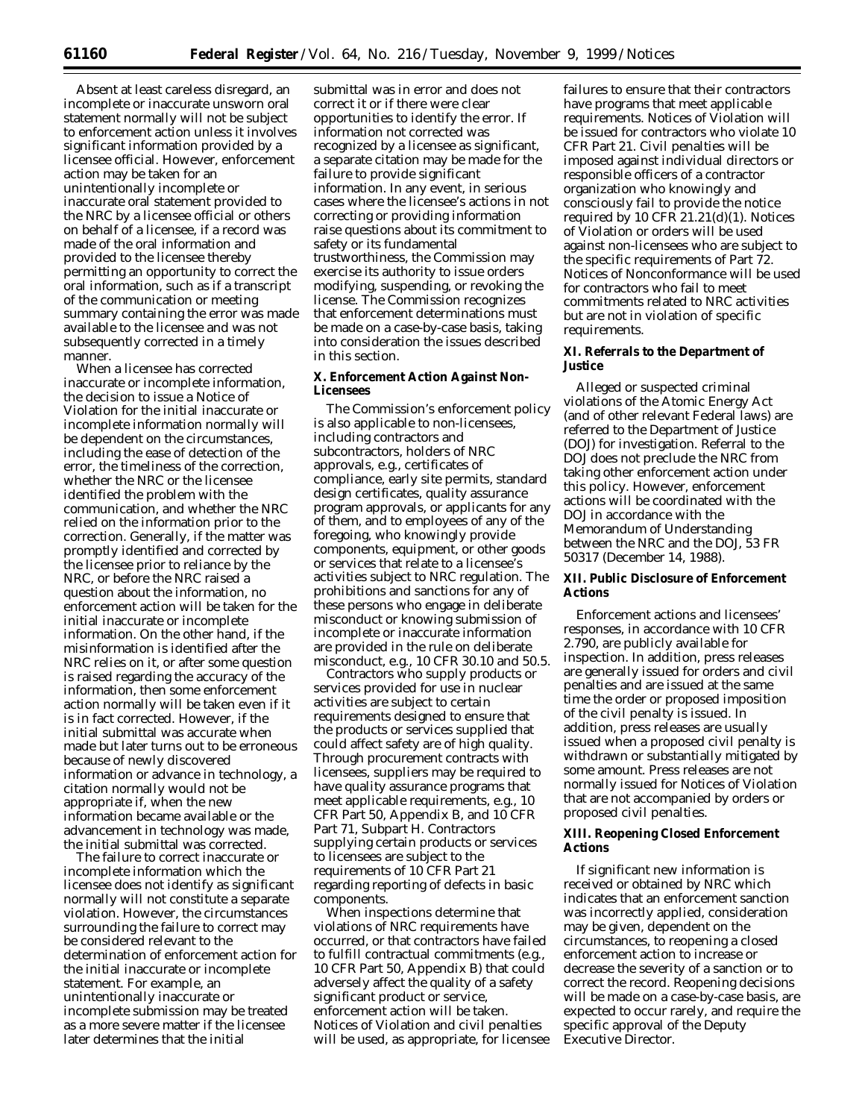Absent at least careless disregard, an incomplete or inaccurate unsworn oral statement normally will not be subject to enforcement action unless it involves significant information provided by a licensee official. However, enforcement action may be taken for an unintentionally incomplete or inaccurate oral statement provided to the NRC by a licensee official or others on behalf of a licensee, if a record was made of the oral information and provided to the licensee thereby permitting an opportunity to correct the oral information, such as if a transcript of the communication or meeting summary containing the error was made available to the licensee and was not subsequently corrected in a timely manner.

When a licensee has corrected inaccurate or incomplete information, the decision to issue a Notice of Violation for the initial inaccurate or incomplete information normally will be dependent on the circumstances, including the ease of detection of the error, the timeliness of the correction, whether the NRC or the licensee identified the problem with the communication, and whether the NRC relied on the information prior to the correction. Generally, if the matter was promptly identified and corrected by the licensee prior to reliance by the NRC, or before the NRC raised a question about the information, no enforcement action will be taken for the initial inaccurate or incomplete information. On the other hand, if the misinformation is identified after the NRC relies on it, or after some question is raised regarding the accuracy of the information, then some enforcement action normally will be taken even if it is in fact corrected. However, if the initial submittal was accurate when made but later turns out to be erroneous because of newly discovered information or advance in technology, a citation normally would not be appropriate if, when the new information became available or the advancement in technology was made, the initial submittal was corrected.

The failure to correct inaccurate or incomplete information which the licensee does not identify as significant normally will not constitute a separate violation. However, the circumstances surrounding the failure to correct may be considered relevant to the determination of enforcement action for the initial inaccurate or incomplete statement. For example, an unintentionally inaccurate or incomplete submission may be treated as a more severe matter if the licensee later determines that the initial

submittal was in error and does not correct it or if there were clear opportunities to identify the error. If information not corrected was recognized by a licensee as significant, a separate citation may be made for the failure to provide significant information. In any event, in serious cases where the licensee's actions in not correcting or providing information raise questions about its commitment to safety or its fundamental trustworthiness, the Commission may exercise its authority to issue orders modifying, suspending, or revoking the license. The Commission recognizes that enforcement determinations must be made on a case-by-case basis, taking into consideration the issues described in this section.

## **X. Enforcement Action Against Non-Licensees**

The Commission's enforcement policy is also applicable to non-licensees, including contractors and subcontractors, holders of NRC approvals, *e.g.,* certificates of compliance, early site permits, standard design certificates, quality assurance program approvals, or applicants for any of them, and to employees of any of the foregoing, who knowingly provide components, equipment, or other goods or services that relate to a licensee's activities subject to NRC regulation. The prohibitions and sanctions for any of these persons who engage in deliberate misconduct or knowing submission of incomplete or inaccurate information are provided in the rule on deliberate misconduct, *e.g.,* 10 CFR 30.10 and 50.5.

Contractors who supply products or services provided for use in nuclear activities are subject to certain requirements designed to ensure that the products or services supplied that could affect safety are of high quality. Through procurement contracts with licensees, suppliers may be required to have quality assurance programs that meet applicable requirements, *e.g.,* 10 CFR Part 50, Appendix B, and 10 CFR Part 71, Subpart H. Contractors supplying certain products or services to licensees are subject to the requirements of 10 CFR Part 21 regarding reporting of defects in basic components.

When inspections determine that violations of NRC requirements have occurred, or that contractors have failed to fulfill contractual commitments (*e.g.,* 10 CFR Part 50, Appendix B) that could adversely affect the quality of a safety significant product or service, enforcement action will be taken. Notices of Violation and civil penalties will be used, as appropriate, for licensee

failures to ensure that their contractors have programs that meet applicable requirements. Notices of Violation will be issued for contractors who violate 10 CFR Part 21. Civil penalties will be imposed against individual directors or responsible officers of a contractor organization who knowingly and consciously fail to provide the notice required by 10 CFR  $21.21(d)(1)$ . Notices of Violation or orders will be used against non-licensees who are subject to the specific requirements of Part 72. Notices of Nonconformance will be used for contractors who fail to meet commitments related to NRC activities but are not in violation of specific requirements.

#### **XI. Referrals to the Department of Justice**

Alleged or suspected criminal violations of the Atomic Energy Act (and of other relevant Federal laws) are referred to the Department of Justice (DOJ) for investigation. Referral to the DOJ does not preclude the NRC from taking other enforcement action under this policy. However, enforcement actions will be coordinated with the DOJ in accordance with the Memorandum of Understanding between the NRC and the DOJ, 53 FR 50317 (December 14, 1988).

## **XII. Public Disclosure of Enforcement Actions**

Enforcement actions and licensees' responses, in accordance with 10 CFR 2.790, are publicly available for inspection. In addition, press releases are generally issued for orders and civil penalties and are issued at the same time the order or proposed imposition of the civil penalty is issued. In addition, press releases are usually issued when a proposed civil penalty is withdrawn or substantially mitigated by some amount. Press releases are not normally issued for Notices of Violation that are not accompanied by orders or proposed civil penalties.

### **XIII. Reopening Closed Enforcement Actions**

If significant new information is received or obtained by NRC which indicates that an enforcement sanction was incorrectly applied, consideration may be given, dependent on the circumstances, to reopening a closed enforcement action to increase or decrease the severity of a sanction or to correct the record. Reopening decisions will be made on a case-by-case basis, are expected to occur rarely, and require the specific approval of the Deputy Executive Director.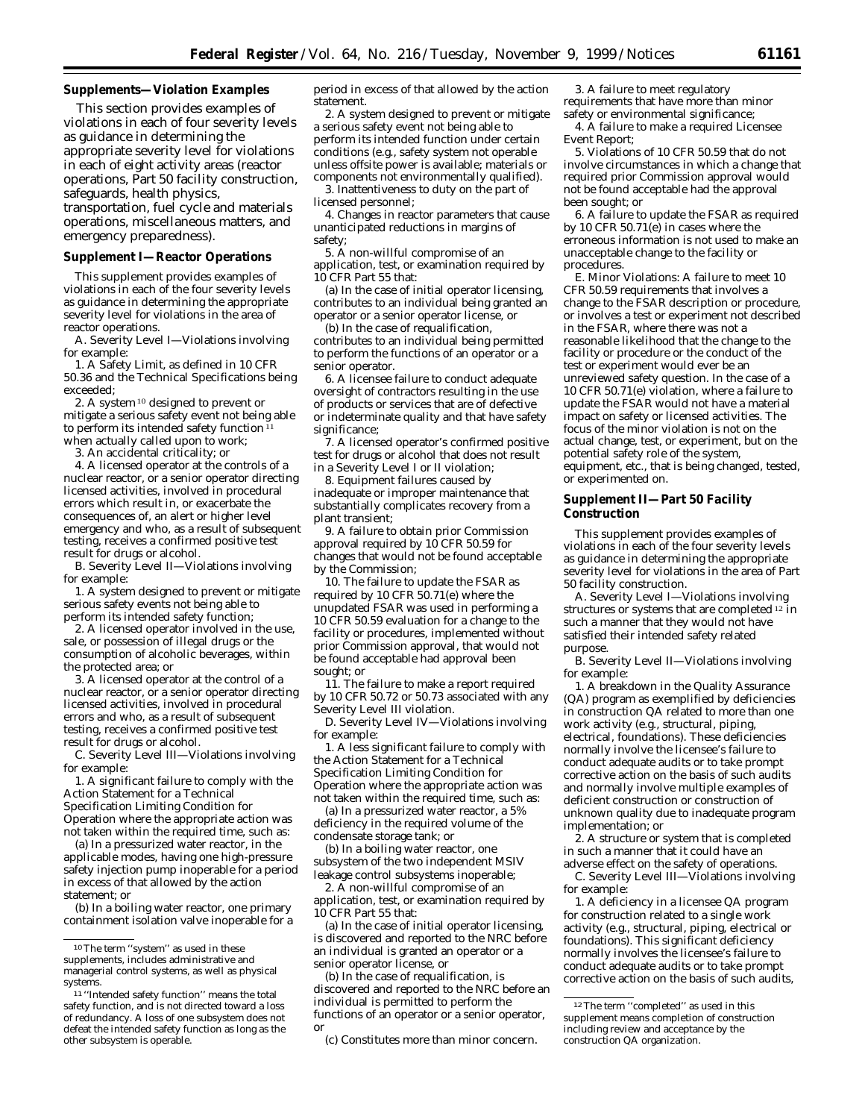### **Supplements—Violation Examples**

This section provides examples of violations in each of four severity levels as guidance in determining the appropriate severity level for violations in each of eight activity areas (reactor operations, Part 50 facility construction, safeguards, health physics, transportation, fuel cycle and materials operations, miscellaneous matters, and

emergency preparedness).

## **Supplement I—Reactor Operations**

This supplement provides examples of violations in each of the four severity levels as guidance in determining the appropriate severity level for violations in the area of reactor operations.

A. Severity Level I—Violations involving for example:

1. A Safety Limit, as defined in 10 CFR 50.36 and the Technical Specifications being exceeded;

2. A system 10 designed to prevent or mitigate a serious safety event not being able to perform its intended safety function<sup>11</sup> when actually called upon to work;

3. An accidental criticality; or

4. A licensed operator at the controls of a nuclear reactor, or a senior operator directing licensed activities, involved in procedural errors which result in, or exacerbate the consequences of, an alert or higher level emergency and who, as a result of subsequent testing, receives a confirmed positive test result for drugs or alcohol.

B. Severity Level II—Violations involving for example:

1. A system designed to prevent or mitigate serious safety events not being able to perform its intended safety function;

2. A licensed operator involved in the use, sale, or possession of illegal drugs or the consumption of alcoholic beverages, within the protected area; or

3. A licensed operator at the control of a nuclear reactor, or a senior operator directing licensed activities, involved in procedural errors and who, as a result of subsequent testing, receives a confirmed positive test result for drugs or alcohol.

C. Severity Level III—Violations involving for example:

1. A significant failure to comply with the Action Statement for a Technical Specification Limiting Condition for Operation where the appropriate action was not taken within the required time, such as:

(a) In a pressurized water reactor, in the applicable modes, having one high-pressure safety injection pump inoperable for a period in excess of that allowed by the action statement; or

(b) In a boiling water reactor, one primary containment isolation valve inoperable for a period in excess of that allowed by the action statement.

2. A system designed to prevent or mitigate a serious safety event not being able to perform its intended function under certain conditions (*e.g.,* safety system not operable unless offsite power is available; materials or components not environmentally qualified). 3. Inattentiveness to duty on the part of

licensed personnel;

4. Changes in reactor parameters that cause unanticipated reductions in margins of safety;

5. A non-willful compromise of an

application, test, or examination required by 10 CFR Part 55 that:

(a) In the case of initial operator licensing, contributes to an individual being granted an operator or a senior operator license, or

(b) In the case of requalification, contributes to an individual being permitted to perform the functions of an operator or a senior operator.

6. A licensee failure to conduct adequate oversight of contractors resulting in the use of products or services that are of defective or indeterminate quality and that have safety significance;

7. A licensed operator's confirmed positive test for drugs or alcohol that does not result in a Severity Level I or II violation;

8. Equipment failures caused by inadequate or improper maintenance that substantially complicates recovery from a plant transient;

9. A failure to obtain prior Commission approval required by  $10$  CFR 50.59 for changes that would not be found acceptable by the Commission;

10. The failure to update the FSAR as required by 10 CFR 50.71(e) where the unupdated FSAR was used in performing a 10 CFR 50.59 evaluation for a change to the facility or procedures, implemented without prior Commission approval, that would not be found acceptable had approval been sought; or

11. The failure to make a report required by 10 CFR 50.72 or 50.73 associated with any Severity Level III violation.

D. Severity Level IV—Violations involving for example:

1. A less significant failure to comply with the Action Statement for a Technical Specification Limiting Condition for Operation where the appropriate action was not taken within the required time, such as:

(a) In a pressurized water reactor, a 5% deficiency in the required volume of the condensate storage tank; or

(b) In a boiling water reactor, one subsystem of the two independent MSIV leakage control subsystems inoperable;

2. A non-willful compromise of an application, test, or examination required by 10 CFR Part 55 that:

(a) In the case of initial operator licensing, is discovered and reported to the NRC before an individual is granted an operator or a senior operator license, or

(b) In the case of requalification, is discovered and reported to the NRC before an individual is permitted to perform the functions of an operator or a senior operator, or

(c) Constitutes more than minor concern.

3. A failure to meet regulatory requirements that have more than minor safety or environmental significance;

4. A failure to make a required Licensee Event Report;

5. Violations of 10 CFR 50.59 that do not involve circumstances in which a change that required prior Commission approval would not be found acceptable had the approval been sought; or

6. A failure to update the FSAR as required by 10 CFR 50.71(e) in cases where the erroneous information is not used to make an unacceptable change to the facility or procedures.

E. Minor Violations: A failure to meet 10 CFR 50.59 requirements that involves a change to the FSAR description or procedure, or involves a test or experiment not described in the FSAR, where there was not a reasonable likelihood that the change to the facility or procedure or the conduct of the test or experiment would ever be an unreviewed safety question. In the case of a 10 CFR 50.71(e) violation, where a failure to update the FSAR would not have a material impact on safety or licensed activities. The focus of the minor violation is not on the actual change, test, or experiment, but on the potential safety role of the system, equipment, etc., that is being changed, tested, or experimented on.

### **Supplement II—Part 50 Facility Construction**

This supplement provides examples of violations in each of the four severity levels as guidance in determining the appropriate severity level for violations in the area of Part 50 facility construction.

A. Severity Level I—Violations involving structures or systems that are completed 12 in such a manner that they would not have satisfied their intended safety related purpose.

B. Severity Level II—Violations involving for example:

1. A breakdown in the Quality Assurance (QA) program as exemplified by deficiencies in construction QA related to more than one work activity (*e.g.,* structural, piping, electrical, foundations). These deficiencies normally involve the licensee's failure to conduct adequate audits or to take prompt corrective action on the basis of such audits and normally involve multiple examples of deficient construction or construction of unknown quality due to inadequate program implementation; or

2. A structure or system that is completed in such a manner that it could have an adverse effect on the safety of operations.

C. Severity Level III—Violations involving for example:

1. A deficiency in a licensee QA program for construction related to a single work activity (*e.g.,* structural, piping, electrical or foundations). This significant deficiency normally involves the licensee's failure to conduct adequate audits or to take prompt corrective action on the basis of such audits,

 $\rm ^{10}The$  term ''system'' as used in these supplements, includes administrative and managerial control systems, as well as physical systems.

<sup>11</sup> ''Intended safety function'' means the total safety function, and is not directed toward a loss of redundancy. A loss of one subsystem does not defeat the intended safety function as long as the other subsystem is operable.

<sup>12</sup>The term ''completed'' as used in this supplement means completion of construction including review and acceptance by the construction QA organization.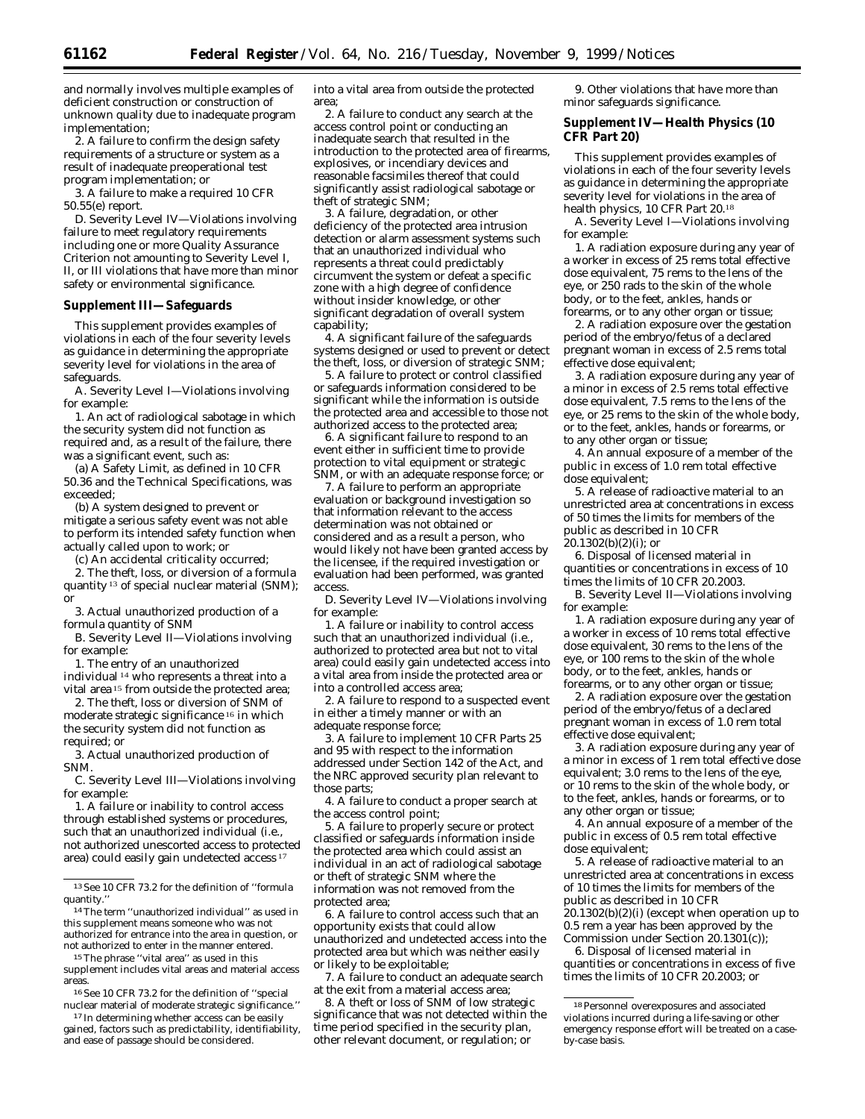and normally involves multiple examples of deficient construction or construction of unknown quality due to inadequate program implementation;

2. A failure to confirm the design safety requirements of a structure or system as a result of inadequate preoperational test program implementation; or

3. A failure to make a required 10 CFR 50.55(e) report.

D. Severity Level IV—Violations involving failure to meet regulatory requirements including one or more Quality Assurance Criterion not amounting to Severity Level I, II, or III violations that have more than minor safety or environmental significance.

#### **Supplement III—Safeguards**

This supplement provides examples of violations in each of the four severity levels as guidance in determining the appropriate severity level for violations in the area of safeguards.

A. Severity Level I—Violations involving for example:

1. An act of radiological sabotage in which the security system did not function as required and, as a result of the failure, there was a significant event, such as:

(a) A Safety Limit, as defined in 10 CFR 50.36 and the Technical Specifications, was exceeded;

(b) A system designed to prevent or mitigate a serious safety event was not able to perform its intended safety function when actually called upon to work; or

(c) An accidental criticality occurred;

2. The theft, loss, or diversion of a formula quantity 13 of special nuclear material (SNM); or

3. Actual unauthorized production of a formula quantity of SNM

B. Severity Level II—Violations involving for example:

1. The entry of an unauthorized individual 14 who represents a threat into a vital area 15 from outside the protected area;

2. The theft, loss or diversion of SNM of moderate strategic significance 16 in which the security system did not function as required; or

3. Actual unauthorized production of SNM.

C. Severity Level III—Violations involving for example:

1. A failure or inability to control access through established systems or procedures, such that an unauthorized individual (*i.e.,* not authorized unescorted access to protected area) could easily gain undetected access 17

14The term ''unauthorized individual'' as used in this supplement means someone who was not authorized for entrance into the area in question, or not authorized to enter in the manner entered.

15The phrase ''vital area'' as used in this supplement includes vital areas and material access areas.

16See 10 CFR 73.2 for the definition of ''special nuclear material of moderate strategic significance.''

<sup>17</sup> In determining whether access can be easily gained, factors such as predictability, identifiability, and ease of passage should be considered.

into a vital area from outside the protected area;

2. A failure to conduct any search at the access control point or conducting an inadequate search that resulted in the introduction to the protected area of firearms, explosives, or incendiary devices and reasonable facsimiles thereof that could significantly assist radiological sabotage or theft of strategic SNM;

3. A failure, degradation, or other deficiency of the protected area intrusion detection or alarm assessment systems such that an unauthorized individual who represents a threat could predictably circumvent the system or defeat a specific zone with a high degree of confidence without insider knowledge, or other significant degradation of overall system capability;

4. A significant failure of the safeguards systems designed or used to prevent or detect the theft, loss, or diversion of strategic SNM;

5. A failure to protect or control classified or safeguards information considered to be significant while the information is outside the protected area and accessible to those not authorized access to the protected area;

6. A significant failure to respond to an event either in sufficient time to provide protection to vital equipment or strategic SNM, or with an adequate response force; or

7. A failure to perform an appropriate evaluation or background investigation so that information relevant to the access determination was not obtained or considered and as a result a person, who would likely not have been granted access by the licensee, if the required investigation or evaluation had been performed, was granted access.

D. Severity Level IV—Violations involving for example:

1. A failure or inability to control access such that an unauthorized individual (i.e., authorized to protected area but not to vital area) could easily gain undetected access into a vital area from inside the protected area or into a controlled access area;

2. A failure to respond to a suspected event in either a timely manner or with an adequate response force;

3. A failure to implement 10 CFR Parts 25 and 95 with respect to the information addressed under Section 142 of the Act, and the NRC approved security plan relevant to those parts;

4. A failure to conduct a proper search at the access control point;

5. A failure to properly secure or protect classified or safeguards information inside the protected area which could assist an individual in an act of radiological sabotage or theft of strategic SNM where the information was not removed from the protected area;

6. A failure to control access such that an opportunity exists that could allow unauthorized and undetected access into the protected area but which was neither easily or likely to be exploitable;

7. A failure to conduct an adequate search at the exit from a material access area;

8. A theft or loss of SNM of low strategic significance that was not detected within the time period specified in the security plan, other relevant document, or regulation; or

9. Other violations that have more than minor safeguards significance.

## **Supplement IV—Health Physics (10 CFR Part 20)**

This supplement provides examples of violations in each of the four severity levels as guidance in determining the appropriate severity level for violations in the area of health physics, 10 CFR Part 20.18

A. Severity Level I—Violations involving for example:

1. A radiation exposure during any year of a worker in excess of 25 rems total effective dose equivalent, 75 rems to the lens of the eye, or 250 rads to the skin of the whole body, or to the feet, ankles, hands or forearms, or to any other organ or tissue;

2. A radiation exposure over the gestation period of the embryo/fetus of a declared pregnant woman in excess of 2.5 rems total effective dose equivalent;

3. A radiation exposure during any year of a minor in excess of 2.5 rems total effective dose equivalent, 7.5 rems to the lens of the eye, or 25 rems to the skin of the whole body, or to the feet, ankles, hands or forearms, or to any other organ or tissue;

4. An annual exposure of a member of the public in excess of 1.0 rem total effective dose equivalent;

5. A release of radioactive material to an unrestricted area at concentrations in excess of 50 times the limits for members of the public as described in 10 CFR  $20.1302(b)(2)(i)$ ; or

6. Disposal of licensed material in quantities or concentrations in excess of 10 times the limits of 10 CFR 20.2003.

B. Severity Level II—Violations involving for example:

1. A radiation exposure during any year of a worker in excess of 10 rems total effective dose equivalent, 30 rems to the lens of the eye, or 100 rems to the skin of the whole body, or to the feet, ankles, hands or forearms, or to any other organ or tissue;

2. A radiation exposure over the gestation period of the embryo/fetus of a declared pregnant woman in excess of 1.0 rem total effective dose equivalent;

3. A radiation exposure during any year of a minor in excess of 1 rem total effective dose equivalent; 3.0 rems to the lens of the eye, or 10 rems to the skin of the whole body, or to the feet, ankles, hands or forearms, or to any other organ or tissue;

4. An annual exposure of a member of the public in excess of 0.5 rem total effective dose equivalent;

5. A release of radioactive material to an unrestricted area at concentrations in excess of 10 times the limits for members of the public as described in 10 CFR 20.1302(b)(2)(i) (except when operation up to 0.5 rem a year has been approved by the Commission under Section 20.1301(c));

6. Disposal of licensed material in quantities or concentrations in excess of five times the limits of 10 CFR 20.2003; or

<sup>13</sup>See 10 CFR 73.2 for the definition of ''formula quantity.''

<sup>18</sup>Personnel overexposures and associated violations incurred during a life-saving or other emergency response effort will be treated on a caseby-case basis.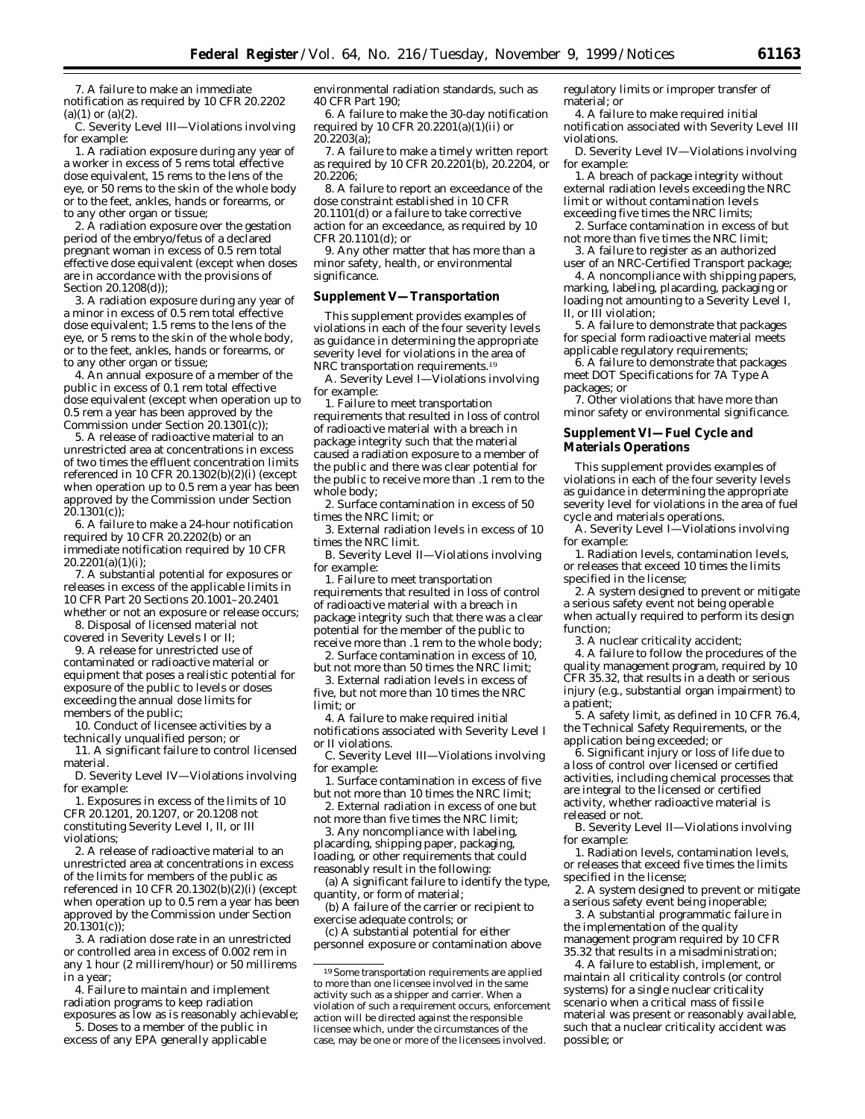7. A failure to make an immediate notification as required by 10 CFR 20.2202  $(a)(1)$  or  $(a)(2)$ .

C. Severity Level III—Violations involving for example:

1. A radiation exposure during any year of a worker in excess of 5 rems total effective dose equivalent, 15 rems to the lens of the eye, or 50 rems to the skin of the whole body or to the feet, ankles, hands or forearms, or to any other organ or tissue;

2. A radiation exposure over the gestation period of the embryo/fetus of a declared pregnant woman in excess of 0.5 rem total effective dose equivalent (except when doses are in accordance with the provisions of Section 20.1208(d));

3. A radiation exposure during any year of a minor in excess of 0.5 rem total effective dose equivalent; 1.5 rems to the lens of the eye, or 5 rems to the skin of the whole body, or to the feet, ankles, hands or forearms, or to any other organ or tissue;

4. An annual exposure of a member of the public in excess of 0.1 rem total effective dose equivalent (except when operation up to 0.5 rem a year has been approved by the Commission under Section 20.1301(c));

5. A release of radioactive material to an unrestricted area at concentrations in excess of two times the effluent concentration limits referenced in 10 CFR 20.1302(b)(2)(i) (except when operation up to 0.5 rem a year has been approved by the Commission under Section  $20.1301(c)$ ;

6. A failure to make a 24-hour notification required by 10 CFR 20.2202(b) or an immediate notification required by 10 CFR  $20.2201(a)(1)(i)$ ;

7. A substantial potential for exposures or releases in excess of the applicable limits in 10 CFR Part 20 Sections 20.1001–20.2401 whether or not an exposure or release occurs;

8. Disposal of licensed material not covered in Severity Levels I or II;

9. A release for unrestricted use of contaminated or radioactive material or equipment that poses a realistic potential for exposure of the public to levels or doses exceeding the annual dose limits for members of the public;

10. Conduct of licensee activities by a technically unqualified person; or

11. A significant failure to control licensed material.

D. Severity Level IV—Violations involving for example:

1. Exposures in excess of the limits of 10 CFR 20.1201, 20.1207, or 20.1208 not constituting Severity Level I, II, or III violations;

2. A release of radioactive material to an unrestricted area at concentrations in excess of the limits for members of the public as referenced in 10 CFR 20.1302(b)(2)(i) (except when operation up to 0.5 rem a year has been approved by the Commission under Section 20.1301(c));

3. A radiation dose rate in an unrestricted or controlled area in excess of 0.002 rem in any 1 hour (2 millirem/hour) or 50 millirems in a year;

4. Failure to maintain and implement radiation programs to keep radiation exposures as low as is reasonably achievable;

5. Doses to a member of the public in excess of any EPA generally applicable environmental radiation standards, such as 40 CFR Part 190;

6. A failure to make the 30-day notification required by 10 CFR  $20.2201(a)(1)(ii)$  or  $20.2203(a)$ 

7. A failure to make a timely written report as required by 10 CFR 20.2201(b), 20.2204, or 20.2206;

8. A failure to report an exceedance of the dose constraint established in 10 CFR 20.1101(d) or a failure to take corrective action for an exceedance, as required by 10 CFR 20.1101(d); or

9. Any other matter that has more than a minor safety, health, or environmental significance.

#### **Supplement V—Transportation**

This supplement provides examples of violations in each of the four severity levels as guidance in determining the appropriate severity level for violations in the area of NRC transportation requirements.19

A. Severity Level I—Violations involving for example:

1. Failure to meet transportation requirements that resulted in loss of control of radioactive material with a breach in package integrity such that the material caused a radiation exposure to a member of the public and there was clear potential for the public to receive more than .1 rem to the whole body;

2. Surface contamination in excess of 50 times the NRC limit; or

3. External radiation levels in excess of 10 times the NRC limit.

B. Severity Level II—Violations involving for example:

1. Failure to meet transportation requirements that resulted in loss of control of radioactive material with a breach in package integrity such that there was a clear potential for the member of the public to receive more than .1 rem to the whole body; 2. Surface contamination in excess of 10,

but not more than 50 times the NRC limit;

3. External radiation levels in excess of five, but not more than 10 times the NRC limit; or

4. A failure to make required initial notifications associated with Severity Level I or II violations.

C. Severity Level III—Violations involving for example:

1. Surface contamination in excess of five but not more than 10 times the NRC limit; 2. External radiation in excess of one but

not more than five times the NRC limit;

3. Any noncompliance with labeling, placarding, shipping paper, packaging, loading, or other requirements that could reasonably result in the following:

(a) A significant failure to identify the type, quantity, or form of material;

(b) A failure of the carrier or recipient to exercise adequate controls; or

(c) A substantial potential for either personnel exposure or contamination above

19Some transportation requirements are applied to more than one licensee involved in the same activity such as a shipper and carrier. When a violation of such a requirement occurs, enforcement action will be directed against the responsible licensee which, under the circumstances of the case, may be one or more of the licensees involved.

regulatory limits or improper transfer of material; or

4. A failure to make required initial notification associated with Severity Level III violations.

D. Severity Level IV—Violations involving for example:

1. A breach of package integrity without external radiation levels exceeding the NRC limit or without contamination levels exceeding five times the NRC limits;

2. Surface contamination in excess of but not more than five times the NRC limit;

3. A failure to register as an authorized user of an NRC-Certified Transport package;

4. A noncompliance with shipping papers, marking, labeling, placarding, packaging or loading not amounting to a Severity Level I, II, or III violation;

5. A failure to demonstrate that packages for special form radioactive material meets applicable regulatory requirements;

6. A failure to demonstrate that packages meet DOT Specifications for 7A Type A packages; or

7. Other violations that have more than minor safety or environmental significance.

### **Supplement VI—Fuel Cycle and Materials Operations**

This supplement provides examples of violations in each of the four severity levels as guidance in determining the appropriate severity level for violations in the area of fuel cycle and materials operations.

A. Severity Level I—Violations involving for example:

1. Radiation levels, contamination levels, or releases that exceed 10 times the limits specified in the license;

2. A system designed to prevent or mitigate a serious safety event not being operable when actually required to perform its design function;

3. A nuclear criticality accident;

4. A failure to follow the procedures of the quality management program, required by 10 CFR 35.32, that results in a death or serious injury (*e.g.*, substantial organ impairment) to a patient;

5. A safety limit, as defined in 10 CFR 76.4, the Technical Safety Requirements, or the application being exceeded; or

6. Significant injury or loss of life due to a loss of control over licensed or certified activities, including chemical processes that are integral to the licensed or certified activity, whether radioactive material is released or not.

B. Severity Level II—Violations involving for example:

1. Radiation levels, contamination levels, or releases that exceed five times the limits specified in the license;

2. A system designed to prevent or mitigate a serious safety event being inoperable;

3. A substantial programmatic failure in the implementation of the quality management program required by 10 CFR 35.32 that results in a misadministration;

4. A failure to establish, implement, or maintain all criticality controls (or control systems) for a single nuclear criticality scenario when a critical mass of fissile material was present or reasonably available, such that a nuclear criticality accident was possible; or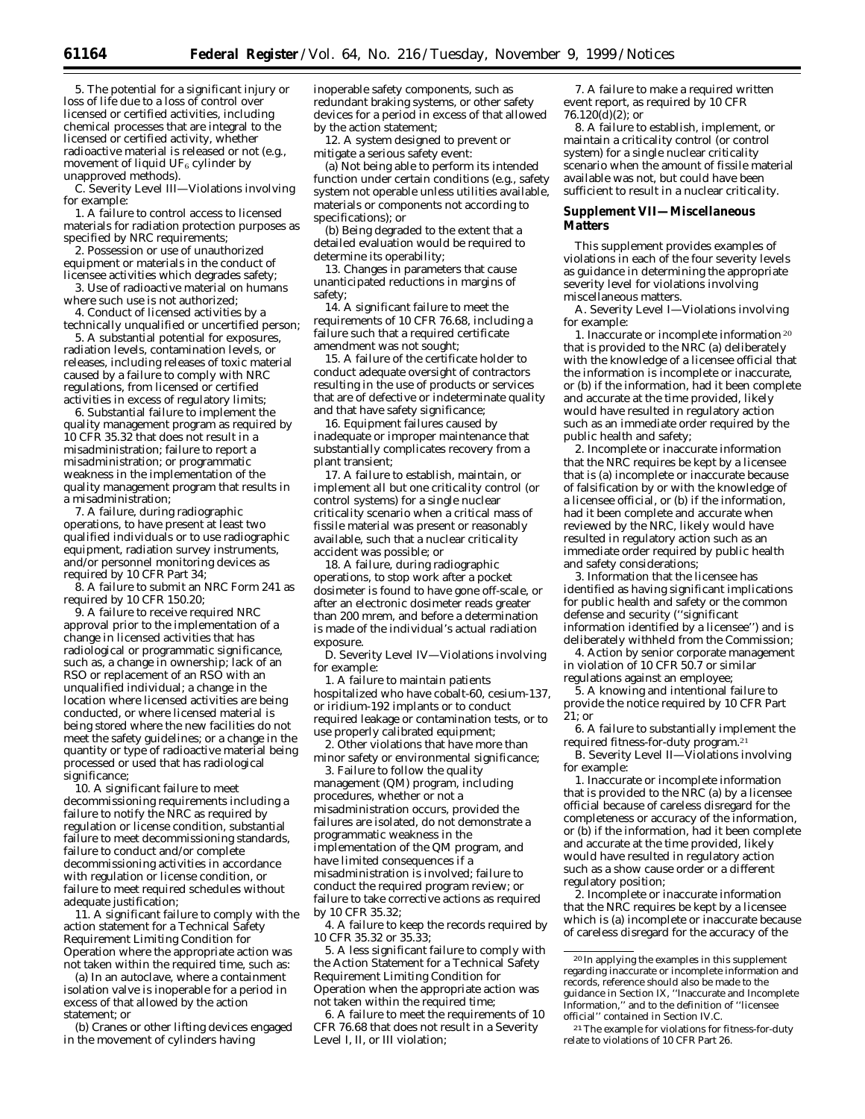5. The potential for a significant injury or loss of life due to a loss of control over licensed or certified activities, including chemical processes that are integral to the licensed or certified activity, whether radioactive material is released or not (*e.g.*, movement of liquid  $UF_6$  cylinder by unapproved methods).

C. Severity Level III—Violations involving for example:

1. A failure to control access to licensed materials for radiation protection purposes as specified by NRC requirements;

2. Possession or use of unauthorized equipment or materials in the conduct of licensee activities which degrades safety;

3. Use of radioactive material on humans where such use is not authorized;

4. Conduct of licensed activities by a technically unqualified or uncertified person;

5. A substantial potential for exposures, radiation levels, contamination levels, or releases, including releases of toxic material caused by a failure to comply with NRC regulations, from licensed or certified activities in excess of regulatory limits;

6. Substantial failure to implement the quality management program as required by 10 CFR 35.32 that does not result in a misadministration; failure to report a misadministration; or programmatic weakness in the implementation of the quality management program that results in a misadministration;

7. A failure, during radiographic operations, to have present at least two qualified individuals or to use radiographic equipment, radiation survey instruments, and/or personnel monitoring devices as required by 10 CFR Part 34;

8. A failure to submit an NRC Form 241 as required by 10 CFR 150.20;

9. A failure to receive required NRC approval prior to the implementation of a change in licensed activities that has radiological or programmatic significance, such as, a change in ownership; lack of an RSO or replacement of an RSO with an unqualified individual; a change in the location where licensed activities are being conducted, or where licensed material is being stored where the new facilities do not meet the safety guidelines; or a change in the quantity or type of radioactive material being processed or used that has radiological significance;

10. A significant failure to meet decommissioning requirements including a failure to notify the NRC as required by regulation or license condition, substantial failure to meet decommissioning standards, failure to conduct and/or complete decommissioning activities in accordance with regulation or license condition, or failure to meet required schedules without adequate justification;

11. A significant failure to comply with the action statement for a Technical Safety Requirement Limiting Condition for Operation where the appropriate action was not taken within the required time, such as:

(a) In an autoclave, where a containment isolation valve is inoperable for a period in excess of that allowed by the action statement; or

(b) Cranes or other lifting devices engaged in the movement of cylinders having

inoperable safety components, such as redundant braking systems, or other safety devices for a period in excess of that allowed by the action statement;

12. A system designed to prevent or mitigate a serious safety event:

(a) Not being able to perform its intended function under certain conditions (*e.g.,* safety system not operable unless utilities available, materials or components not according to specifications); or

(b) Being degraded to the extent that a detailed evaluation would be required to determine its operability;

13. Changes in parameters that cause unanticipated reductions in margins of safety;

14. A significant failure to meet the requirements of 10 CFR 76.68, including a failure such that a required certificate amendment was not sought;

15. A failure of the certificate holder to conduct adequate oversight of contractors resulting in the use of products or services that are of defective or indeterminate quality and that have safety significance;

16. Equipment failures caused by inadequate or improper maintenance that substantially complicates recovery from a plant transient;

17. A failure to establish, maintain, or implement all but one criticality control (or control systems) for a single nuclear criticality scenario when a critical mass of fissile material was present or reasonably available, such that a nuclear criticality accident was possible; or

18. A failure, during radiographic operations, to stop work after a pocket dosimeter is found to have gone off-scale, or after an electronic dosimeter reads greater than 200 mrem, and before a determination is made of the individual's actual radiation exposure.

D. Severity Level IV—Violations involving for example:

1. A failure to maintain patients hospitalized who have cobalt-60, cesium-137, or iridium-192 implants or to conduct required leakage or contamination tests, or to use properly calibrated equipment;

2. Other violations that have more than minor safety or environmental significance;

3. Failure to follow the quality management (QM) program, including procedures, whether or not a misadministration occurs, provided the failures are isolated, do not demonstrate a programmatic weakness in the implementation of the QM program, and have limited consequences if a misadministration is involved; failure to conduct the required program review; or failure to take corrective actions as required by 10 CFR 35.32;

4. A failure to keep the records required by 10 CFR 35.32 or 35.33;

5. A less significant failure to comply with the Action Statement for a Technical Safety Requirement Limiting Condition for Operation when the appropriate action was not taken within the required time;

6. A failure to meet the requirements of 10 CFR 76.68 that does not result in a Severity Level I, II, or III violation;

7. A failure to make a required written event report, as required by 10 CFR  $76.120(\text{d})(2)$ ; or

8. A failure to establish, implement, or maintain a criticality control (or control system) for a single nuclear criticality scenario when the amount of fissile material available was not, but could have been sufficient to result in a nuclear criticality.

#### **Supplement VII—Miscellaneous Matters**

This supplement provides examples of violations in each of the four severity levels as guidance in determining the appropriate severity level for violations involving miscellaneous matters.

A. Severity Level I—Violations involving for example:

1. Inaccurate or incomplete information 20 that is provided to the NRC (a) deliberately with the knowledge of a licensee official that the information is incomplete or inaccurate, or (b) if the information, had it been complete and accurate at the time provided, likely would have resulted in regulatory action such as an immediate order required by the public health and safety;

2. Incomplete or inaccurate information that the NRC requires be kept by a licensee that is (a) incomplete or inaccurate because of falsification by or with the knowledge of a licensee official, or (b) if the information, had it been complete and accurate when reviewed by the NRC, likely would have resulted in regulatory action such as an immediate order required by public health and safety considerations;

3. Information that the licensee has identified as having significant implications for public health and safety or the common defense and security (''significant information identified by a licensee'') and is deliberately withheld from the Commission;

4. Action by senior corporate management in violation of 10 CFR 50.7 or similar regulations against an employee;

5. A knowing and intentional failure to provide the notice required by 10 CFR Part 21; or

6. A failure to substantially implement the required fitness-for-duty program.21

B. Severity Level II—Violations involving for example:

1. Inaccurate or incomplete information that is provided to the NRC (a) by a licensee official because of careless disregard for the completeness or accuracy of the information, or (b) if the information, had it been complete and accurate at the time provided, likely would have resulted in regulatory action such as a show cause order or a different regulatory position;

2. Incomplete or inaccurate information that the NRC requires be kept by a licensee which is (a) incomplete or inaccurate because of careless disregard for the accuracy of the

<sup>20</sup> In applying the examples in this supplement regarding inaccurate or incomplete information and records, reference should also be made to the guidance in Section IX, ''Inaccurate and Incomplete Information,'' and to the definition of ''licensee official'' contained in Section IV.C.

<sup>21</sup>The example for violations for fitness-for-duty relate to violations of 10 CFR Part 26.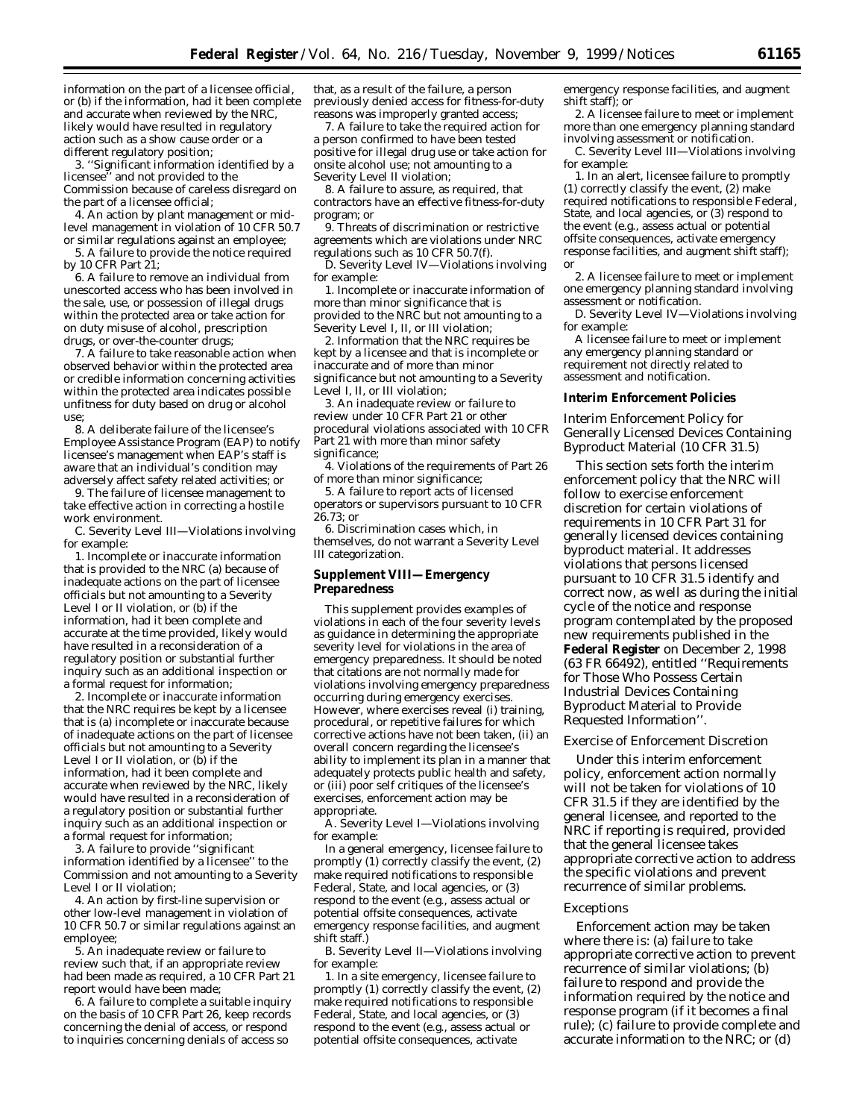information on the part of a licensee official, or (b) if the information, had it been complete and accurate when reviewed by the NRC, likely would have resulted in regulatory action such as a show cause order or a different regulatory position;

3. ''Significant information identified by a licensee'' and not provided to the Commission because of careless disregard on the part of a licensee official;

4. An action by plant management or midlevel management in violation of 10 CFR 50.7 or similar regulations against an employee;

5. A failure to provide the notice required by 10 CFR Part 21;

6. A failure to remove an individual from unescorted access who has been involved in the sale, use, or possession of illegal drugs within the protected area or take action for on duty misuse of alcohol, prescription drugs, or over-the-counter drugs;

7. A failure to take reasonable action when observed behavior within the protected area or credible information concerning activities within the protected area indicates possible unfitness for duty based on drug or alcohol use;

8. A deliberate failure of the licensee's Employee Assistance Program (EAP) to notify licensee's management when EAP's staff is aware that an individual's condition may adversely affect safety related activities; or

9. The failure of licensee management to take effective action in correcting a hostile work environment.

C. Severity Level III—Violations involving for example:

1. Incomplete or inaccurate information that is provided to the NRC (a) because of inadequate actions on the part of licensee officials but not amounting to a Severity Level I or II violation, or (b) if the information, had it been complete and accurate at the time provided, likely would have resulted in a reconsideration of a regulatory position or substantial further inquiry such as an additional inspection or a formal request for information;

2. Incomplete or inaccurate information that the NRC requires be kept by a licensee that is (a) incomplete or inaccurate because of inadequate actions on the part of licensee officials but not amounting to a Severity Level I or II violation, or  $(b)$  if the information, had it been complete and accurate when reviewed by the NRC, likely would have resulted in a reconsideration of a regulatory position or substantial further inquiry such as an additional inspection or a formal request for information;

3. A failure to provide ''significant information identified by a licensee'' to the Commission and not amounting to a Severity Level I or II violation;

4. An action by first-line supervision or other low-level management in violation of 10 CFR 50.7 or similar regulations against an employee;

5. An inadequate review or failure to review such that, if an appropriate review had been made as required, a 10 CFR Part 21 report would have been made;

6. A failure to complete a suitable inquiry on the basis of 10 CFR Part 26, keep records concerning the denial of access, or respond to inquiries concerning denials of access so

that, as a result of the failure, a person previously denied access for fitness-for-duty reasons was improperly granted access;

7. A failure to take the required action for a person confirmed to have been tested positive for illegal drug use or take action for onsite alcohol use; not amounting to a Severity Level II violation;

8. A failure to assure, as required, that contractors have an effective fitness-for-duty program; or

9. Threats of discrimination or restrictive agreements which are violations under NRC regulations such as 10 CFR 50.7(f).

D. Severity Level IV—Violations involving for example:

1. Incomplete or inaccurate information of more than minor significance that is provided to the NRC but not amounting to a Severity Level I, II, or III violation;

2. Information that the NRC requires be kept by a licensee and that is incomplete or inaccurate and of more than minor significance but not amounting to a Severity Level I, II, or III violation;

3. An inadequate review or failure to review under 10 CFR Part 21 or other procedural violations associated with 10 CFR Part 21 with more than minor safety significance;

4. Violations of the requirements of Part 26 of more than minor significance;

5. A failure to report acts of licensed operators or supervisors pursuant to 10 CFR 26.73; or

6. Discrimination cases which, in themselves, do not warrant a Severity Level III categorization.

### **Supplement VIII—Emergency Preparedness**

This supplement provides examples of violations in each of the four severity levels as guidance in determining the appropriate severity level for violations in the area of emergency preparedness. It should be noted that citations are not normally made for violations involving emergency preparedness occurring during emergency exercises. However, where exercises reveal (i) training, procedural, or repetitive failures for which corrective actions have not been taken, (ii) an overall concern regarding the licensee's ability to implement its plan in a manner that adequately protects public health and safety, or (iii) poor self critiques of the licensee's exercises, enforcement action may be appropriate.

A. Severity Level I—Violations involving for example:

In a general emergency, licensee failure to promptly (1) correctly classify the event, (2) make required notifications to responsible Federal, State, and local agencies, or (3) respond to the event (e.g., assess actual or potential offsite consequences, activate emergency response facilities, and augment shift staff.)

B. Severity Level II—Violations involving for example:

1. In a site emergency, licensee failure to promptly (1) correctly classify the event, (2) make required notifications to responsible Federal, State, and local agencies, or (3) respond to the event (*e.g.,* assess actual or potential offsite consequences, activate

emergency response facilities, and augment shift staff); or

2. A licensee failure to meet or implement more than one emergency planning standard involving assessment or notification.

C. Severity Level III—Violations involving for example:

1. In an alert, licensee failure to promptly (1) correctly classify the event, (2) make required notifications to responsible Federal, State, and local agencies, or (3) respond to the event (e.g., assess actual or potential offsite consequences, activate emergency response facilities, and augment shift staff); or

2. A licensee failure to meet or implement one emergency planning standard involving assessment or notification.

D. Severity Level IV—Violations involving for example:

A licensee failure to meet or implement any emergency planning standard or requirement not directly related to assessment and notification.

### **Interim Enforcement Policies**

*Interim Enforcement Policy for Generally Licensed Devices Containing Byproduct Material (10 CFR 31.5)*

This section sets forth the interim enforcement policy that the NRC will follow to exercise enforcement discretion for certain violations of requirements in 10 CFR Part 31 for generally licensed devices containing byproduct material. It addresses violations that persons licensed pursuant to 10 CFR 31.5 identify and correct now, as well as during the initial cycle of the notice and response program contemplated by the proposed new requirements published in the **Federal Register** on December 2, 1998 (63 FR 66492), entitled ''Requirements for Those Who Possess Certain Industrial Devices Containing Byproduct Material to Provide Requested Information''.

## Exercise of Enforcement Discretion

Under this interim enforcement policy, enforcement action normally will not be taken for violations of 10 CFR 31.5 if they are identified by the general licensee, and reported to the NRC if reporting is required, provided that the general licensee takes appropriate corrective action to address the specific violations and prevent recurrence of similar problems.

#### Exceptions

Enforcement action may be taken where there is: (a) failure to take appropriate corrective action to prevent recurrence of similar violations; (b) failure to respond and provide the information required by the notice and response program (if it becomes a final rule); (c) failure to provide complete and accurate information to the NRC; or (d)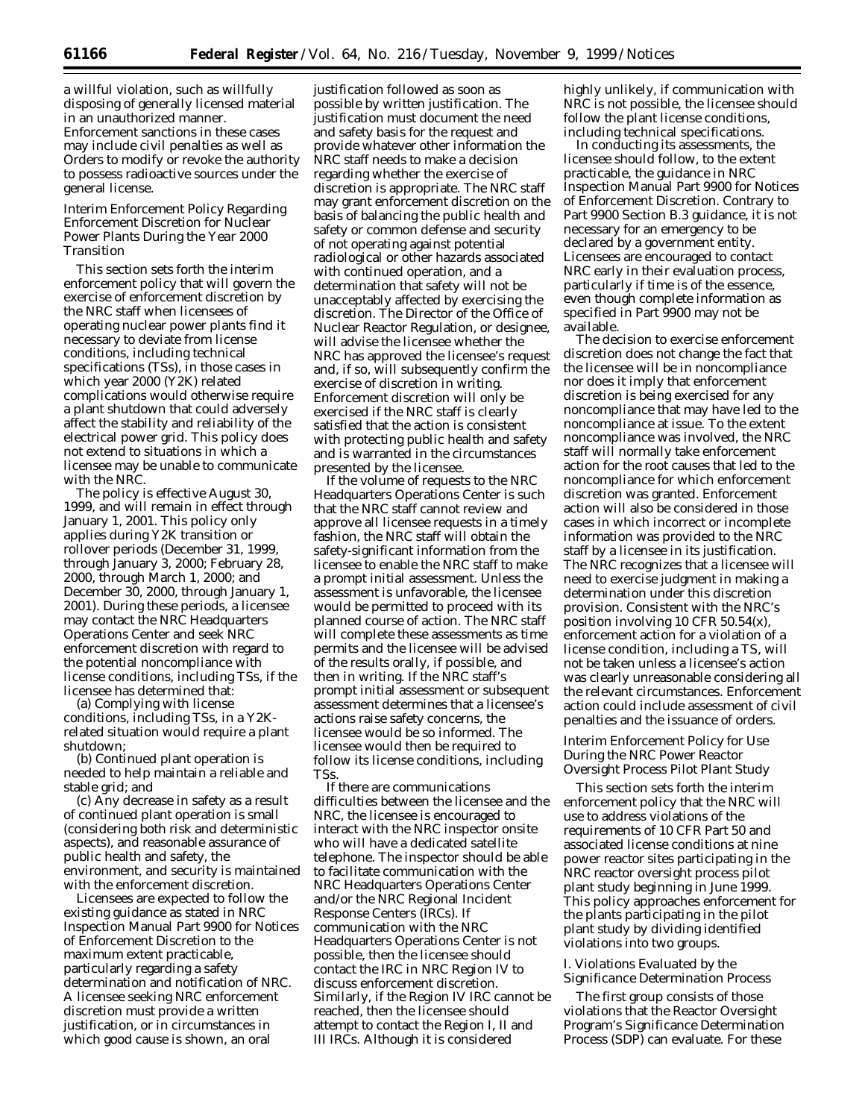a willful violation, such as willfully disposing of generally licensed material in an unauthorized manner. Enforcement sanctions in these cases may include civil penalties as well as Orders to modify or revoke the authority to possess radioactive sources under the general license.

## *Interim Enforcement Policy Regarding Enforcement Discretion for Nuclear Power Plants During the Year 2000 Transition*

This section sets forth the interim enforcement policy that will govern the exercise of enforcement discretion by the NRC staff when licensees of operating nuclear power plants find it necessary to deviate from license conditions, including technical specifications (TSs), in those cases in which year 2000 (Y2K) related complications would otherwise require a plant shutdown that could adversely affect the stability and reliability of the electrical power grid. This policy does not extend to situations in which a licensee may be unable to communicate with the NRC.

The policy is effective August 30, 1999, and will remain in effect through January 1, 2001. This policy only applies during Y2K transition or rollover periods (December 31, 1999, through January 3, 2000; February 28, 2000, through March 1, 2000; and December 30, 2000, through January 1, 2001). During these periods, a licensee may contact the NRC Headquarters Operations Center and seek NRC enforcement discretion with regard to the potential noncompliance with license conditions, including TSs, if the licensee has determined that:

(a) Complying with license conditions, including TSs, in a Y2Krelated situation would require a plant shutdown;

(b) Continued plant operation is needed to help maintain a reliable and stable grid; and

(c) Any decrease in safety as a result of continued plant operation is small (considering both risk and deterministic aspects), and reasonable assurance of public health and safety, the environment, and security is maintained with the enforcement discretion.

Licensees are expected to follow the existing guidance as stated in NRC Inspection Manual Part 9900 for Notices of Enforcement Discretion to the maximum extent practicable, particularly regarding a safety determination and notification of NRC. A licensee seeking NRC enforcement discretion must provide a written justification, or in circumstances in which good cause is shown, an oral

justification followed as soon as possible by written justification. The justification must document the need and safety basis for the request and provide whatever other information the NRC staff needs to make a decision regarding whether the exercise of discretion is appropriate. The NRC staff may grant enforcement discretion on the basis of balancing the public health and safety or common defense and security of not operating against potential radiological or other hazards associated with continued operation, and a determination that safety will not be unacceptably affected by exercising the discretion. The Director of the Office of Nuclear Reactor Regulation, or designee, will advise the licensee whether the NRC has approved the licensee's request and, if so, will subsequently confirm the exercise of discretion in writing. Enforcement discretion will only be exercised if the NRC staff is clearly satisfied that the action is consistent with protecting public health and safety and is warranted in the circumstances presented by the licensee.

If the volume of requests to the NRC Headquarters Operations Center is such that the NRC staff cannot review and approve all licensee requests in a timely fashion, the NRC staff will obtain the safety-significant information from the licensee to enable the NRC staff to make a prompt initial assessment. Unless the assessment is unfavorable, the licensee would be permitted to proceed with its planned course of action. The NRC staff will complete these assessments as time permits and the licensee will be advised of the results orally, if possible, and then in writing. If the NRC staff's prompt initial assessment or subsequent assessment determines that a licensee's actions raise safety concerns, the licensee would be so informed. The licensee would then be required to follow its license conditions, including TSs.

If there are communications difficulties between the licensee and the NRC, the licensee is encouraged to interact with the NRC inspector onsite who will have a dedicated satellite telephone. The inspector should be able to facilitate communication with the NRC Headquarters Operations Center and/or the NRC Regional Incident Response Centers (IRCs). If communication with the NRC Headquarters Operations Center is not possible, then the licensee should contact the IRC in NRC Region IV to discuss enforcement discretion. Similarly, if the Region IV IRC cannot be reached, then the licensee should attempt to contact the Region I, II and III IRCs. Although it is considered

highly unlikely, if communication with NRC is not possible, the licensee should follow the plant license conditions, including technical specifications.

In conducting its assessments, the licensee should follow, to the extent practicable, the guidance in NRC Inspection Manual Part 9900 for Notices of Enforcement Discretion. Contrary to Part 9900 Section B.3 guidance, it is not necessary for an emergency to be declared by a government entity. Licensees are encouraged to contact NRC early in their evaluation process, particularly if time is of the essence, even though complete information as specified in Part 9900 may not be available.

The decision to exercise enforcement discretion does not change the fact that the licensee will be in noncompliance nor does it imply that enforcement discretion is being exercised for any noncompliance that may have led to the noncompliance at issue. To the extent noncompliance was involved, the NRC staff will normally take enforcement action for the root causes that led to the noncompliance for which enforcement discretion was granted. Enforcement action will also be considered in those cases in which incorrect or incomplete information was provided to the NRC staff by a licensee in its justification. The NRC recognizes that a licensee will need to exercise judgment in making a determination under this discretion provision. Consistent with the NRC's position involving 10 CFR 50.54(x), enforcement action for a violation of a license condition, including a TS, will not be taken unless a licensee's action was clearly unreasonable considering all the relevant circumstances. Enforcement action could include assessment of civil penalties and the issuance of orders.

## *Interim Enforcement Policy for Use During the NRC Power Reactor Oversight Process Pilot Plant Study*

This section sets forth the interim enforcement policy that the NRC will use to address violations of the requirements of 10 CFR Part 50 and associated license conditions at nine power reactor sites participating in the NRC reactor oversight process pilot plant study beginning in June 1999. This policy approaches enforcement for the plants participating in the pilot plant study by dividing identified violations into two groups.

## *I. Violations Evaluated by the Significance Determination Process*

The first group consists of those violations that the Reactor Oversight Program's Significance Determination Process (SDP) can evaluate. For these